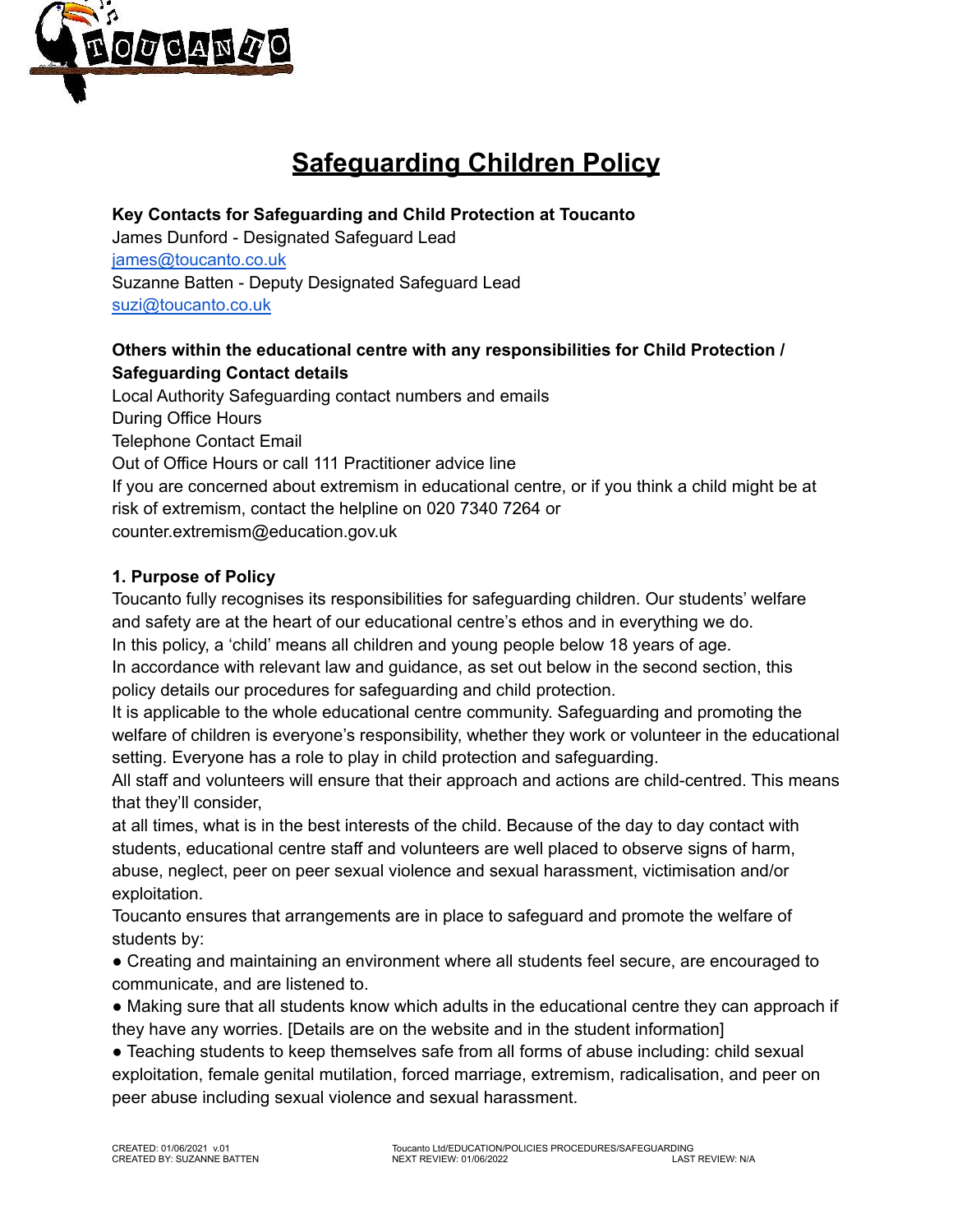

# **Safeguarding Children Policy**

# **Key Contacts for Safeguarding and Child Protection at Toucanto**

James Dunford - Designated Safeguard Lead [james@toucanto.co.uk](mailto:james@toucanto.co.uk) Suzanne Batten - Deputy Designated Safeguard Lead [suzi@toucanto.co.uk](mailto:suzi@toucanto.co.uk)

# **Others within the educational centre with any responsibilities for Child Protection / Safeguarding Contact details**

Local Authority Safeguarding contact numbers and emails During Office Hours Telephone Contact Email Out of Office Hours or call 111 Practitioner advice line If you are concerned about extremism in educational centre, or if you think a child might be at risk of extremism, contact the helpline on 020 7340 7264 or counter.extremism@education.gov.uk

# **1. Purpose of Policy**

Toucanto fully recognises its responsibilities for safeguarding children. Our students' welfare and safety are at the heart of our educational centre's ethos and in everything we do.

In this policy, a 'child' means all children and young people below 18 years of age.

In accordance with relevant law and guidance, as set out below in the second section, this policy details our procedures for safeguarding and child protection.

It is applicable to the whole educational centre community. Safeguarding and promoting the welfare of children is everyone's responsibility, whether they work or volunteer in the educational setting. Everyone has a role to play in child protection and safeguarding.

All staff and volunteers will ensure that their approach and actions are child-centred. This means that they'll consider,

at all times, what is in the best interests of the child. Because of the day to day contact with students, educational centre staff and volunteers are well placed to observe signs of harm, abuse, neglect, peer on peer sexual violence and sexual harassment, victimisation and/or exploitation.

Toucanto ensures that arrangements are in place to safeguard and promote the welfare of students by:

● Creating and maintaining an environment where all students feel secure, are encouraged to communicate, and are listened to.

● Making sure that all students know which adults in the educational centre they can approach if they have any worries. [Details are on the website and in the student information]

● Teaching students to keep themselves safe from all forms of abuse including: child sexual exploitation, female genital mutilation, forced marriage, extremism, radicalisation, and peer on peer abuse including sexual violence and sexual harassment.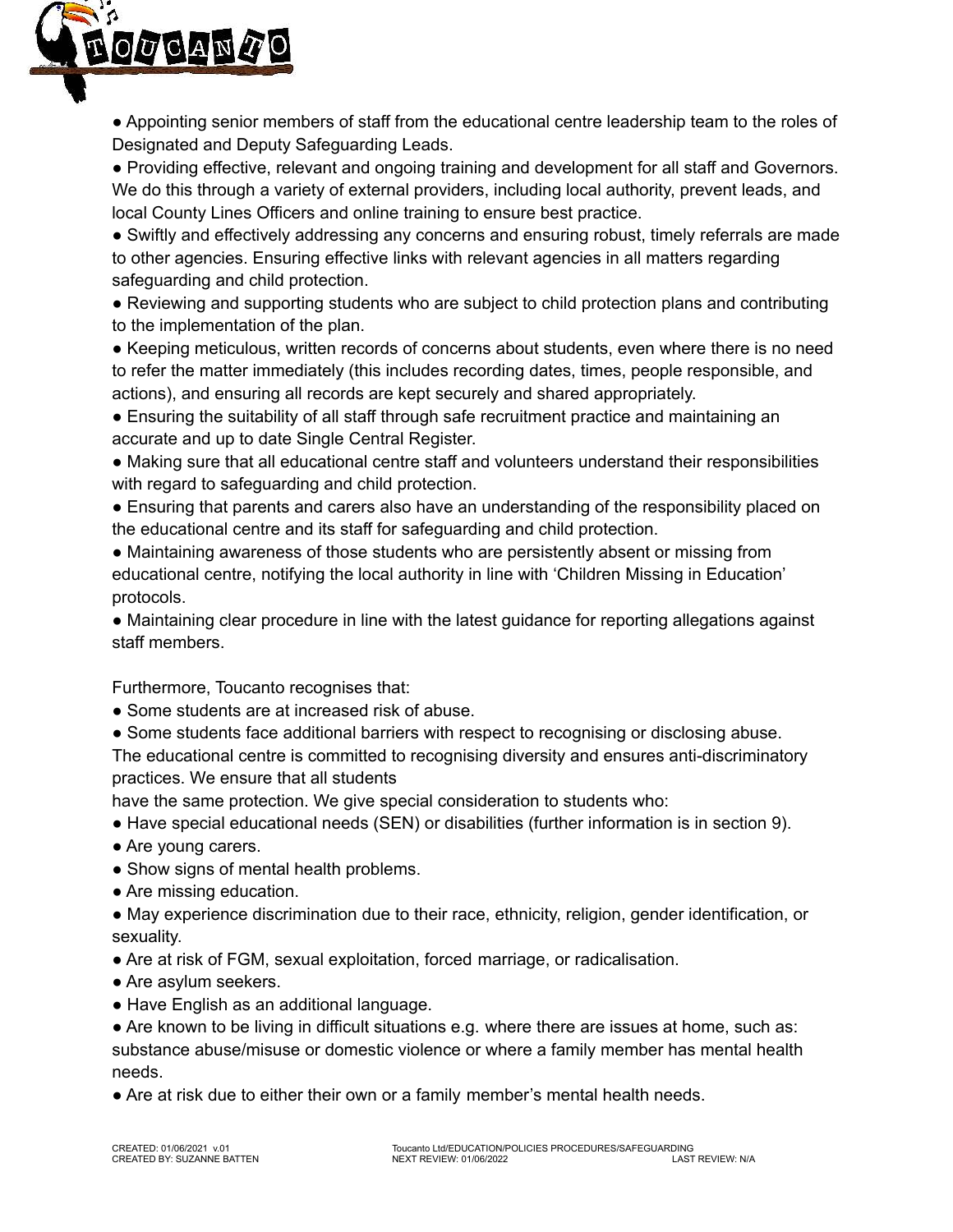

● Appointing senior members of staff from the educational centre leadership team to the roles of Designated and Deputy Safeguarding Leads.

● Providing effective, relevant and ongoing training and development for all staff and Governors. We do this through a variety of external providers, including local authority, prevent leads, and local County Lines Officers and online training to ensure best practice.

● Swiftly and effectively addressing any concerns and ensuring robust, timely referrals are made to other agencies. Ensuring effective links with relevant agencies in all matters regarding safeguarding and child protection.

● Reviewing and supporting students who are subject to child protection plans and contributing to the implementation of the plan.

• Keeping meticulous, written records of concerns about students, even where there is no need to refer the matter immediately (this includes recording dates, times, people responsible, and actions), and ensuring all records are kept securely and shared appropriately.

● Ensuring the suitability of all staff through safe recruitment practice and maintaining an accurate and up to date Single Central Register.

● Making sure that all educational centre staff and volunteers understand their responsibilities with regard to safeguarding and child protection.

● Ensuring that parents and carers also have an understanding of the responsibility placed on the educational centre and its staff for safeguarding and child protection.

• Maintaining awareness of those students who are persistently absent or missing from educational centre, notifying the local authority in line with 'Children Missing in Education' protocols.

● Maintaining clear procedure in line with the latest guidance for reporting allegations against staff members.

Furthermore, Toucanto recognises that:

- Some students are at increased risk of abuse.
- Some students face additional barriers with respect to recognising or disclosing abuse.

The educational centre is committed to recognising diversity and ensures anti-discriminatory practices. We ensure that all students

have the same protection. We give special consideration to students who:

● Have special educational needs (SEN) or disabilities (further information is in section 9).

- Are young carers.
- Show signs of mental health problems.
- Are missing education.

● May experience discrimination due to their race, ethnicity, religion, gender identification, or sexuality.

- Are at risk of FGM, sexual exploitation, forced marriage, or radicalisation.
- Are asylum seekers.
- Have English as an additional language.

• Are known to be living in difficult situations e.g. where there are issues at home, such as: substance abuse/misuse or domestic violence or where a family member has mental health needs.

● Are at risk due to either their own or a family member's mental health needs.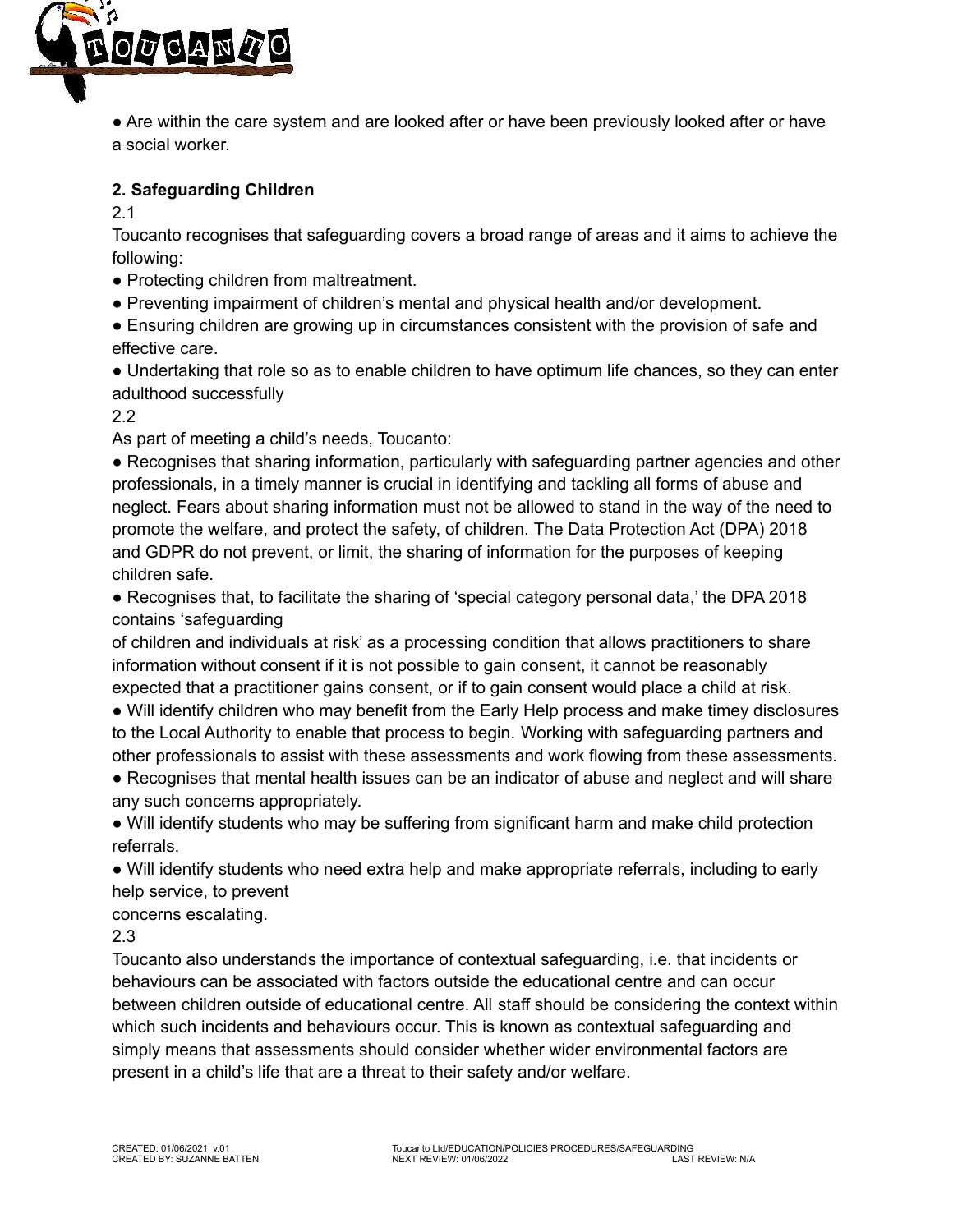

● Are within the care system and are looked after or have been previously looked after or have a social worker.

## **2. Safeguarding Children**

2.1

Toucanto recognises that safeguarding covers a broad range of areas and it aims to achieve the following:

- Protecting children from maltreatment.
- Preventing impairment of children's mental and physical health and/or development.

● Ensuring children are growing up in circumstances consistent with the provision of safe and effective care.

● Undertaking that role so as to enable children to have optimum life chances, so they can enter adulthood successfully

2.2

As part of meeting a child's needs, Toucanto:

• Recognises that sharing information, particularly with safeguarding partner agencies and other professionals, in a timely manner is crucial in identifying and tackling all forms of abuse and neglect. Fears about sharing information must not be allowed to stand in the way of the need to promote the welfare, and protect the safety, of children. The Data Protection Act (DPA) 2018 and GDPR do not prevent, or limit, the sharing of information for the purposes of keeping children safe.

● Recognises that, to facilitate the sharing of 'special category personal data,' the DPA 2018 contains 'safeguarding

of children and individuals at risk' as a processing condition that allows practitioners to share information without consent if it is not possible to gain consent, it cannot be reasonably expected that a practitioner gains consent, or if to gain consent would place a child at risk.

● Will identify children who may benefit from the Early Help process and make timey disclosures to the Local Authority to enable that process to begin. Working with safeguarding partners and other professionals to assist with these assessments and work flowing from these assessments.

• Recognises that mental health issues can be an indicator of abuse and neglect and will share any such concerns appropriately.

● Will identify students who may be suffering from significant harm and make child protection referrals.

● Will identify students who need extra help and make appropriate referrals, including to early help service, to prevent

concerns escalating.

2.3

Toucanto also understands the importance of contextual safeguarding, i.e. that incidents or behaviours can be associated with factors outside the educational centre and can occur between children outside of educational centre. All staff should be considering the context within which such incidents and behaviours occur. This is known as contextual safeguarding and simply means that assessments should consider whether wider environmental factors are present in a child's life that are a threat to their safety and/or welfare.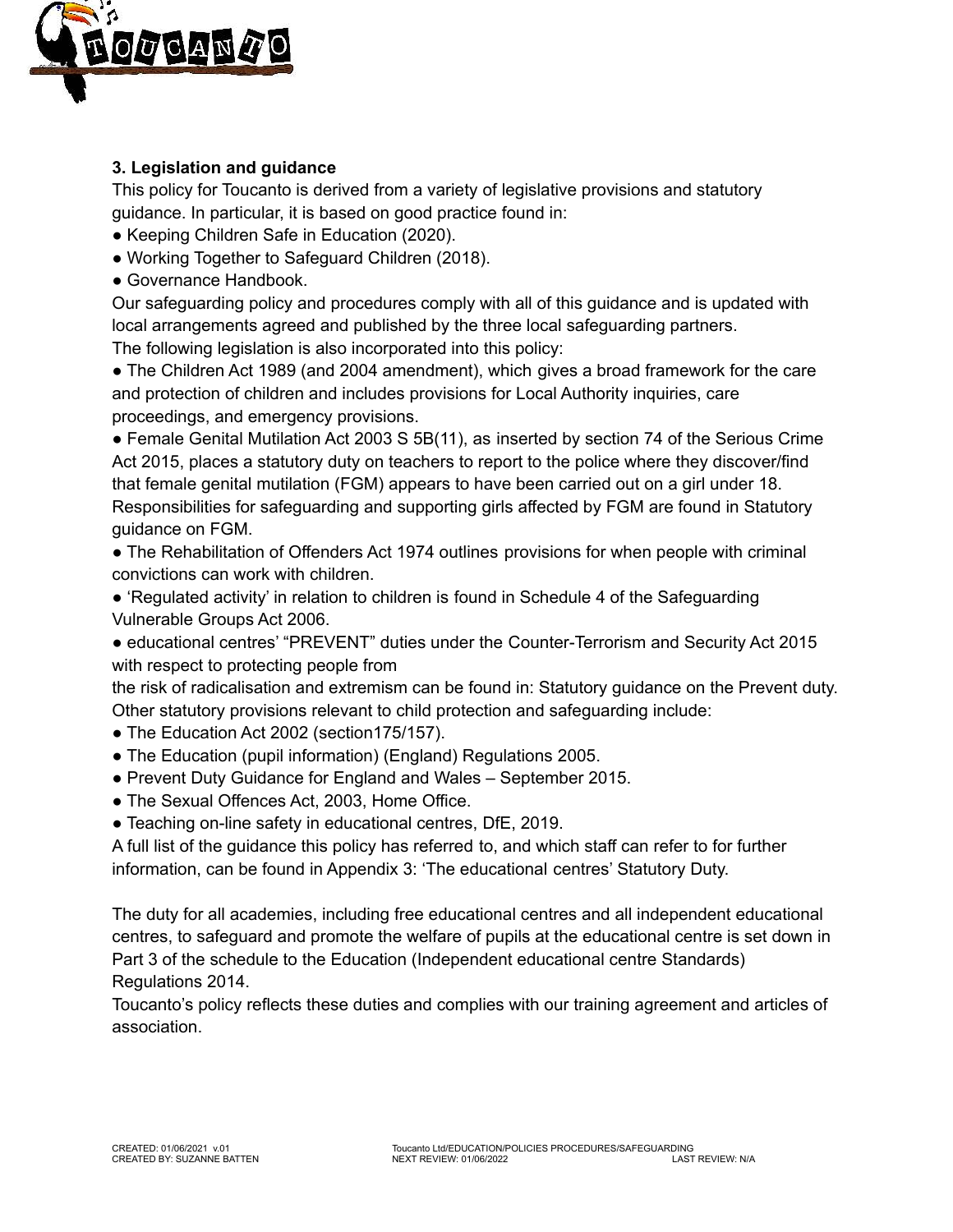

# **3. Legislation and guidance**

This policy for Toucanto is derived from a variety of legislative provisions and statutory guidance. In particular, it is based on good practice found in:

- Keeping Children Safe in Education (2020).
- Working Together to Safeguard Children (2018).
- Governance Handbook.

Our safeguarding policy and procedures comply with all of this guidance and is updated with local arrangements agreed and published by the three local safeguarding partners. The following legislation is also incorporated into this policy:

• The Children Act 1989 (and 2004 amendment), which gives a broad framework for the care and protection of children and includes provisions for Local Authority inquiries, care proceedings, and emergency provisions.

● Female Genital Mutilation Act 2003 S 5B(11), as inserted by section 74 of the Serious Crime Act 2015, places a statutory duty on teachers to report to the police where they discover/find that female genital mutilation (FGM) appears to have been carried out on a girl under 18. Responsibilities for safeguarding and supporting girls affected by FGM are found in Statutory guidance on FGM.

• The Rehabilitation of Offenders Act 1974 outlines provisions for when people with criminal convictions can work with children.

■ 'Regulated activity' in relation to children is found in Schedule 4 of the Safeguarding Vulnerable Groups Act 2006.

● educational centres' "PREVENT" duties under the Counter-Terrorism and Security Act 2015 with respect to protecting people from

the risk of radicalisation and extremism can be found in: Statutory guidance on the Prevent duty. Other statutory provisions relevant to child protection and safeguarding include:

- The Education Act 2002 (section 175/157).
- The Education (pupil information) (England) Regulations 2005.
- Prevent Duty Guidance for England and Wales September 2015.
- The Sexual Offences Act, 2003, Home Office.
- Teaching on-line safety in educational centres, DfE, 2019.

A full list of the guidance this policy has referred to, and which staff can refer to for further information, can be found in Appendix 3: 'The educational centres' Statutory Duty.

The duty for all academies, including free educational centres and all independent educational centres, to safeguard and promote the welfare of pupils at the educational centre is set down in Part 3 of the schedule to the Education (Independent educational centre Standards) Regulations 2014.

Toucanto's policy reflects these duties and complies with our training agreement and articles of association.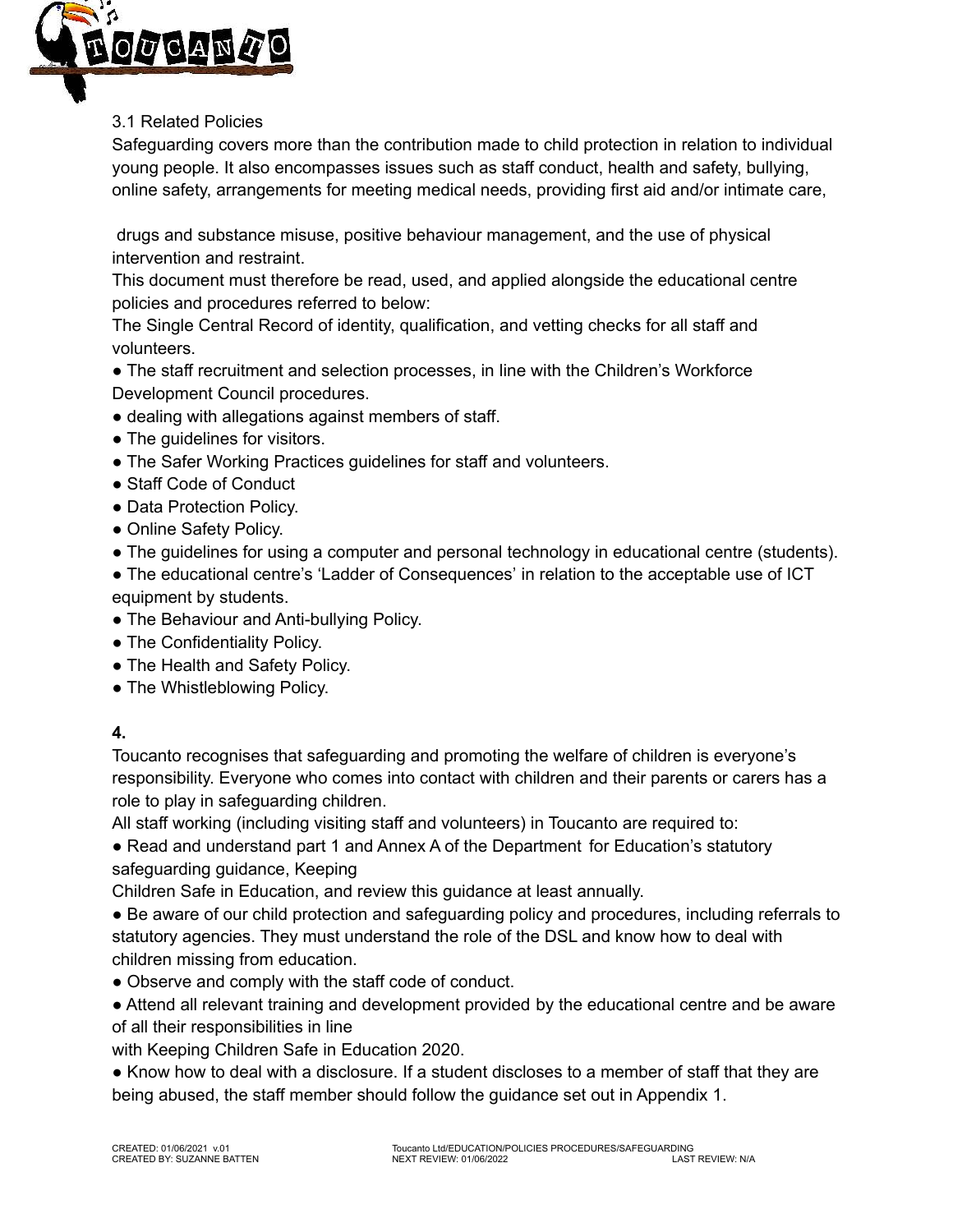

## 3.1 Related Policies

Safeguarding covers more than the contribution made to child protection in relation to individual young people. It also encompasses issues such as staff conduct, health and safety, bullying, online safety, arrangements for meeting medical needs, providing first aid and/or intimate care,

drugs and substance misuse, positive behaviour management, and the use of physical intervention and restraint.

This document must therefore be read, used, and applied alongside the educational centre policies and procedures referred to below:

The Single Central Record of identity, qualification, and vetting checks for all staff and volunteers.

• The staff recruitment and selection processes, in line with the Children's Workforce Development Council procedures.

- dealing with allegations against members of staff.
- The quidelines for visitors.
- The Safer Working Practices guidelines for staff and volunteers.
- Staff Code of Conduct
- Data Protection Policy.
- Online Safety Policy.
- The guidelines for using a computer and personal technology in educational centre (students).

• The educational centre's 'Ladder of Consequences' in relation to the acceptable use of ICT equipment by students.

- The Behaviour and Anti-bullying Policy.
- The Confidentiality Policy.
- The Health and Safety Policy.
- The Whistleblowing Policy.

#### **4.**

Toucanto recognises that safeguarding and promoting the welfare of children is everyone's responsibility. Everyone who comes into contact with children and their parents or carers has a role to play in safeguarding children.

All staff working (including visiting staff and volunteers) in Toucanto are required to:

● Read and understand part 1 and Annex A of the Department for Education's statutory safeguarding guidance, Keeping

Children Safe in Education, and review this guidance at least annually.

● Be aware of our child protection and safeguarding policy and procedures, including referrals to statutory agencies. They must understand the role of the DSL and know how to deal with children missing from education.

• Observe and comply with the staff code of conduct.

● Attend all relevant training and development provided by the educational centre and be aware of all their responsibilities in line

with Keeping Children Safe in Education 2020.

● Know how to deal with a disclosure. If a student discloses to a member of staff that they are being abused, the staff member should follow the guidance set out in Appendix 1.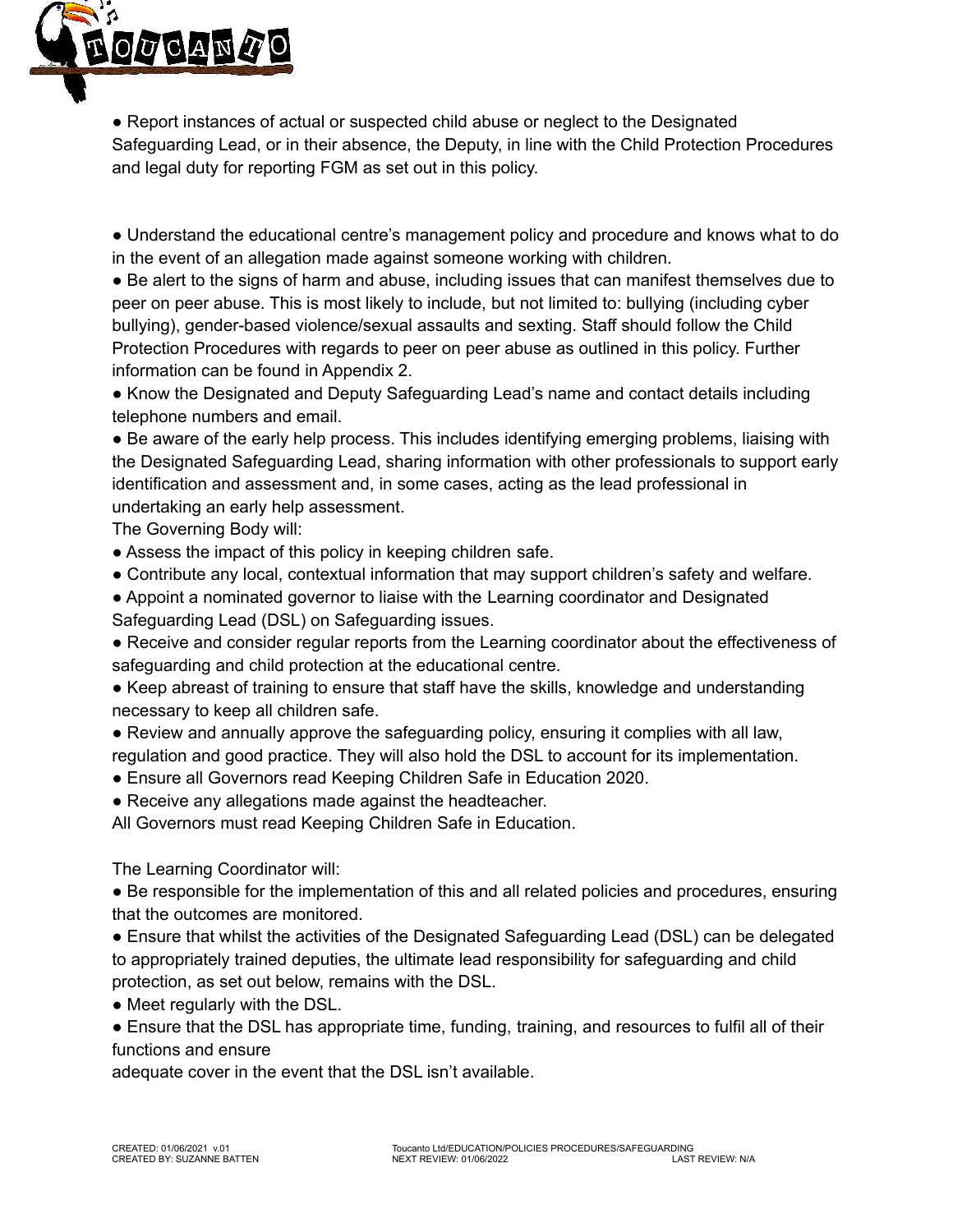

● Report instances of actual or suspected child abuse or neglect to the Designated Safeguarding Lead, or in their absence, the Deputy, in line with the Child Protection Procedures and legal duty for reporting FGM as set out in this policy.

● Understand the educational centre's management policy and procedure and knows what to do in the event of an allegation made against someone working with children.

● Be alert to the signs of harm and abuse, including issues that can manifest themselves due to peer on peer abuse. This is most likely to include, but not limited to: bullying (including cyber bullying), gender-based violence/sexual assaults and sexting. Staff should follow the Child Protection Procedures with regards to peer on peer abuse as outlined in this policy. Further information can be found in Appendix 2.

● Know the Designated and Deputy Safeguarding Lead's name and contact details including telephone numbers and email.

● Be aware of the early help process. This includes identifying emerging problems, liaising with the Designated Safeguarding Lead, sharing information with other professionals to support early identification and assessment and, in some cases, acting as the lead professional in undertaking an early help assessment.

The Governing Body will:

- Assess the impact of this policy in keeping children safe.
- Contribute any local, contextual information that may support children's safety and welfare.
- Appoint a nominated governor to liaise with the Learning coordinator and Designated Safeguarding Lead (DSL) on Safeguarding issues.

● Receive and consider regular reports from the Learning coordinator about the effectiveness of safeguarding and child protection at the educational centre.

● Keep abreast of training to ensure that staff have the skills, knowledge and understanding necessary to keep all children safe.

● Review and annually approve the safeguarding policy, ensuring it complies with all law,

regulation and good practice. They will also hold the DSL to account for its implementation.

- Ensure all Governors read Keeping Children Safe in Education 2020.
- Receive any allegations made against the headteacher.

All Governors must read Keeping Children Safe in Education.

The Learning Coordinator will:

● Be responsible for the implementation of this and all related policies and procedures, ensuring that the outcomes are monitored.

● Ensure that whilst the activities of the Designated Safeguarding Lead (DSL) can be delegated to appropriately trained deputies, the ultimate lead responsibility for safeguarding and child protection, as set out below, remains with the DSL.

• Meet regularly with the DSL.

• Ensure that the DSL has appropriate time, funding, training, and resources to fulfil all of their functions and ensure

adequate cover in the event that the DSL isn't available.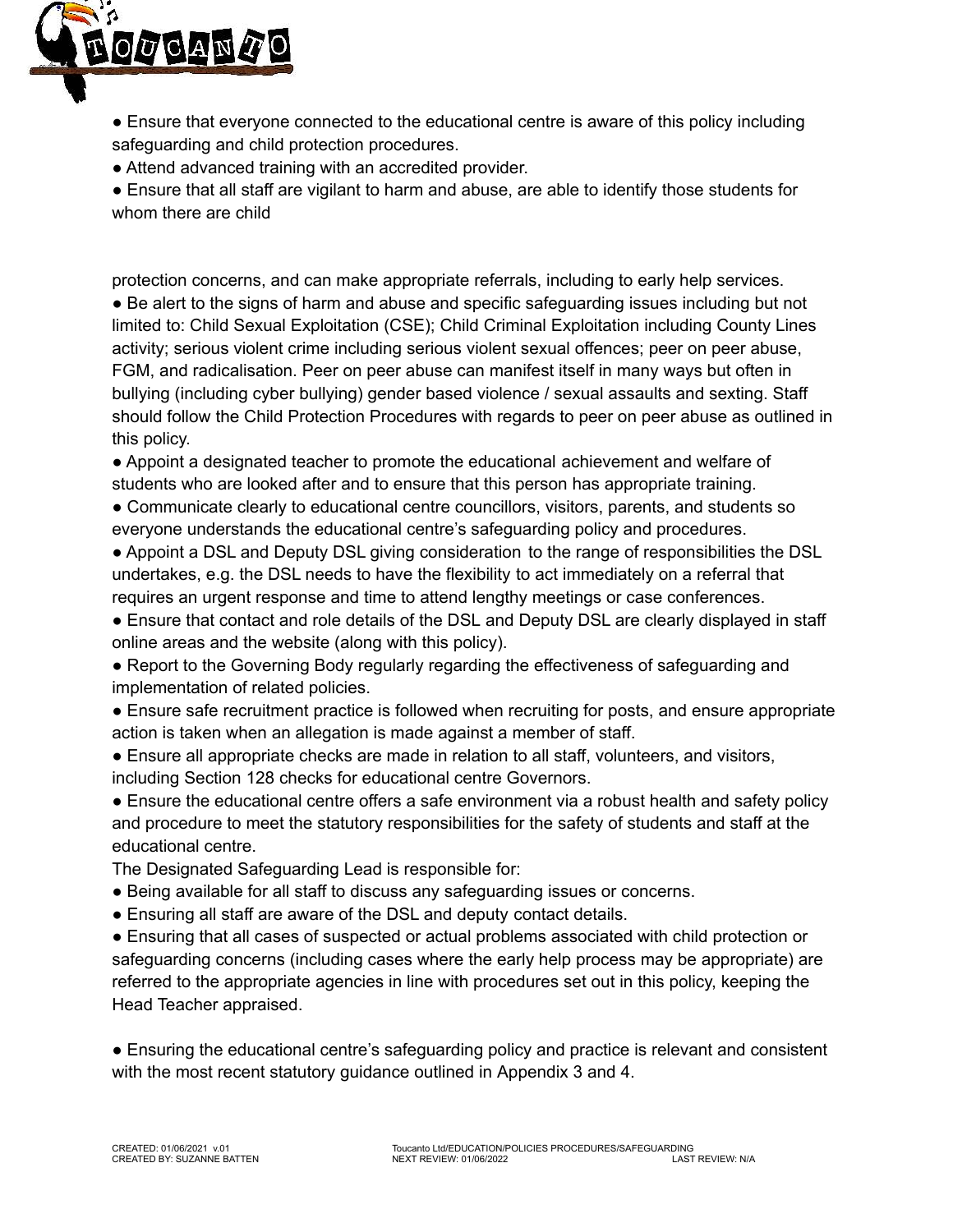

● Ensure that everyone connected to the educational centre is aware of this policy including safeguarding and child protection procedures.

• Attend advanced training with an accredited provider.

● Ensure that all staff are vigilant to harm and abuse, are able to identify those students for whom there are child

protection concerns, and can make appropriate referrals, including to early help services. • Be alert to the signs of harm and abuse and specific safeguarding issues including but not limited to: Child Sexual Exploitation (CSE); Child Criminal Exploitation including County Lines activity; serious violent crime including serious violent sexual offences; peer on peer abuse, FGM, and radicalisation. Peer on peer abuse can manifest itself in many ways but often in bullying (including cyber bullying) gender based violence / sexual assaults and sexting. Staff should follow the Child Protection Procedures with regards to peer on peer abuse as outlined in this policy.

● Appoint a designated teacher to promote the educational achievement and welfare of students who are looked after and to ensure that this person has appropriate training.

● Communicate clearly to educational centre councillors, visitors, parents, and students so everyone understands the educational centre's safeguarding policy and procedures.

● Appoint a DSL and Deputy DSL giving consideration to the range of responsibilities the DSL undertakes, e.g. the DSL needs to have the flexibility to act immediately on a referral that requires an urgent response and time to attend lengthy meetings or case conferences.

• Ensure that contact and role details of the DSL and Deputy DSL are clearly displayed in staff online areas and the website (along with this policy).

• Report to the Governing Body regularly regarding the effectiveness of safeguarding and implementation of related policies.

● Ensure safe recruitment practice is followed when recruiting for posts, and ensure appropriate action is taken when an allegation is made against a member of staff.

● Ensure all appropriate checks are made in relation to all staff, volunteers, and visitors, including Section 128 checks for educational centre Governors.

• Ensure the educational centre offers a safe environment via a robust health and safety policy and procedure to meet the statutory responsibilities for the safety of students and staff at the educational centre.

The Designated Safeguarding Lead is responsible for:

- Being available for all staff to discuss any safeguarding issues or concerns.
- Ensuring all staff are aware of the DSL and deputy contact details.

● Ensuring that all cases of suspected or actual problems associated with child protection or safeguarding concerns (including cases where the early help process may be appropriate) are referred to the appropriate agencies in line with procedures set out in this policy, keeping the Head Teacher appraised.

● Ensuring the educational centre's safeguarding policy and practice is relevant and consistent with the most recent statutory quidance outlined in Appendix 3 and 4.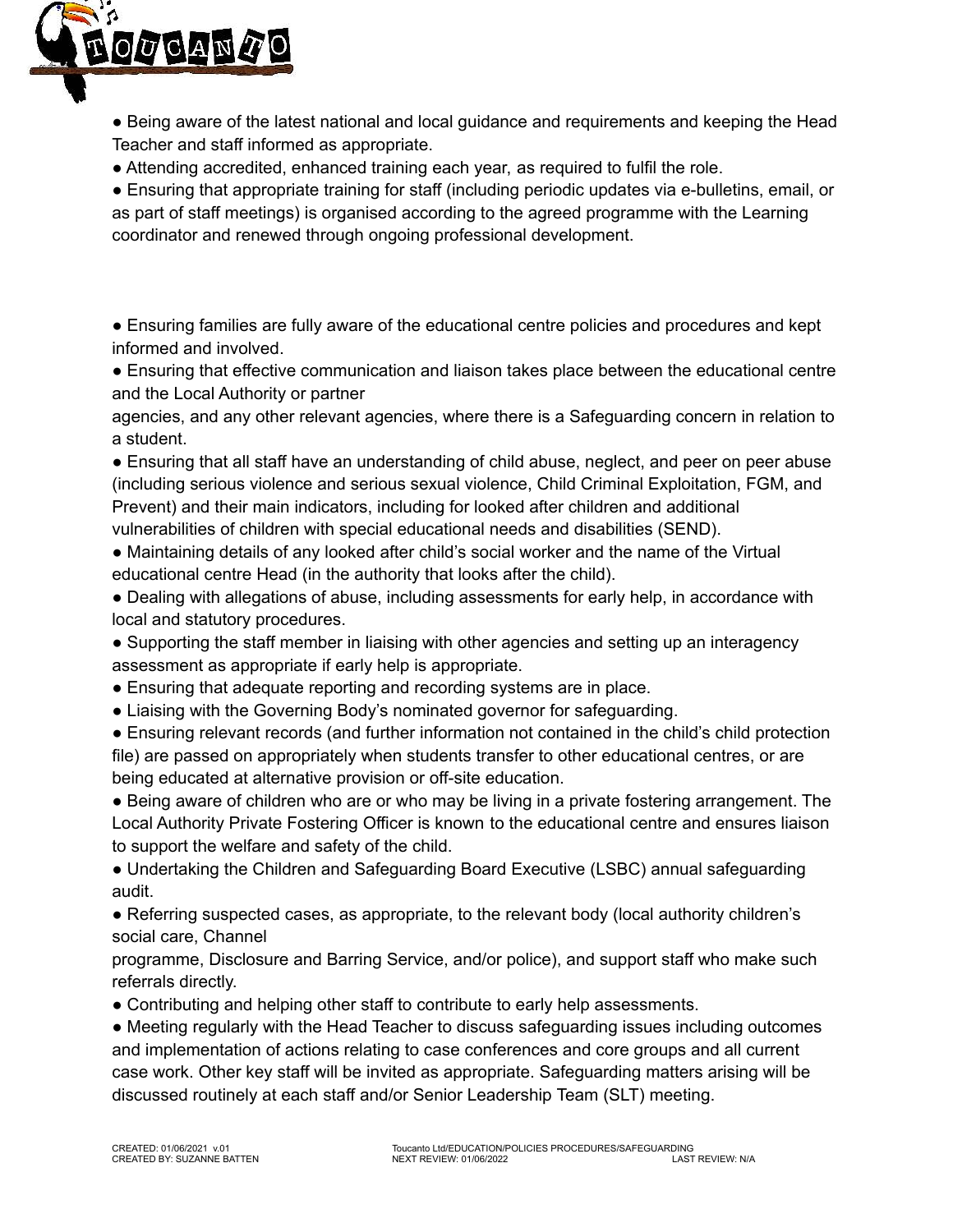

● Being aware of the latest national and local guidance and requirements and keeping the Head Teacher and staff informed as appropriate.

● Attending accredited, enhanced training each year, as required to fulfil the role.

● Ensuring that appropriate training for staff (including periodic updates via e-bulletins, email, or as part of staff meetings) is organised according to the agreed programme with the Learning coordinator and renewed through ongoing professional development.

● Ensuring families are fully aware of the educational centre policies and procedures and kept informed and involved.

● Ensuring that effective communication and liaison takes place between the educational centre and the Local Authority or partner

agencies, and any other relevant agencies, where there is a Safeguarding concern in relation to a student.

● Ensuring that all staff have an understanding of child abuse, neglect, and peer on peer abuse (including serious violence and serious sexual violence, Child Criminal Exploitation, FGM, and Prevent) and their main indicators, including for looked after children and additional

vulnerabilities of children with special educational needs and disabilities (SEND).

- Maintaining details of any looked after child's social worker and the name of the Virtual educational centre Head (in the authority that looks after the child).
- Dealing with allegations of abuse, including assessments for early help, in accordance with local and statutory procedures.
- Supporting the staff member in liaising with other agencies and setting up an interagency assessment as appropriate if early help is appropriate.
- Ensuring that adequate reporting and recording systems are in place.
- Liaising with the Governing Body's nominated governor for safeguarding.

● Ensuring relevant records (and further information not contained in the child's child protection file) are passed on appropriately when students transfer to other educational centres, or are being educated at alternative provision or off-site education.

• Being aware of children who are or who may be living in a private fostering arrangement. The Local Authority Private Fostering Officer is known to the educational centre and ensures liaison to support the welfare and safety of the child.

● Undertaking the Children and Safeguarding Board Executive (LSBC) annual safeguarding audit.

• Referring suspected cases, as appropriate, to the relevant body (local authority children's social care, Channel

programme, Disclosure and Barring Service, and/or police), and support staff who make such referrals directly.

● Contributing and helping other staff to contribute to early help assessments.

• Meeting regularly with the Head Teacher to discuss safeguarding issues including outcomes and implementation of actions relating to case conferences and core groups and all current case work. Other key staff will be invited as appropriate. Safeguarding matters arising will be discussed routinely at each staff and/or Senior Leadership Team (SLT) meeting.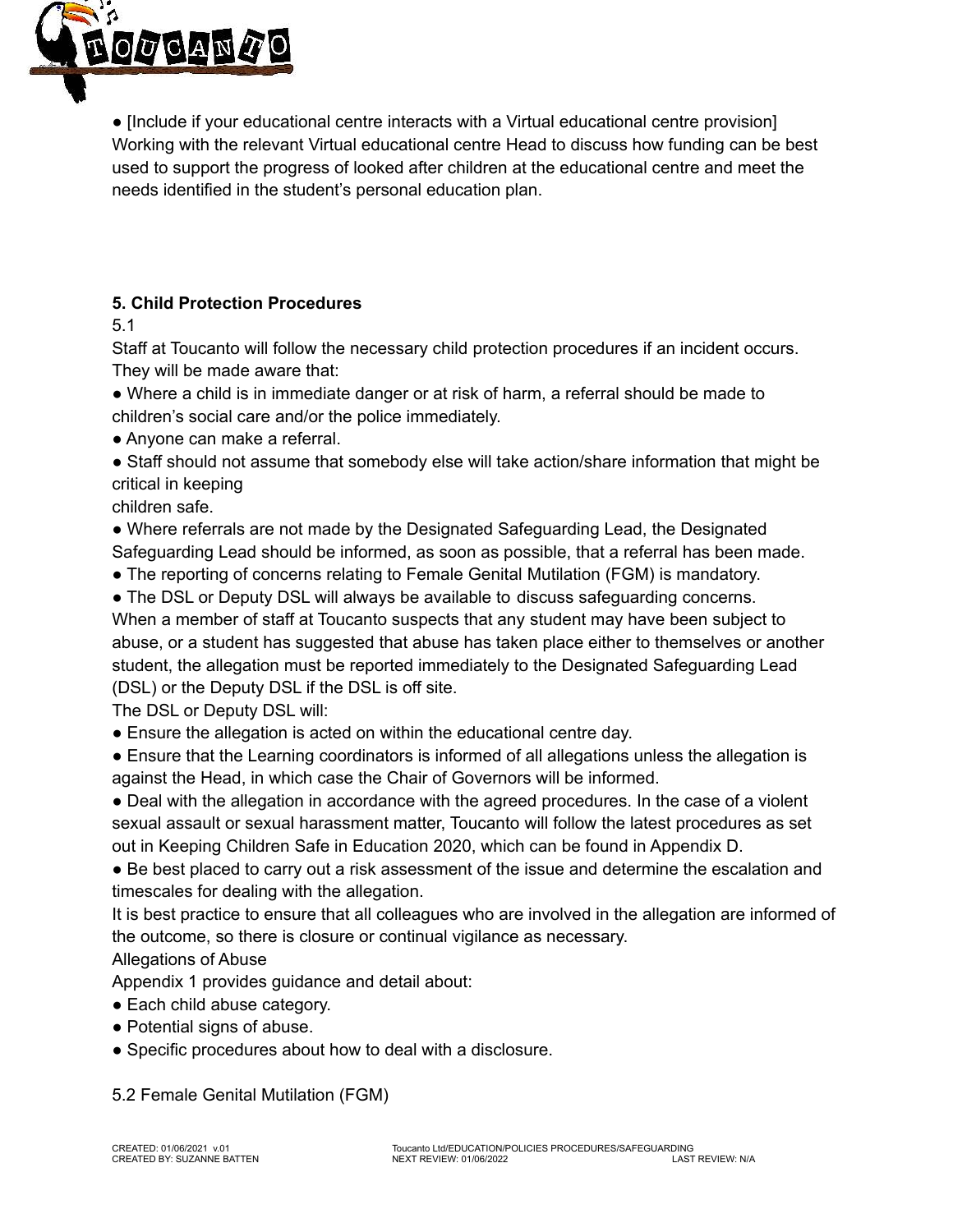

● [Include if your educational centre interacts with a Virtual educational centre provision] Working with the relevant Virtual educational centre Head to discuss how funding can be best used to support the progress of looked after children at the educational centre and meet the needs identified in the student's personal education plan.

# **5. Child Protection Procedures**

5.1

Staff at Toucanto will follow the necessary child protection procedures if an incident occurs. They will be made aware that:

● Where a child is in immediate danger or at risk of harm, a referral should be made to children's social care and/or the police immediately.

● Anyone can make a referral.

● Staff should not assume that somebody else will take action/share information that might be critical in keeping

children safe.

● Where referrals are not made by the Designated Safeguarding Lead, the Designated Safeguarding Lead should be informed, as soon as possible, that a referral has been made.

● The reporting of concerns relating to Female Genital Mutilation (FGM) is mandatory.

• The DSL or Deputy DSL will always be available to discuss safeguarding concerns. When a member of staff at Toucanto suspects that any student may have been subject to abuse, or a student has suggested that abuse has taken place either to themselves or another student, the allegation must be reported immediately to the Designated Safeguarding Lead (DSL) or the Deputy DSL if the DSL is off site.

The DSL or Deputy DSL will:

● Ensure the allegation is acted on within the educational centre day.

● Ensure that the Learning coordinators is informed of all allegations unless the allegation is against the Head, in which case the Chair of Governors will be informed.

• Deal with the allegation in accordance with the agreed procedures. In the case of a violent sexual assault or sexual harassment matter, Toucanto will follow the latest procedures as set out in Keeping Children Safe in Education 2020, which can be found in Appendix D.

• Be best placed to carry out a risk assessment of the issue and determine the escalation and timescales for dealing with the allegation.

It is best practice to ensure that all colleagues who are involved in the allegation are informed of the outcome, so there is closure or continual vigilance as necessary.

# Allegations of Abuse

Appendix 1 provides guidance and detail about:

- Each child abuse category.
- Potential signs of abuse.
- Specific procedures about how to deal with a disclosure.

5.2 Female Genital Mutilation (FGM)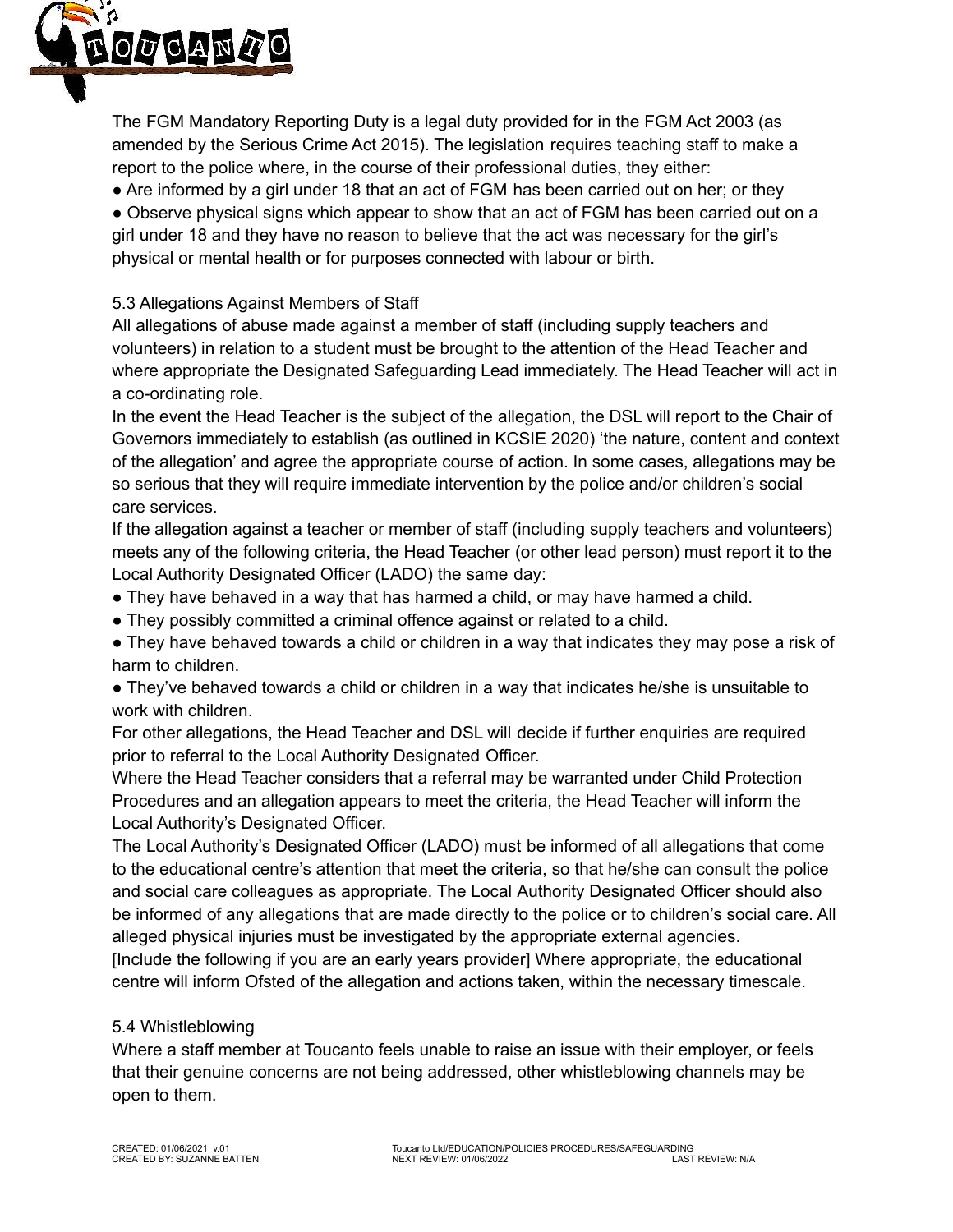

The FGM Mandatory Reporting Duty is a legal duty provided for in the FGM Act 2003 (as amended by the Serious Crime Act 2015). The legislation requires teaching staff to make a report to the police where, in the course of their professional duties, they either:

• Are informed by a girl under 18 that an act of FGM has been carried out on her; or they

● Observe physical signs which appear to show that an act of FGM has been carried out on a girl under 18 and they have no reason to believe that the act was necessary for the girl's physical or mental health or for purposes connected with labour or birth.

## 5.3 Allegations Against Members of Staff

All allegations of abuse made against a member of staff (including supply teachers and volunteers) in relation to a student must be brought to the attention of the Head Teacher and where appropriate the Designated Safeguarding Lead immediately. The Head Teacher will act in a co-ordinating role.

In the event the Head Teacher is the subject of the allegation, the DSL will report to the Chair of Governors immediately to establish (as outlined in KCSIE 2020) 'the nature, content and context of the allegation' and agree the appropriate course of action. In some cases, allegations may be so serious that they will require immediate intervention by the police and/or children's social care services.

If the allegation against a teacher or member of staff (including supply teachers and volunteers) meets any of the following criteria, the Head Teacher (or other lead person) must report it to the Local Authority Designated Officer (LADO) the same day:

- They have behaved in a way that has harmed a child, or may have harmed a child.
- They possibly committed a criminal offence against or related to a child.

• They have behaved towards a child or children in a way that indicates they may pose a risk of harm to children.

• They've behaved towards a child or children in a way that indicates he/she is unsuitable to work with children.

For other allegations, the Head Teacher and DSL will decide if further enquiries are required prior to referral to the Local Authority Designated Officer.

Where the Head Teacher considers that a referral may be warranted under Child Protection Procedures and an allegation appears to meet the criteria, the Head Teacher will inform the Local Authority's Designated Officer.

The Local Authority's Designated Officer (LADO) must be informed of all allegations that come to the educational centre's attention that meet the criteria, so that he/she can consult the police and social care colleagues as appropriate. The Local Authority Designated Officer should also be informed of any allegations that are made directly to the police or to children's social care. All alleged physical injuries must be investigated by the appropriate external agencies.

[Include the following if you are an early years provider] Where appropriate, the educational centre will inform Ofsted of the allegation and actions taken, within the necessary timescale.

#### 5.4 Whistleblowing

Where a staff member at Toucanto feels unable to raise an issue with their employer, or feels that their genuine concerns are not being addressed, other whistleblowing channels may be open to them.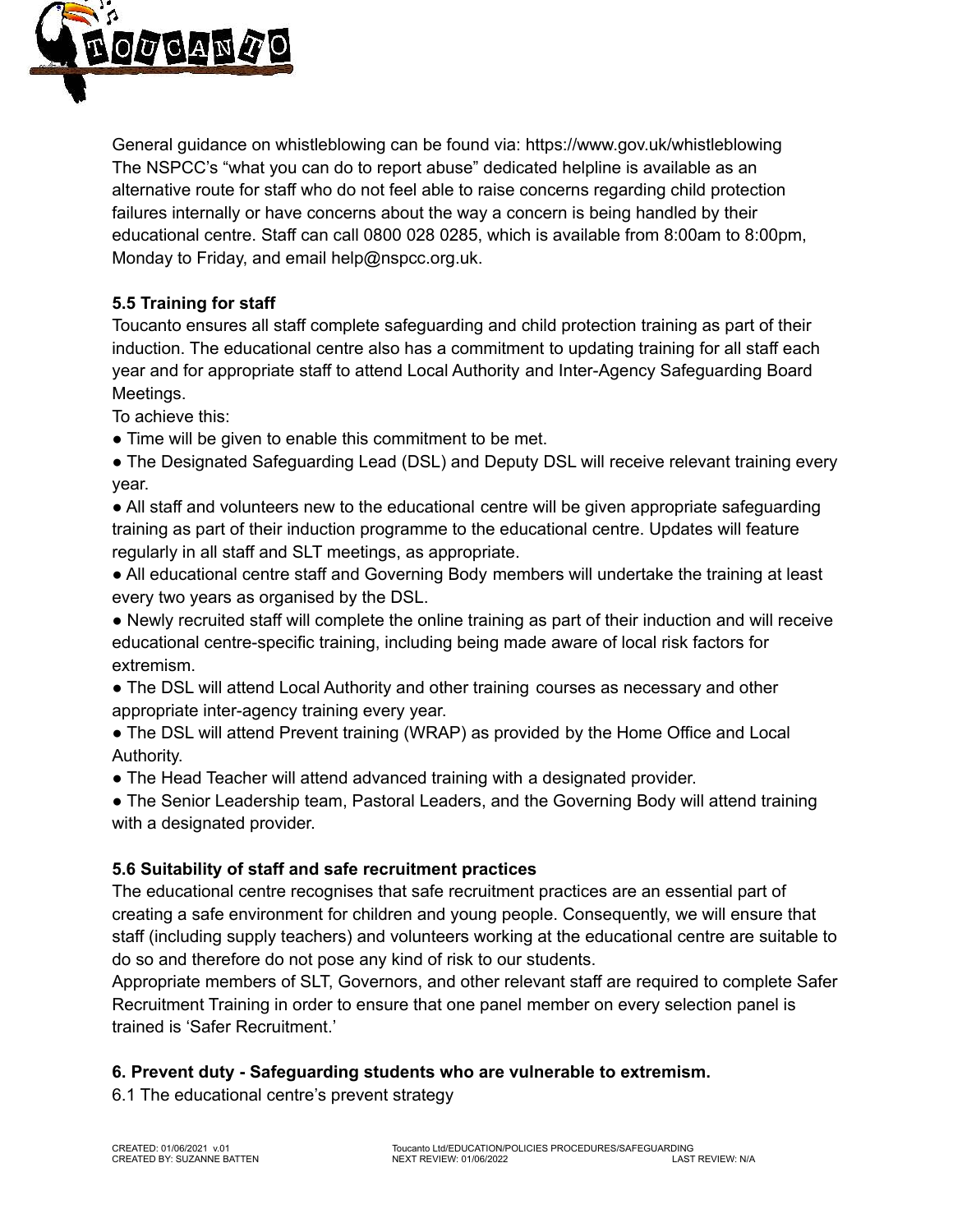

General guidance on whistleblowing can be found via: https://www.gov.uk/whistleblowing The NSPCC's "what you can do to report abuse" dedicated helpline is available as an alternative route for staff who do not feel able to raise concerns regarding child protection failures internally or have concerns about the way a concern is being handled by their educational centre. Staff can call 0800 028 0285, which is available from 8:00am to 8:00pm, Monday to Friday, and email help@nspcc.org.uk.

# **5.5 Training for staff**

Toucanto ensures all staff complete safeguarding and child protection training as part of their induction. The educational centre also has a commitment to updating training for all staff each year and for appropriate staff to attend Local Authority and Inter-Agency Safeguarding Board Meetings.

To achieve this:

- Time will be given to enable this commitment to be met.
- The Designated Safeguarding Lead (DSL) and Deputy DSL will receive relevant training every year.

● All staff and volunteers new to the educational centre will be given appropriate safeguarding training as part of their induction programme to the educational centre. Updates will feature regularly in all staff and SLT meetings, as appropriate.

● All educational centre staff and Governing Body members will undertake the training at least every two years as organised by the DSL.

● Newly recruited staff will complete the online training as part of their induction and will receive educational centre-specific training, including being made aware of local risk factors for extremism.

- The DSL will attend Local Authority and other training courses as necessary and other appropriate inter-agency training every year.
- The DSL will attend Prevent training (WRAP) as provided by the Home Office and Local Authority.
- The Head Teacher will attend advanced training with a designated provider.

• The Senior Leadership team, Pastoral Leaders, and the Governing Body will attend training with a designated provider.

# **5.6 Suitability of staff and safe recruitment practices**

The educational centre recognises that safe recruitment practices are an essential part of creating a safe environment for children and young people. Consequently, we will ensure that staff (including supply teachers) and volunteers working at the educational centre are suitable to do so and therefore do not pose any kind of risk to our students.

Appropriate members of SLT, Governors, and other relevant staff are required to complete Safer Recruitment Training in order to ensure that one panel member on every selection panel is trained is 'Safer Recruitment.'

# **6. Prevent duty - Safeguarding students who are vulnerable to extremism.**

6.1 The educational centre's prevent strategy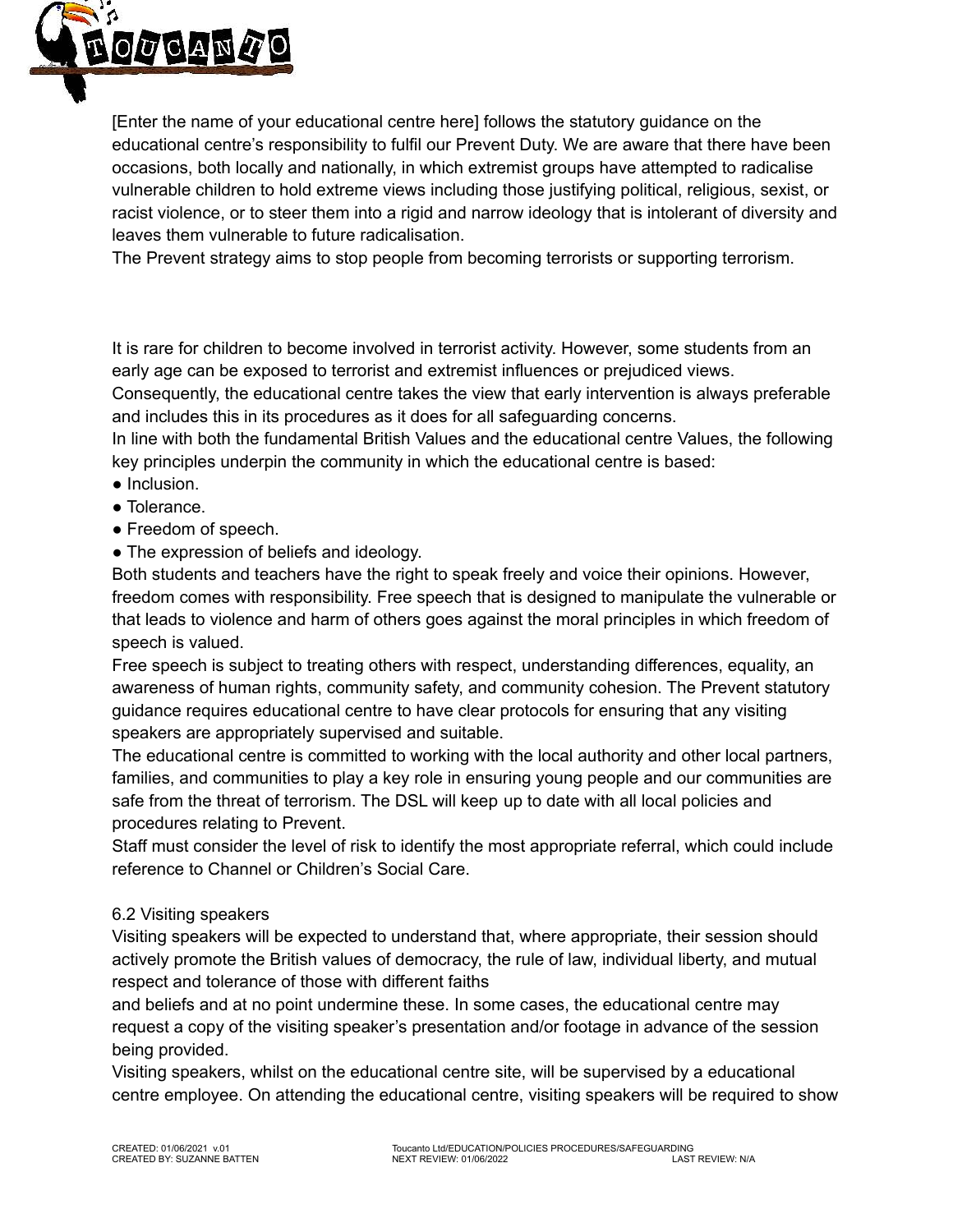

[Enter the name of your educational centre here] follows the statutory guidance on the educational centre's responsibility to fulfil our Prevent Duty. We are aware that there have been occasions, both locally and nationally, in which extremist groups have attempted to radicalise vulnerable children to hold extreme views including those justifying political, religious, sexist, or racist violence, or to steer them into a rigid and narrow ideology that is intolerant of diversity and leaves them vulnerable to future radicalisation.

The Prevent strategy aims to stop people from becoming terrorists or supporting terrorism.

It is rare for children to become involved in terrorist activity. However, some students from an early age can be exposed to terrorist and extremist influences or prejudiced views.

Consequently, the educational centre takes the view that early intervention is always preferable and includes this in its procedures as it does for all safeguarding concerns.

In line with both the fundamental British Values and the educational centre Values, the following key principles underpin the community in which the educational centre is based:

- Inclusion.
- Tolerance.
- Freedom of speech.
- The expression of beliefs and ideology.

Both students and teachers have the right to speak freely and voice their opinions. However, freedom comes with responsibility. Free speech that is designed to manipulate the vulnerable or that leads to violence and harm of others goes against the moral principles in which freedom of speech is valued.

Free speech is subject to treating others with respect, understanding differences, equality, an awareness of human rights, community safety, and community cohesion. The Prevent statutory guidance requires educational centre to have clear protocols for ensuring that any visiting speakers are appropriately supervised and suitable.

The educational centre is committed to working with the local authority and other local partners, families, and communities to play a key role in ensuring young people and our communities are safe from the threat of terrorism. The DSL will keep up to date with all local policies and procedures relating to Prevent.

Staff must consider the level of risk to identify the most appropriate referral, which could include reference to Channel or Children's Social Care.

#### 6.2 Visiting speakers

Visiting speakers will be expected to understand that, where appropriate, their session should actively promote the British values of democracy, the rule of law, individual liberty, and mutual respect and tolerance of those with different faiths

and beliefs and at no point undermine these. In some cases, the educational centre may request a copy of the visiting speaker's presentation and/or footage in advance of the session being provided.

Visiting speakers, whilst on the educational centre site, will be supervised by a educational centre employee. On attending the educational centre, visiting speakers will be required to show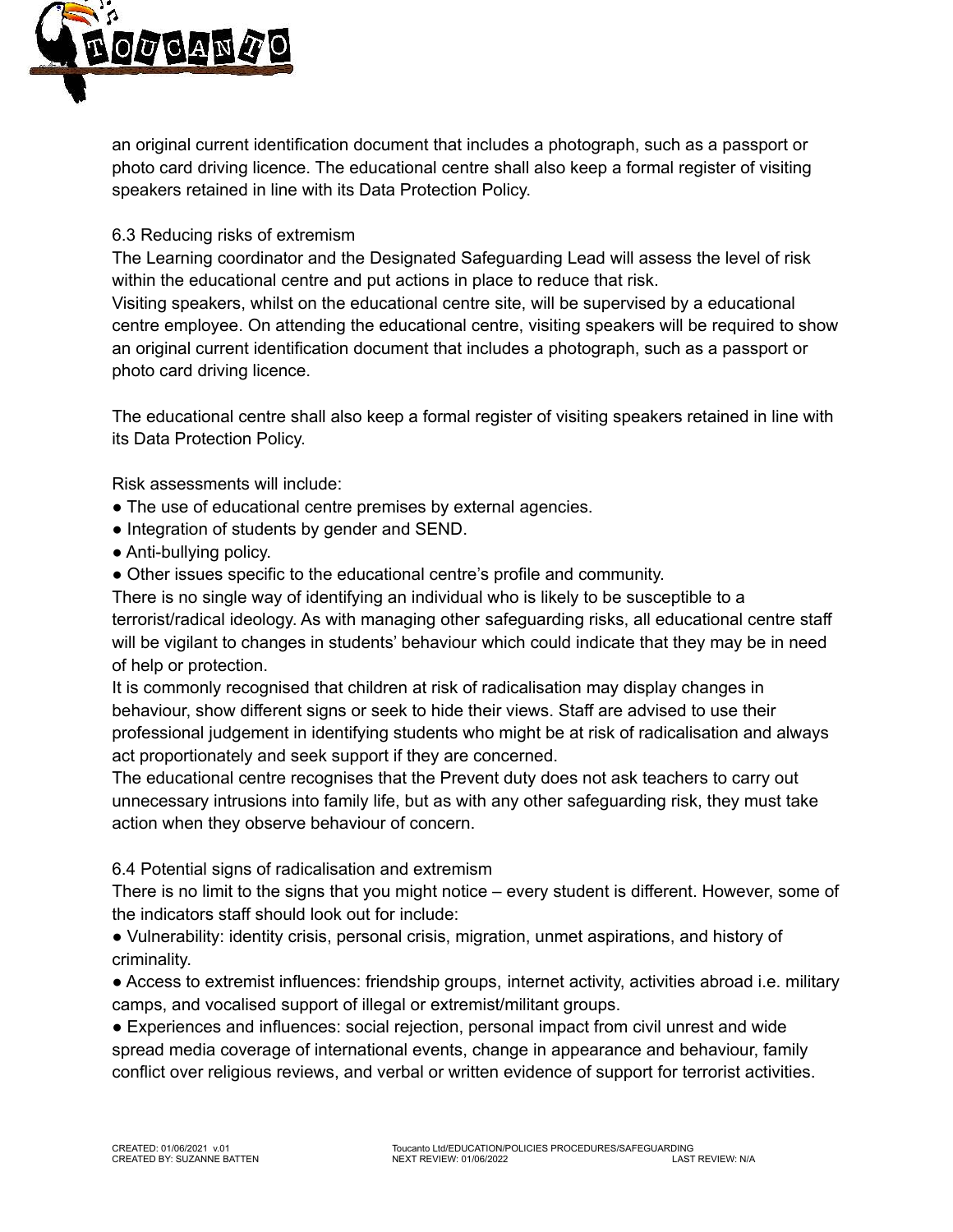

an original current identification document that includes a photograph, such as a passport or photo card driving licence. The educational centre shall also keep a formal register of visiting speakers retained in line with its Data Protection Policy.

## 6.3 Reducing risks of extremism

The Learning coordinator and the Designated Safeguarding Lead will assess the level of risk within the educational centre and put actions in place to reduce that risk.

Visiting speakers, whilst on the educational centre site, will be supervised by a educational centre employee. On attending the educational centre, visiting speakers will be required to show an original current identification document that includes a photograph, such as a passport or photo card driving licence.

The educational centre shall also keep a formal register of visiting speakers retained in line with its Data Protection Policy.

Risk assessments will include:

- The use of educational centre premises by external agencies.
- Integration of students by gender and SEND.
- Anti-bullying policy.
- Other issues specific to the educational centre's profile and community.

There is no single way of identifying an individual who is likely to be susceptible to a terrorist/radical ideology. As with managing other safeguarding risks, all educational centre staff will be vigilant to changes in students' behaviour which could indicate that they may be in need of help or protection.

It is commonly recognised that children at risk of radicalisation may display changes in behaviour, show different signs or seek to hide their views. Staff are advised to use their professional judgement in identifying students who might be at risk of radicalisation and always act proportionately and seek support if they are concerned.

The educational centre recognises that the Prevent duty does not ask teachers to carry out unnecessary intrusions into family life, but as with any other safeguarding risk, they must take action when they observe behaviour of concern.

6.4 Potential signs of radicalisation and extremism

There is no limit to the signs that you might notice – every student is different. However, some of the indicators staff should look out for include:

● Vulnerability: identity crisis, personal crisis, migration, unmet aspirations, and history of criminality.

● Access to extremist influences: friendship groups, internet activity, activities abroad i.e. military camps, and vocalised support of illegal or extremist/militant groups.

● Experiences and influences: social rejection, personal impact from civil unrest and wide spread media coverage of international events, change in appearance and behaviour, family conflict over religious reviews, and verbal or written evidence of support for terrorist activities.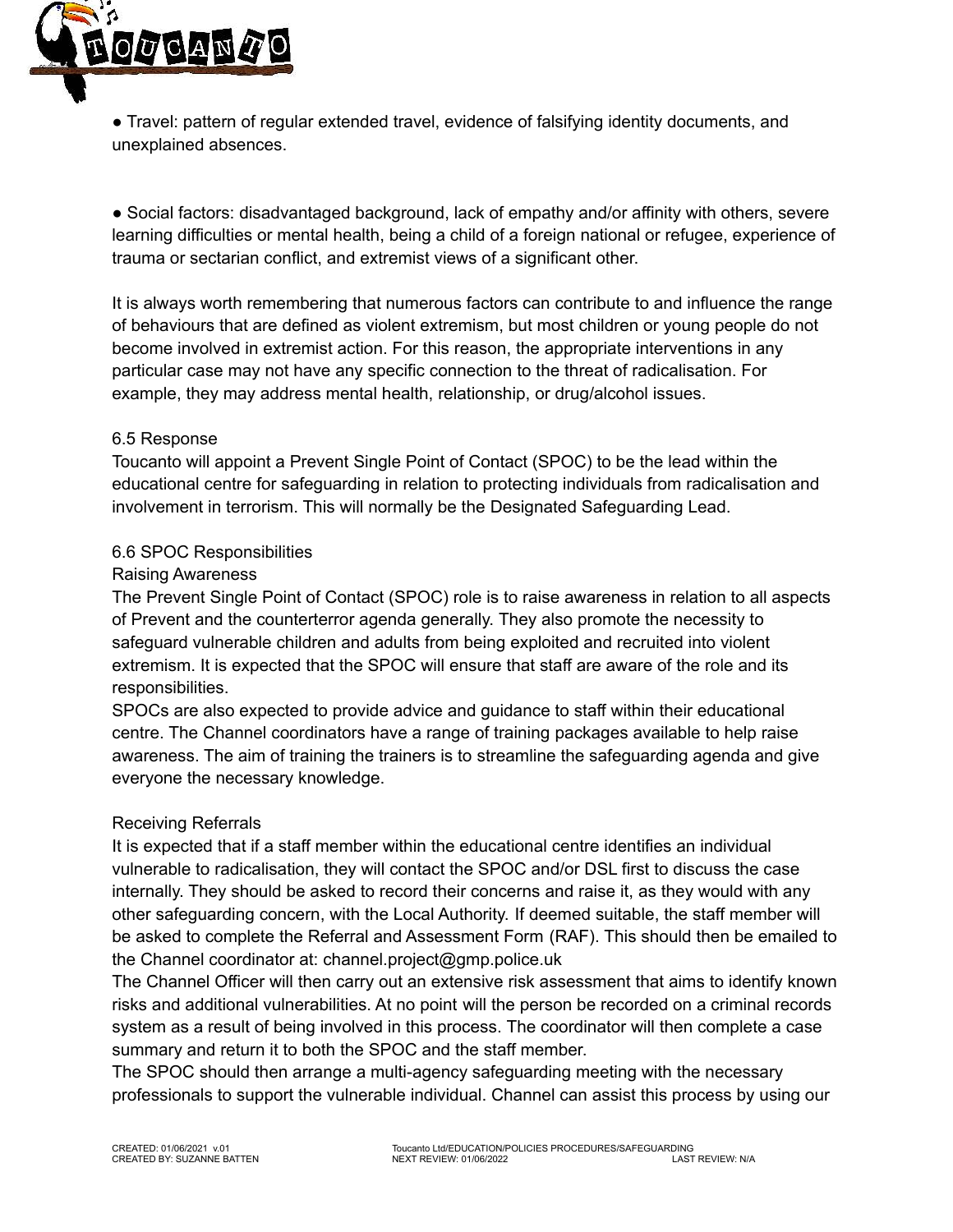

● Travel: pattern of regular extended travel, evidence of falsifying identity documents, and unexplained absences.

● Social factors: disadvantaged background, lack of empathy and/or affinity with others, severe learning difficulties or mental health, being a child of a foreign national or refugee, experience of trauma or sectarian conflict, and extremist views of a significant other.

It is always worth remembering that numerous factors can contribute to and influence the range of behaviours that are defined as violent extremism, but most children or young people do not become involved in extremist action. For this reason, the appropriate interventions in any particular case may not have any specific connection to the threat of radicalisation. For example, they may address mental health, relationship, or drug/alcohol issues.

#### 6.5 Response

Toucanto will appoint a Prevent Single Point of Contact (SPOC) to be the lead within the educational centre for safeguarding in relation to protecting individuals from radicalisation and involvement in terrorism. This will normally be the Designated Safeguarding Lead.

#### 6.6 SPOC Responsibilities

#### Raising Awareness

The Prevent Single Point of Contact (SPOC) role is to raise awareness in relation to all aspects of Prevent and the counterterror agenda generally. They also promote the necessity to safeguard vulnerable children and adults from being exploited and recruited into violent extremism. It is expected that the SPOC will ensure that staff are aware of the role and its responsibilities.

SPOCs are also expected to provide advice and guidance to staff within their educational centre. The Channel coordinators have a range of training packages available to help raise awareness. The aim of training the trainers is to streamline the safeguarding agenda and give everyone the necessary knowledge.

#### Receiving Referrals

It is expected that if a staff member within the educational centre identifies an individual vulnerable to radicalisation, they will contact the SPOC and/or DSL first to discuss the case internally. They should be asked to record their concerns and raise it, as they would with any other safeguarding concern, with the Local Authority. If deemed suitable, the staff member will be asked to complete the Referral and Assessment Form (RAF). This should then be emailed to the Channel coordinator at: channel.project@gmp.police.uk

The Channel Officer will then carry out an extensive risk assessment that aims to identify known risks and additional vulnerabilities. At no point will the person be recorded on a criminal records system as a result of being involved in this process. The coordinator will then complete a case summary and return it to both the SPOC and the staff member.

The SPOC should then arrange a multi-agency safeguarding meeting with the necessary professionals to support the vulnerable individual. Channel can assist this process by using our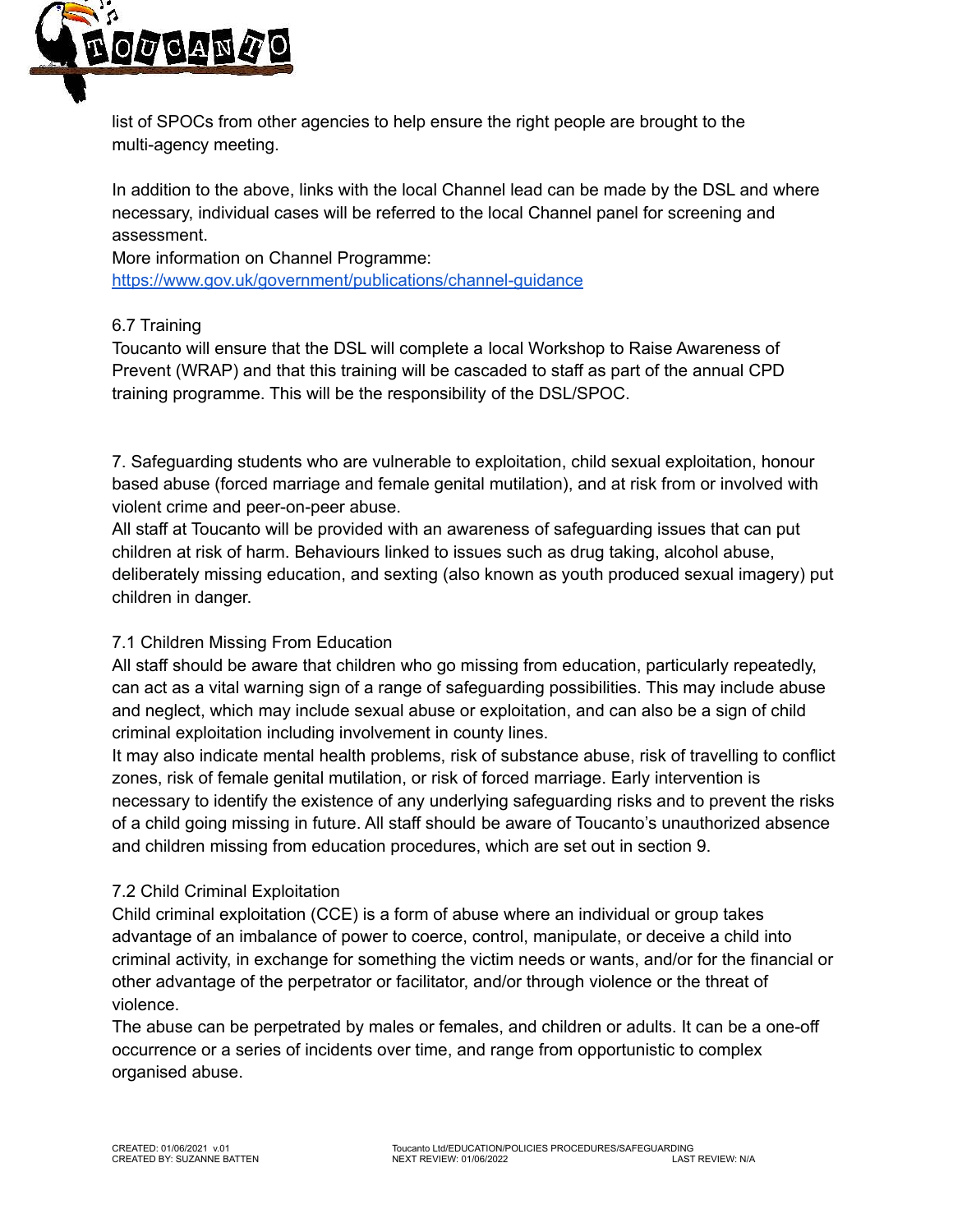

list of SPOCs from other agencies to help ensure the right people are brought to the multi-agency meeting.

In addition to the above, links with the local Channel lead can be made by the DSL and where necessary, individual cases will be referred to the local Channel panel for screening and assessment.

More information on Channel Programme: <https://www.gov.uk/government/publications/channel-guidance>

## 6.7 Training

Toucanto will ensure that the DSL will complete a local Workshop to Raise Awareness of Prevent (WRAP) and that this training will be cascaded to staff as part of the annual CPD training programme. This will be the responsibility of the DSL/SPOC.

7. Safeguarding students who are vulnerable to exploitation, child sexual exploitation, honour based abuse (forced marriage and female genital mutilation), and at risk from or involved with violent crime and peer-on-peer abuse.

All staff at Toucanto will be provided with an awareness of safeguarding issues that can put children at risk of harm. Behaviours linked to issues such as drug taking, alcohol abuse, deliberately missing education, and sexting (also known as youth produced sexual imagery) put children in danger.

# 7.1 Children Missing From Education

All staff should be aware that children who go missing from education, particularly repeatedly, can act as a vital warning sign of a range of safeguarding possibilities. This may include abuse and neglect, which may include sexual abuse or exploitation, and can also be a sign of child criminal exploitation including involvement in county lines.

It may also indicate mental health problems, risk of substance abuse, risk of travelling to conflict zones, risk of female genital mutilation, or risk of forced marriage. Early intervention is necessary to identify the existence of any underlying safeguarding risks and to prevent the risks of a child going missing in future. All staff should be aware of Toucanto's unauthorized absence and children missing from education procedures, which are set out in section 9.

# 7.2 Child Criminal Exploitation

Child criminal exploitation (CCE) is a form of abuse where an individual or group takes advantage of an imbalance of power to coerce, control, manipulate, or deceive a child into criminal activity, in exchange for something the victim needs or wants, and/or for the financial or other advantage of the perpetrator or facilitator, and/or through violence or the threat of violence.

The abuse can be perpetrated by males or females, and children or adults. It can be a one-off occurrence or a series of incidents over time, and range from opportunistic to complex organised abuse.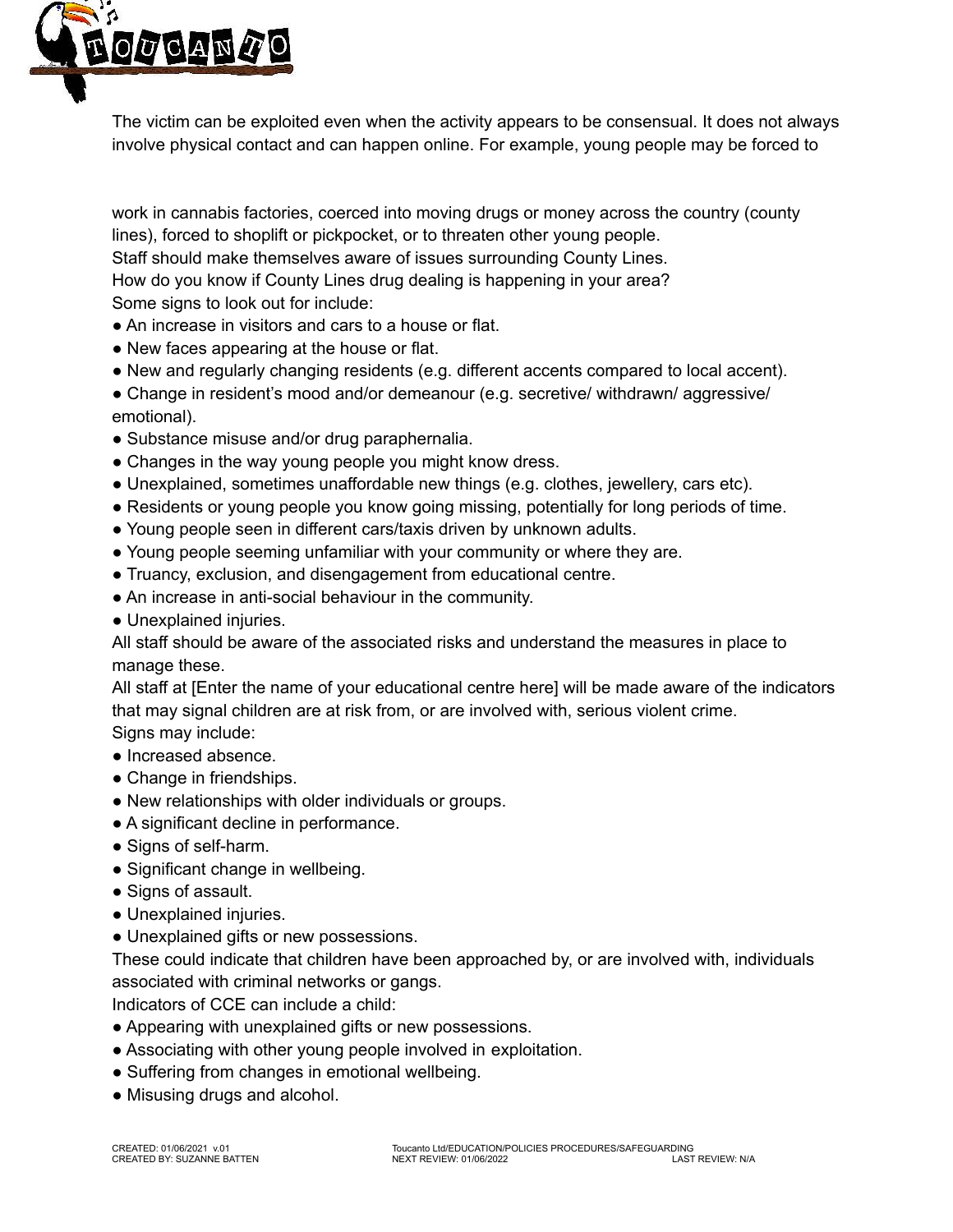

The victim can be exploited even when the activity appears to be consensual. It does not always involve physical contact and can happen online. For example, young people may be forced to

work in cannabis factories, coerced into moving drugs or money across the country (county lines), forced to shoplift or pickpocket, or to threaten other young people. Staff should make themselves aware of issues surrounding County Lines.

How do you know if County Lines drug dealing is happening in your area?

- Some signs to look out for include:
- An increase in visitors and cars to a house or flat.
- New faces appearing at the house or flat.
- New and regularly changing residents (e.g. different accents compared to local accent).
- Change in resident's mood and/or demeanour (e.g. secretive/ withdrawn/ aggressive/ emotional).
- Substance misuse and/or drug paraphernalia.
- Changes in the way young people you might know dress.
- Unexplained, sometimes unaffordable new things (e.g. clothes, jewellery, cars etc).
- Residents or young people you know going missing, potentially for long periods of time.
- Young people seen in different cars/taxis driven by unknown adults.
- Young people seeming unfamiliar with your community or where they are.
- Truancy, exclusion, and disengagement from educational centre.
- An increase in anti-social behaviour in the community.
- Unexplained injuries.

All staff should be aware of the associated risks and understand the measures in place to manage these.

All staff at [Enter the name of your educational centre here] will be made aware of the indicators that may signal children are at risk from, or are involved with, serious violent crime. Signs may include:

- Increased absence.
- Change in friendships.
- New relationships with older individuals or groups.
- A significant decline in performance.
- Signs of self-harm.
- Significant change in wellbeing.
- Signs of assault.
- Unexplained injuries.
- Unexplained gifts or new possessions.

These could indicate that children have been approached by, or are involved with, individuals associated with criminal networks or gangs.

Indicators of CCE can include a child:

- Appearing with unexplained gifts or new possessions.
- Associating with other young people involved in exploitation.
- Suffering from changes in emotional wellbeing.
- Misusing drugs and alcohol.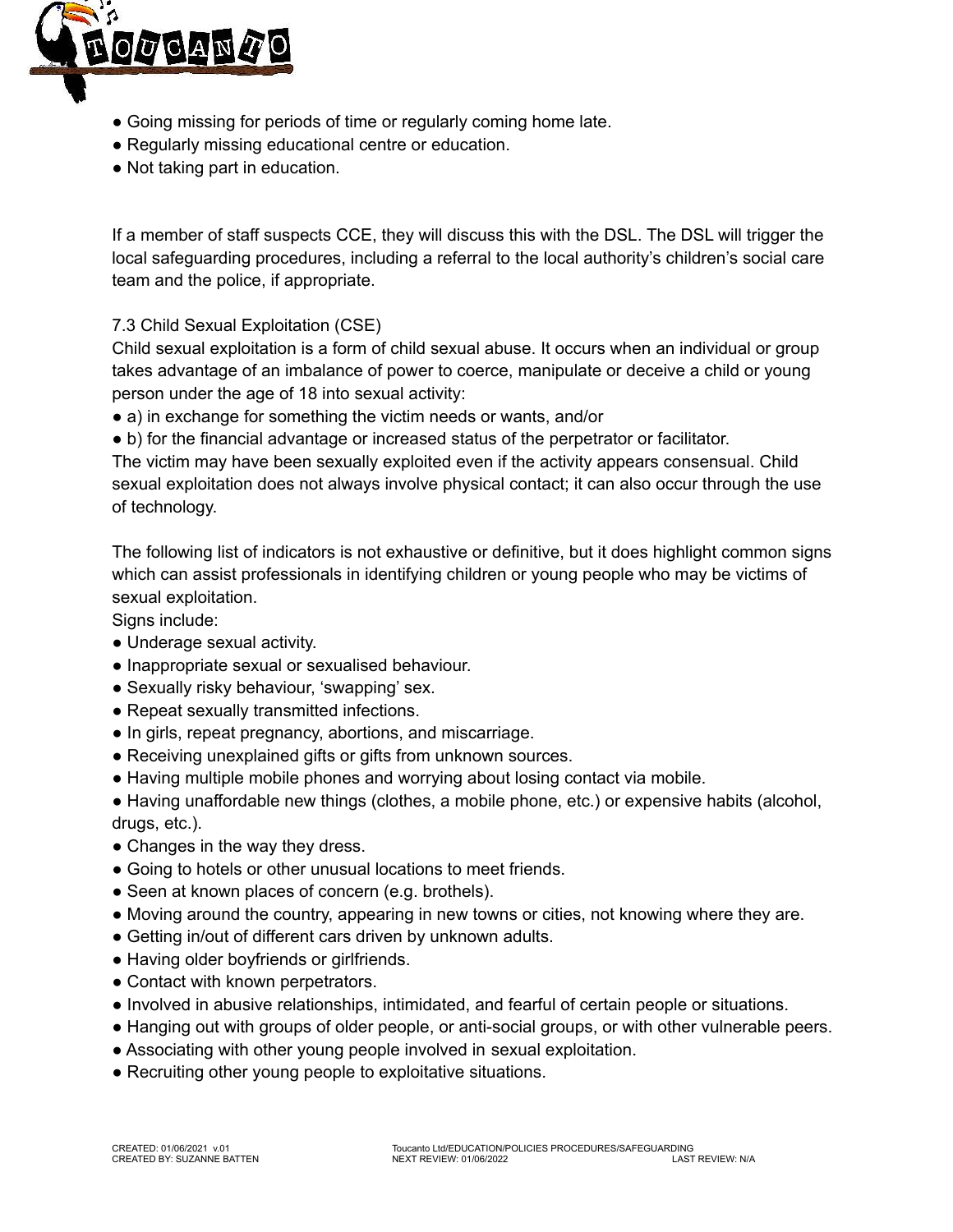

- Going missing for periods of time or regularly coming home late.
- Regularly missing educational centre or education.
- Not taking part in education.

If a member of staff suspects CCE, they will discuss this with the DSL. The DSL will trigger the local safeguarding procedures, including a referral to the local authority's children's social care team and the police, if appropriate.

## 7.3 Child Sexual Exploitation (CSE)

Child sexual exploitation is a form of child sexual abuse. It occurs when an individual or group takes advantage of an imbalance of power to coerce, manipulate or deceive a child or young person under the age of 18 into sexual activity:

• a) in exchange for something the victim needs or wants, and/or

● b) for the financial advantage or increased status of the perpetrator or facilitator.

The victim may have been sexually exploited even if the activity appears consensual. Child sexual exploitation does not always involve physical contact; it can also occur through the use of technology.

The following list of indicators is not exhaustive or definitive, but it does highlight common signs which can assist professionals in identifying children or young people who may be victims of sexual exploitation.

Signs include:

- Underage sexual activity.
- Inappropriate sexual or sexualised behaviour.
- Sexually risky behaviour, 'swapping' sex.
- Repeat sexually transmitted infections.
- In girls, repeat pregnancy, abortions, and miscarriage.
- Receiving unexplained gifts or gifts from unknown sources.
- Having multiple mobile phones and worrying about losing contact via mobile.
- Having unaffordable new things (clothes, a mobile phone, etc.) or expensive habits (alcohol, drugs, etc.).
- Changes in the way they dress.
- Going to hotels or other unusual locations to meet friends.
- Seen at known places of concern (e.g. brothels).
- Moving around the country, appearing in new towns or cities, not knowing where they are.
- Getting in/out of different cars driven by unknown adults.
- Having older boyfriends or girlfriends.
- Contact with known perpetrators.
- Involved in abusive relationships, intimidated, and fearful of certain people or situations.
- Hanging out with groups of older people, or anti-social groups, or with other vulnerable peers.
- Associating with other young people involved in sexual exploitation.
- Recruiting other young people to exploitative situations.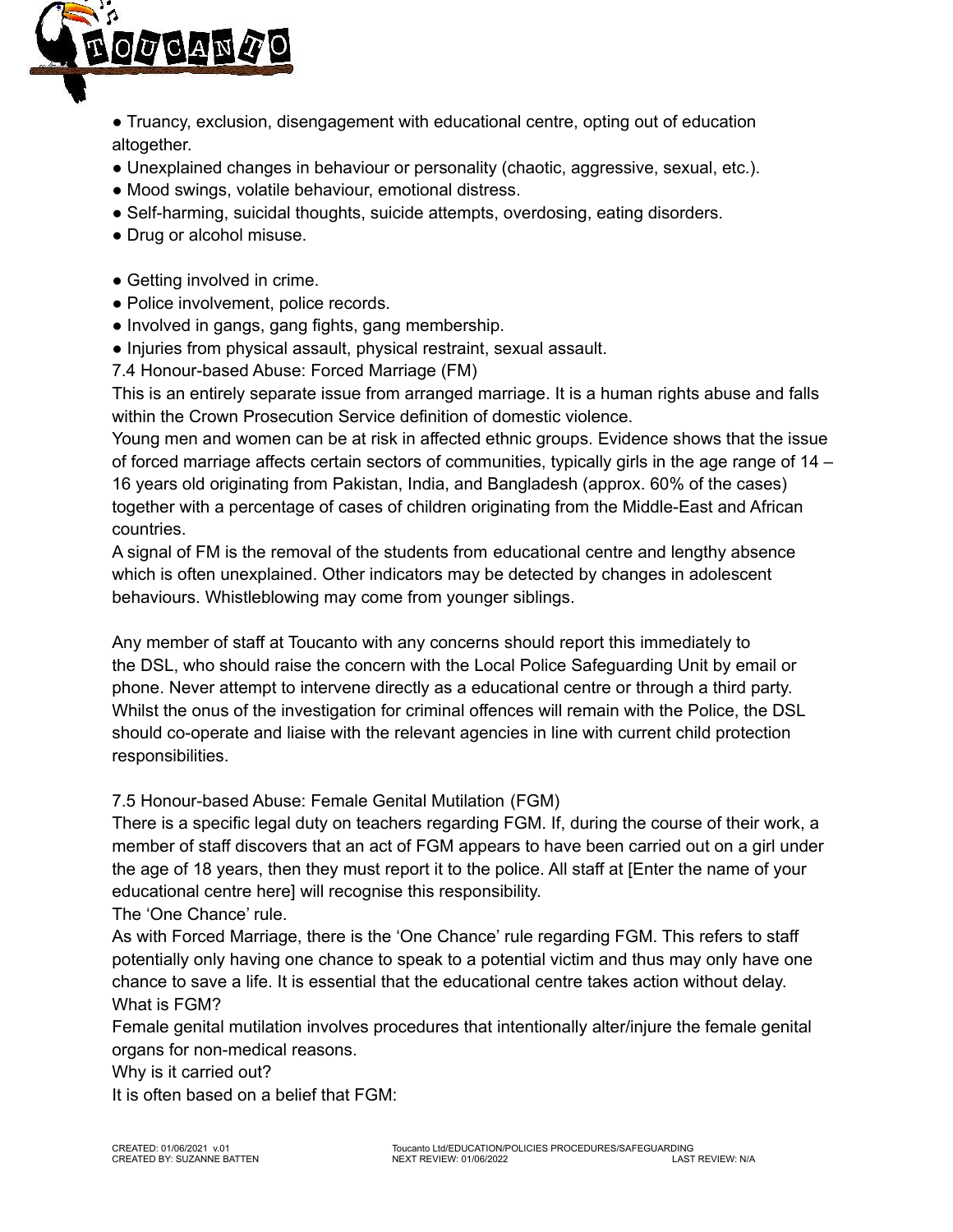

● Truancy, exclusion, disengagement with educational centre, opting out of education altogether.

- Unexplained changes in behaviour or personality (chaotic, aggressive, sexual, etc.).
- Mood swings, volatile behaviour, emotional distress.
- Self-harming, suicidal thoughts, suicide attempts, overdosing, eating disorders.
- Drug or alcohol misuse.
- Getting involved in crime.
- Police involvement, police records.
- Involved in gangs, gang fights, gang membership.
- Injuries from physical assault, physical restraint, sexual assault.
- 7.4 Honour-based Abuse: Forced Marriage (FM)

This is an entirely separate issue from arranged marriage. It is a human rights abuse and falls within the Crown Prosecution Service definition of domestic violence.

Young men and women can be at risk in affected ethnic groups. Evidence shows that the issue of forced marriage affects certain sectors of communities, typically girls in the age range of 14 – 16 years old originating from Pakistan, India, and Bangladesh (approx. 60% of the cases) together with a percentage of cases of children originating from the Middle-East and African countries.

A signal of FM is the removal of the students from educational centre and lengthy absence which is often unexplained. Other indicators may be detected by changes in adolescent behaviours. Whistleblowing may come from younger siblings.

Any member of staff at Toucanto with any concerns should report this immediately to the DSL, who should raise the concern with the Local Police Safeguarding Unit by email or phone. Never attempt to intervene directly as a educational centre or through a third party. Whilst the onus of the investigation for criminal offences will remain with the Police, the DSL should co-operate and liaise with the relevant agencies in line with current child protection responsibilities.

#### 7.5 Honour-based Abuse: Female Genital Mutilation (FGM)

There is a specific legal duty on teachers regarding FGM. If, during the course of their work, a member of staff discovers that an act of FGM appears to have been carried out on a girl under the age of 18 years, then they must report it to the police. All staff at [Enter the name of your educational centre here] will recognise this responsibility.

The 'One Chance' rule.

As with Forced Marriage, there is the 'One Chance' rule regarding FGM. This refers to staff potentially only having one chance to speak to a potential victim and thus may only have one chance to save a life. It is essential that the educational centre takes action without delay. What is FGM?

Female genital mutilation involves procedures that intentionally alter/injure the female genital organs for non-medical reasons.

Why is it carried out?

It is often based on a belief that FGM: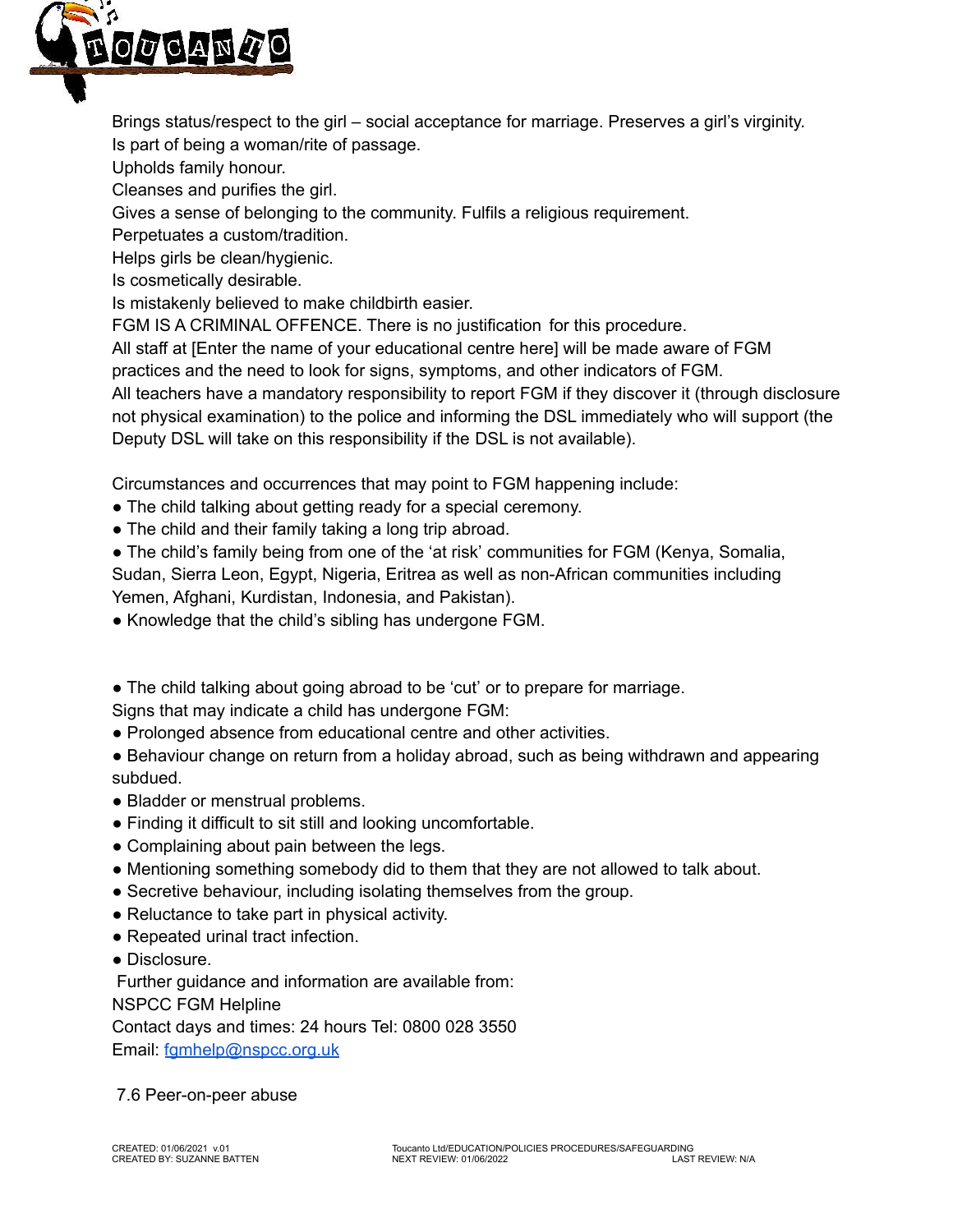

Brings status/respect to the girl – social acceptance for marriage. Preserves a girl's virginity. Is part of being a woman/rite of passage.

Upholds family honour.

Cleanses and purifies the girl.

Gives a sense of belonging to the community. Fulfils a religious requirement.

Perpetuates a custom/tradition.

Helps girls be clean/hygienic.

Is cosmetically desirable.

Is mistakenly believed to make childbirth easier.

FGM IS A CRIMINAL OFFENCE. There is no justification for this procedure.

All staff at [Enter the name of your educational centre here] will be made aware of FGM

practices and the need to look for signs, symptoms, and other indicators of FGM.

All teachers have a mandatory responsibility to report FGM if they discover it (through disclosure not physical examination) to the police and informing the DSL immediately who will support (the Deputy DSL will take on this responsibility if the DSL is not available).

Circumstances and occurrences that may point to FGM happening include:

- The child talking about getting ready for a special ceremony.
- The child and their family taking a long trip abroad.
- The child's family being from one of the 'at risk' communities for FGM (Kenya, Somalia,

Sudan, Sierra Leon, Egypt, Nigeria, Eritrea as well as non-African communities including Yemen, Afghani, Kurdistan, Indonesia, and Pakistan).

● Knowledge that the child's sibling has undergone FGM.

• The child talking about going abroad to be 'cut' or to prepare for marriage.

Signs that may indicate a child has undergone FGM:

● Prolonged absence from educational centre and other activities.

● Behaviour change on return from a holiday abroad, such as being withdrawn and appearing subdued.

- Bladder or menstrual problems.
- Finding it difficult to sit still and looking uncomfortable.
- Complaining about pain between the legs.
- Mentioning something somebody did to them that they are not allowed to talk about.
- Secretive behaviour, including isolating themselves from the group.
- Reluctance to take part in physical activity.
- Repeated urinal tract infection.
- Disclosure.

Further guidance and information are available from:

NSPCC FGM Helpline

Contact days and times: 24 hours Tel: 0800 028 3550 Email: [fgmhelp@nspcc.org.uk](mailto:fgmhelp@nspcc.org.uk)

# 7.6 Peer-on-peer abuse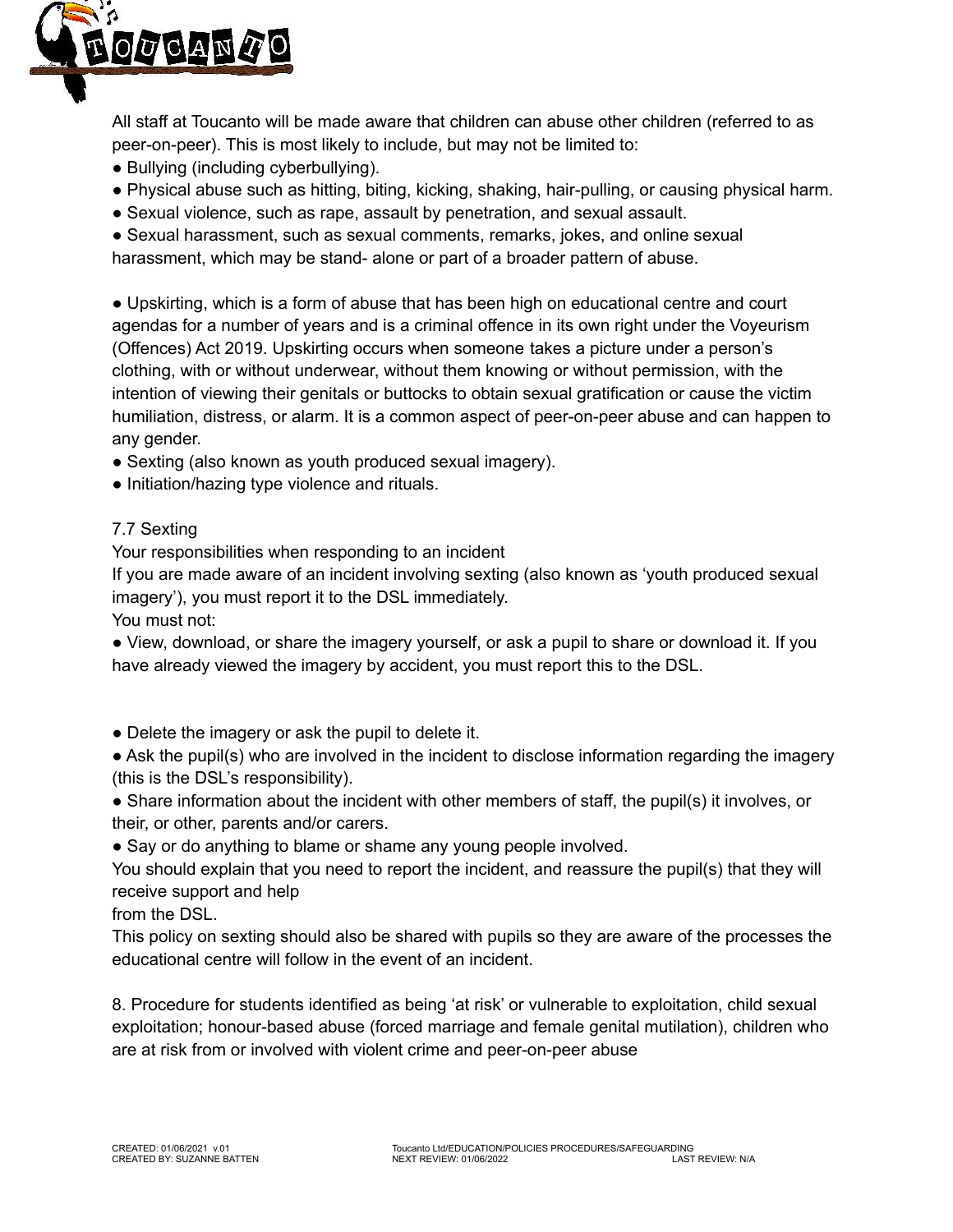

All staff at Toucanto will be made aware that children can abuse other children (referred to as peer-on-peer). This is most likely to include, but may not be limited to:

- Bullying (including cyberbullying).
- Physical abuse such as hitting, biting, kicking, shaking, hair-pulling, or causing physical harm.
- Sexual violence, such as rape, assault by penetration, and sexual assault.

● Sexual harassment, such as sexual comments, remarks, jokes, and online sexual harassment, which may be stand- alone or part of a broader pattern of abuse.

● Upskirting, which is a form of abuse that has been high on educational centre and court agendas for a number of years and is a criminal offence in its own right under the Voyeurism (Offences) Act 2019. Upskirting occurs when someone takes a picture under a person's clothing, with or without underwear, without them knowing or without permission, with the intention of viewing their genitals or buttocks to obtain sexual gratification or cause the victim humiliation, distress, or alarm. It is a common aspect of peer-on-peer abuse and can happen to any gender.

- Sexting (also known as youth produced sexual imagery).
- Initiation/hazing type violence and rituals.

# 7.7 Sexting

Your responsibilities when responding to an incident

If you are made aware of an incident involving sexting (also known as 'youth produced sexual imagery'), you must report it to the DSL immediately.

You must not:

● View, download, or share the imagery yourself, or ask a pupil to share or download it. If you have already viewed the imagery by accident, you must report this to the DSL.

• Delete the imagery or ask the pupil to delete it.

● Ask the pupil(s) who are involved in the incident to disclose information regarding the imagery (this is the DSL's responsibility).

● Share information about the incident with other members of staff, the pupil(s) it involves, or their, or other, parents and/or carers.

• Say or do anything to blame or shame any young people involved.

You should explain that you need to report the incident, and reassure the pupil(s) that they will receive support and help

from the DSL.

This policy on sexting should also be shared with pupils so they are aware of the processes the educational centre will follow in the event of an incident.

8. Procedure for students identified as being 'at risk' or vulnerable to exploitation, child sexual exploitation; honour-based abuse (forced marriage and female genital mutilation), children who are at risk from or involved with violent crime and peer-on-peer abuse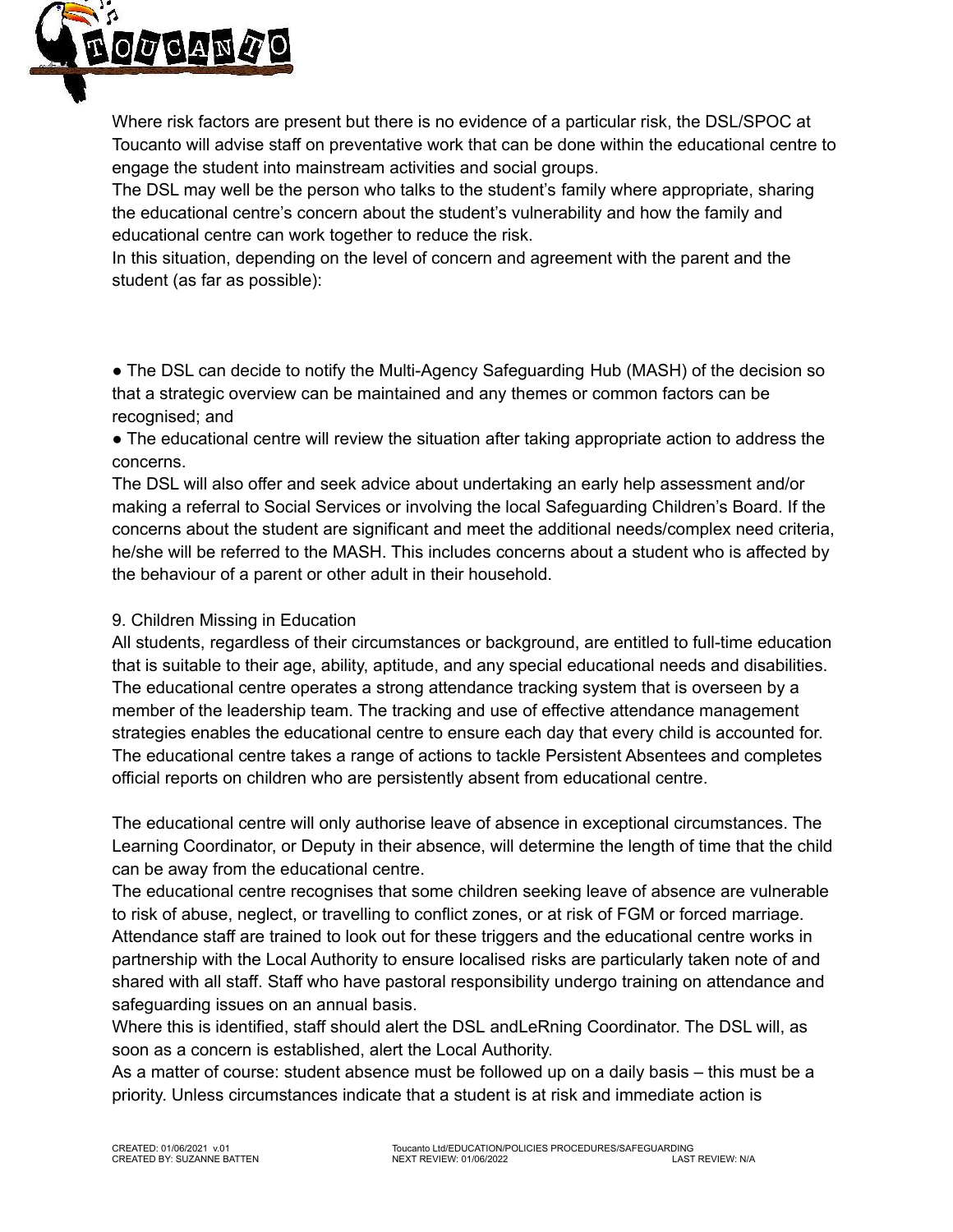

Where risk factors are present but there is no evidence of a particular risk, the DSL/SPOC at Toucanto will advise staff on preventative work that can be done within the educational centre to engage the student into mainstream activities and social groups.

The DSL may well be the person who talks to the student's family where appropriate, sharing the educational centre's concern about the student's vulnerability and how the family and educational centre can work together to reduce the risk.

In this situation, depending on the level of concern and agreement with the parent and the student (as far as possible):

• The DSL can decide to notify the Multi-Agency Safeguarding Hub (MASH) of the decision so that a strategic overview can be maintained and any themes or common factors can be recognised; and

● The educational centre will review the situation after taking appropriate action to address the concerns.

The DSL will also offer and seek advice about undertaking an early help assessment and/or making a referral to Social Services or involving the local Safeguarding Children's Board. If the concerns about the student are significant and meet the additional needs/complex need criteria, he/she will be referred to the MASH. This includes concerns about a student who is affected by the behaviour of a parent or other adult in their household.

# 9. Children Missing in Education

All students, regardless of their circumstances or background, are entitled to full-time education that is suitable to their age, ability, aptitude, and any special educational needs and disabilities. The educational centre operates a strong attendance tracking system that is overseen by a member of the leadership team. The tracking and use of effective attendance management strategies enables the educational centre to ensure each day that every child is accounted for. The educational centre takes a range of actions to tackle Persistent Absentees and completes official reports on children who are persistently absent from educational centre.

The educational centre will only authorise leave of absence in exceptional circumstances. The Learning Coordinator, or Deputy in their absence, will determine the length of time that the child can be away from the educational centre.

The educational centre recognises that some children seeking leave of absence are vulnerable to risk of abuse, neglect, or travelling to conflict zones, or at risk of FGM or forced marriage. Attendance staff are trained to look out for these triggers and the educational centre works in partnership with the Local Authority to ensure localised risks are particularly taken note of and shared with all staff. Staff who have pastoral responsibility undergo training on attendance and safeguarding issues on an annual basis.

Where this is identified, staff should alert the DSL andLeRning Coordinator. The DSL will, as soon as a concern is established, alert the Local Authority.

As a matter of course: student absence must be followed up on a daily basis – this must be a priority. Unless circumstances indicate that a student is at risk and immediate action is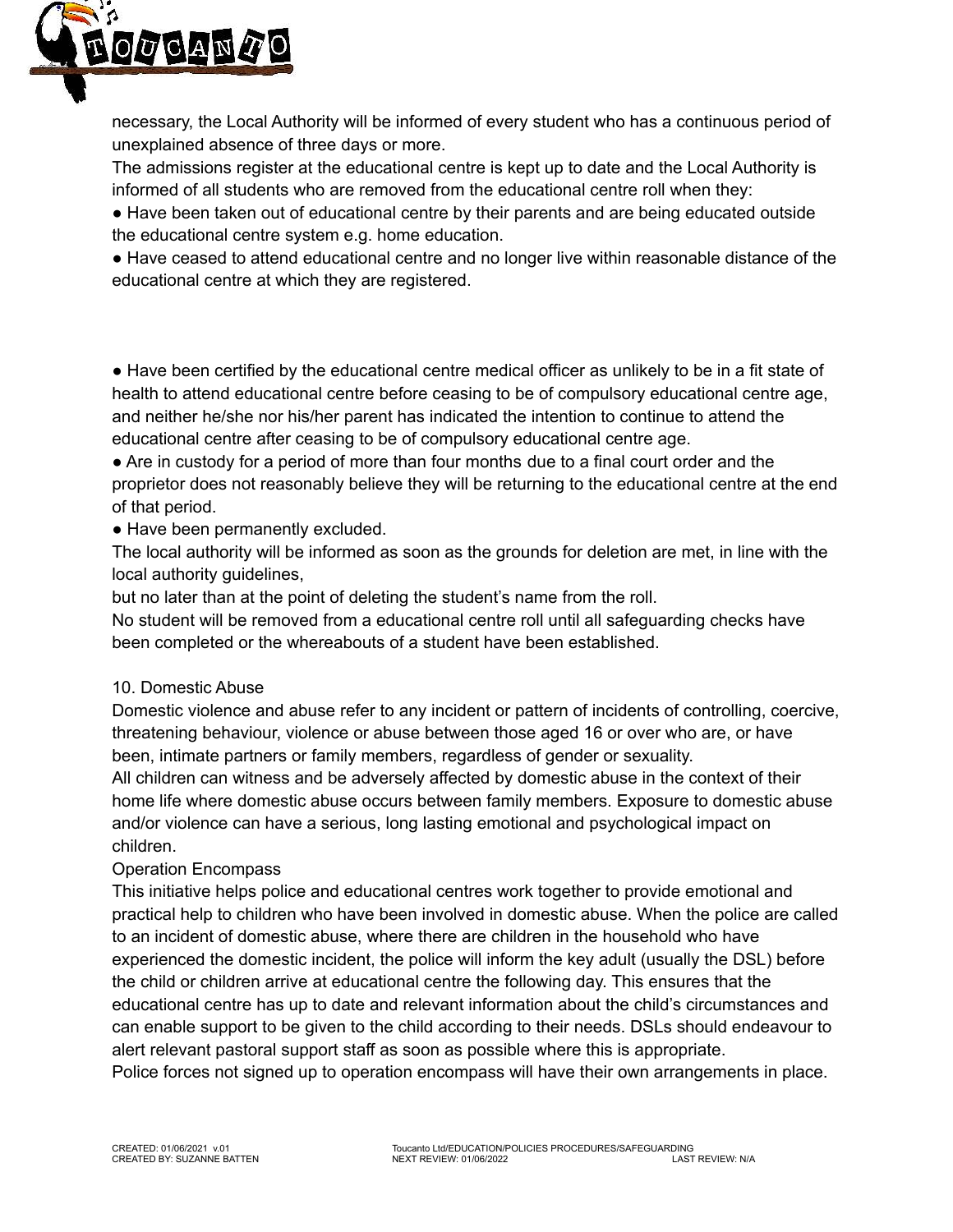

necessary, the Local Authority will be informed of every student who has a continuous period of unexplained absence of three days or more.

The admissions register at the educational centre is kept up to date and the Local Authority is informed of all students who are removed from the educational centre roll when they:

• Have been taken out of educational centre by their parents and are being educated outside the educational centre system e.g. home education.

● Have ceased to attend educational centre and no longer live within reasonable distance of the educational centre at which they are registered.

● Have been certified by the educational centre medical officer as unlikely to be in a fit state of health to attend educational centre before ceasing to be of compulsory educational centre age, and neither he/she nor his/her parent has indicated the intention to continue to attend the educational centre after ceasing to be of compulsory educational centre age.

• Are in custody for a period of more than four months due to a final court order and the proprietor does not reasonably believe they will be returning to the educational centre at the end of that period.

• Have been permanently excluded.

The local authority will be informed as soon as the grounds for deletion are met, in line with the local authority guidelines,

but no later than at the point of deleting the student's name from the roll.

No student will be removed from a educational centre roll until all safeguarding checks have been completed or the whereabouts of a student have been established.

#### 10. Domestic Abuse

Domestic violence and abuse refer to any incident or pattern of incidents of controlling, coercive, threatening behaviour, violence or abuse between those aged 16 or over who are, or have been, intimate partners or family members, regardless of gender or sexuality.

All children can witness and be adversely affected by domestic abuse in the context of their home life where domestic abuse occurs between family members. Exposure to domestic abuse and/or violence can have a serious, long lasting emotional and psychological impact on children.

# Operation Encompass

This initiative helps police and educational centres work together to provide emotional and practical help to children who have been involved in domestic abuse. When the police are called to an incident of domestic abuse, where there are children in the household who have experienced the domestic incident, the police will inform the key adult (usually the DSL) before the child or children arrive at educational centre the following day. This ensures that the educational centre has up to date and relevant information about the child's circumstances and can enable support to be given to the child according to their needs. DSLs should endeavour to alert relevant pastoral support staff as soon as possible where this is appropriate.

Police forces not signed up to operation encompass will have their own arrangements in place.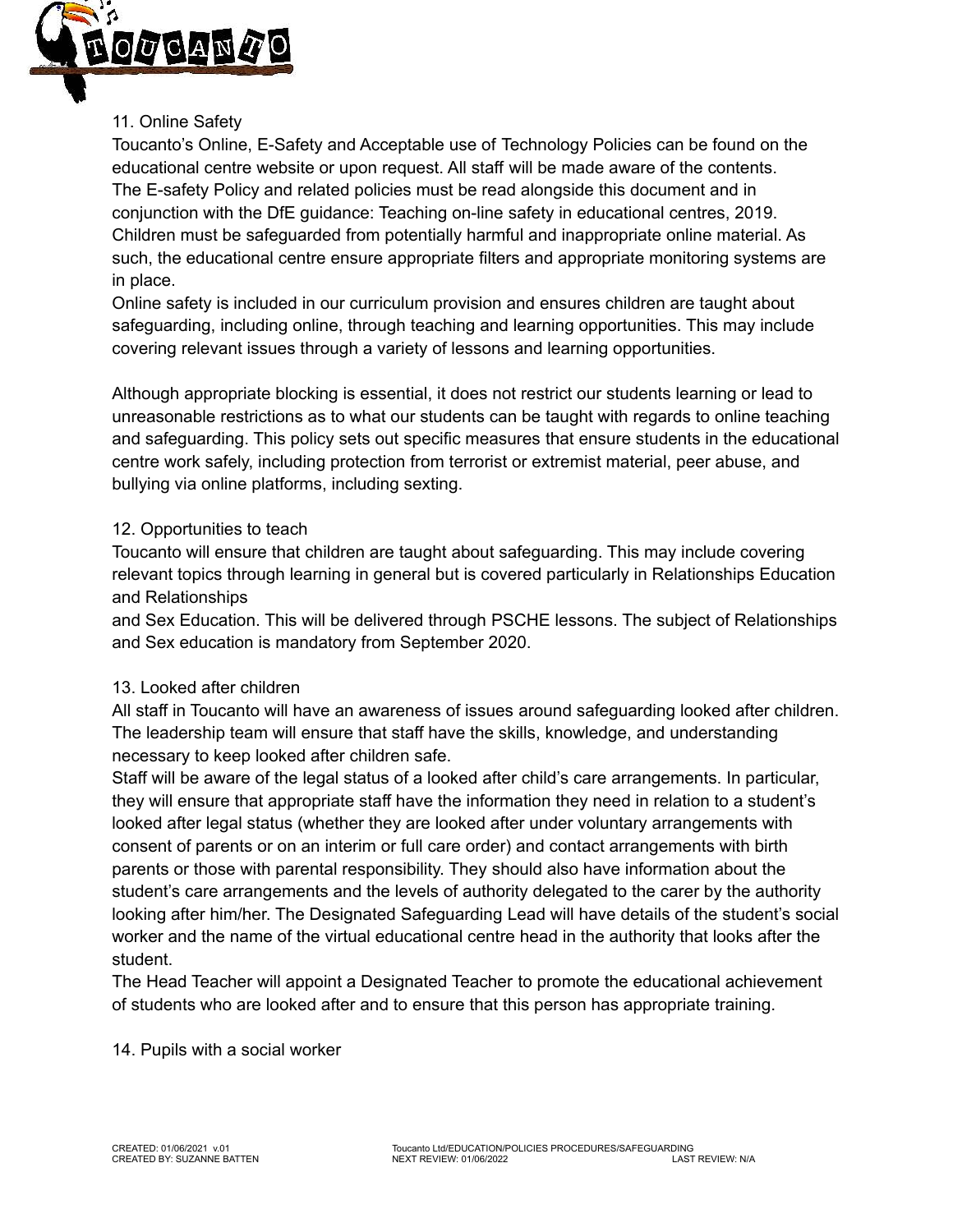

# 11. Online Safety

Toucanto's Online, E-Safety and Acceptable use of Technology Policies can be found on the educational centre website or upon request. All staff will be made aware of the contents. The E-safety Policy and related policies must be read alongside this document and in conjunction with the DfE guidance: Teaching on-line safety in educational centres, 2019. Children must be safeguarded from potentially harmful and inappropriate online material. As such, the educational centre ensure appropriate filters and appropriate monitoring systems are in place.

Online safety is included in our curriculum provision and ensures children are taught about safeguarding, including online, through teaching and learning opportunities. This may include covering relevant issues through a variety of lessons and learning opportunities.

Although appropriate blocking is essential, it does not restrict our students learning or lead to unreasonable restrictions as to what our students can be taught with regards to online teaching and safeguarding. This policy sets out specific measures that ensure students in the educational centre work safely, including protection from terrorist or extremist material, peer abuse, and bullying via online platforms, including sexting.

# 12. Opportunities to teach

Toucanto will ensure that children are taught about safeguarding. This may include covering relevant topics through learning in general but is covered particularly in Relationships Education and Relationships

and Sex Education. This will be delivered through PSCHE lessons. The subject of Relationships and Sex education is mandatory from September 2020.

# 13. Looked after children

All staff in Toucanto will have an awareness of issues around safeguarding looked after children. The leadership team will ensure that staff have the skills, knowledge, and understanding necessary to keep looked after children safe.

Staff will be aware of the legal status of a looked after child's care arrangements. In particular, they will ensure that appropriate staff have the information they need in relation to a student's looked after legal status (whether they are looked after under voluntary arrangements with consent of parents or on an interim or full care order) and contact arrangements with birth parents or those with parental responsibility. They should also have information about the student's care arrangements and the levels of authority delegated to the carer by the authority looking after him/her. The Designated Safeguarding Lead will have details of the student's social worker and the name of the virtual educational centre head in the authority that looks after the student.

The Head Teacher will appoint a Designated Teacher to promote the educational achievement of students who are looked after and to ensure that this person has appropriate training.

# 14. Pupils with a social worker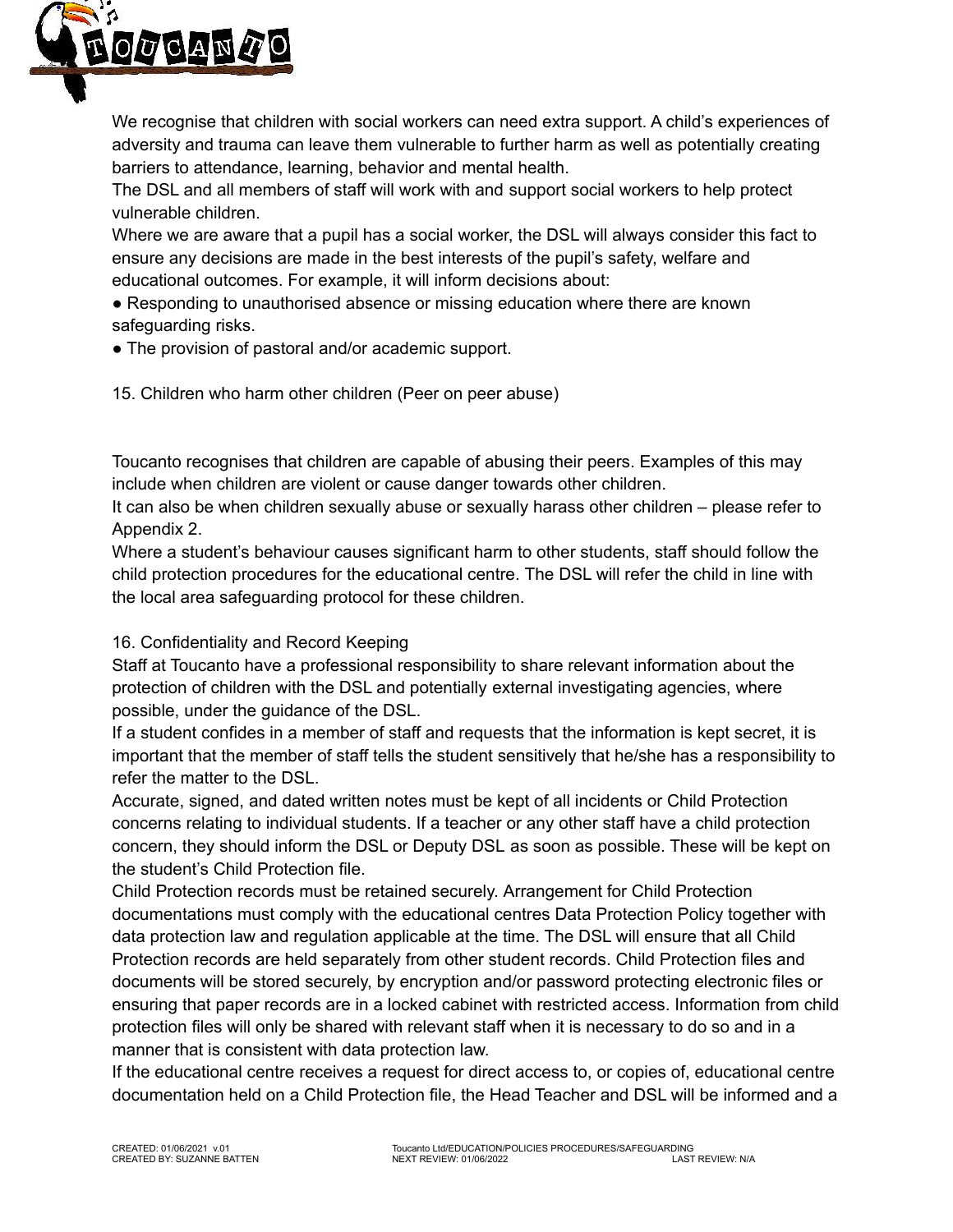

We recognise that children with social workers can need extra support. A child's experiences of adversity and trauma can leave them vulnerable to further harm as well as potentially creating barriers to attendance, learning, behavior and mental health.

The DSL and all members of staff will work with and support social workers to help protect vulnerable children.

Where we are aware that a pupil has a social worker, the DSL will always consider this fact to ensure any decisions are made in the best interests of the pupil's safety, welfare and educational outcomes. For example, it will inform decisions about:

● Responding to unauthorised absence or missing education where there are known safeguarding risks.

• The provision of pastoral and/or academic support.

15. Children who harm other children (Peer on peer abuse)

Toucanto recognises that children are capable of abusing their peers. Examples of this may include when children are violent or cause danger towards other children.

It can also be when children sexually abuse or sexually harass other children – please refer to Appendix 2.

Where a student's behaviour causes significant harm to other students, staff should follow the child protection procedures for the educational centre. The DSL will refer the child in line with the local area safeguarding protocol for these children.

# 16. Confidentiality and Record Keeping

Staff at Toucanto have a professional responsibility to share relevant information about the protection of children with the DSL and potentially external investigating agencies, where possible, under the guidance of the DSL.

If a student confides in a member of staff and requests that the information is kept secret, it is important that the member of staff tells the student sensitively that he/she has a responsibility to refer the matter to the DSL.

Accurate, signed, and dated written notes must be kept of all incidents or Child Protection concerns relating to individual students. If a teacher or any other staff have a child protection concern, they should inform the DSL or Deputy DSL as soon as possible. These will be kept on the student's Child Protection file.

Child Protection records must be retained securely. Arrangement for Child Protection documentations must comply with the educational centres Data Protection Policy together with data protection law and regulation applicable at the time. The DSL will ensure that all Child Protection records are held separately from other student records. Child Protection files and documents will be stored securely, by encryption and/or password protecting electronic files or ensuring that paper records are in a locked cabinet with restricted access. Information from child protection files will only be shared with relevant staff when it is necessary to do so and in a manner that is consistent with data protection law.

If the educational centre receives a request for direct access to, or copies of, educational centre documentation held on a Child Protection file, the Head Teacher and DSL will be informed and a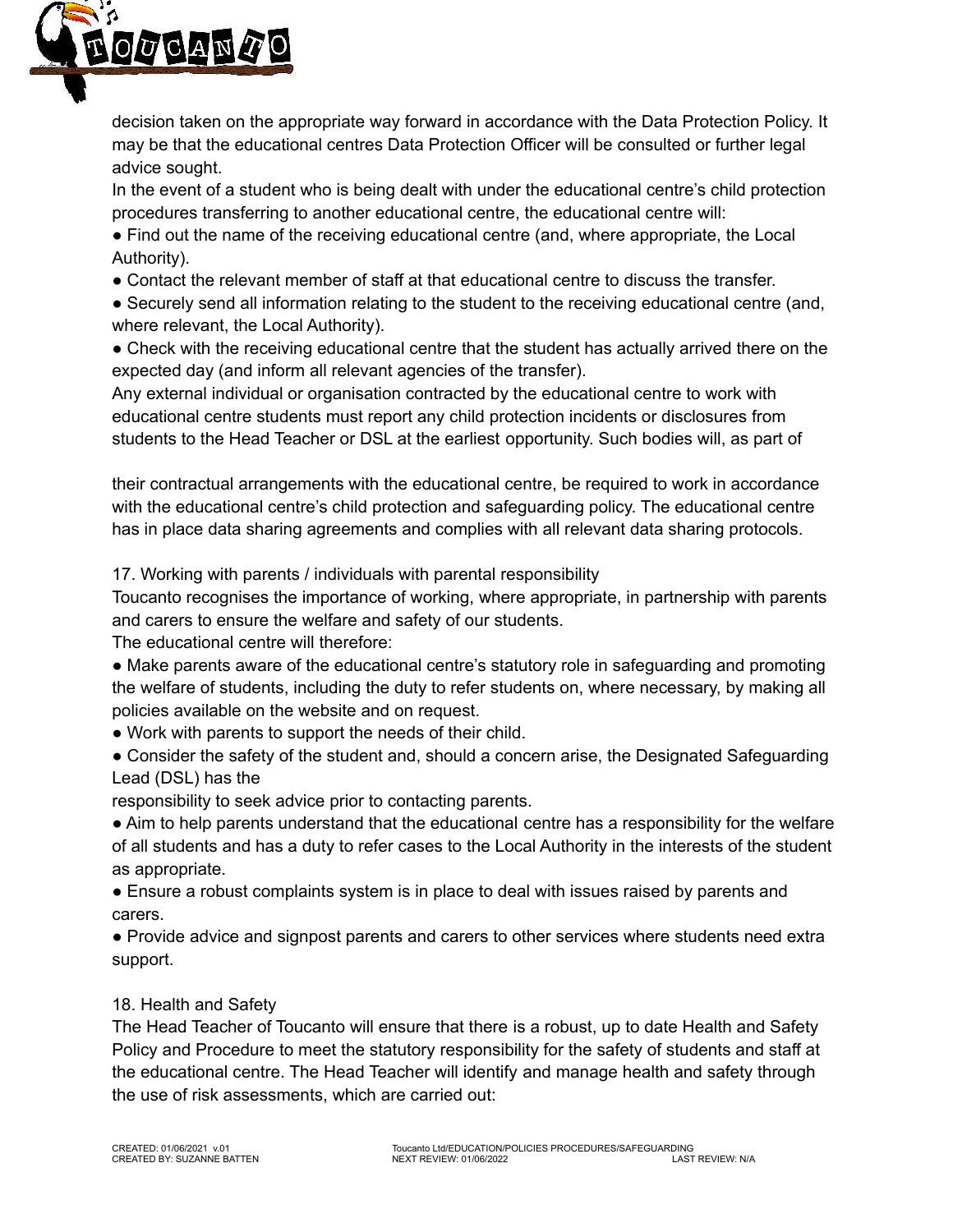

decision taken on the appropriate way forward in accordance with the Data Protection Policy. It may be that the educational centres Data Protection Officer will be consulted or further legal advice sought.

In the event of a student who is being dealt with under the educational centre's child protection procedures transferring to another educational centre, the educational centre will:

● Find out the name of the receiving educational centre (and, where appropriate, the Local Authority).

- Contact the relevant member of staff at that educational centre to discuss the transfer.
- Securely send all information relating to the student to the receiving educational centre (and, where relevant, the Local Authority).
- Check with the receiving educational centre that the student has actually arrived there on the expected day (and inform all relevant agencies of the transfer).

Any external individual or organisation contracted by the educational centre to work with educational centre students must report any child protection incidents or disclosures from students to the Head Teacher or DSL at the earliest opportunity. Such bodies will, as part of

their contractual arrangements with the educational centre, be required to work in accordance with the educational centre's child protection and safeguarding policy. The educational centre has in place data sharing agreements and complies with all relevant data sharing protocols.

17. Working with parents / individuals with parental responsibility

Toucanto recognises the importance of working, where appropriate, in partnership with parents and carers to ensure the welfare and safety of our students.

The educational centre will therefore:

• Make parents aware of the educational centre's statutory role in safeguarding and promoting the welfare of students, including the duty to refer students on, where necessary, by making all policies available on the website and on request.

• Work with parents to support the needs of their child.

• Consider the safety of the student and, should a concern arise, the Designated Safeguarding Lead (DSL) has the

responsibility to seek advice prior to contacting parents.

● Aim to help parents understand that the educational centre has a responsibility for the welfare of all students and has a duty to refer cases to the Local Authority in the interests of the student as appropriate.

● Ensure a robust complaints system is in place to deal with issues raised by parents and carers.

● Provide advice and signpost parents and carers to other services where students need extra support.

# 18. Health and Safety

The Head Teacher of Toucanto will ensure that there is a robust, up to date Health and Safety Policy and Procedure to meet the statutory responsibility for the safety of students and staff at the educational centre. The Head Teacher will identify and manage health and safety through the use of risk assessments, which are carried out: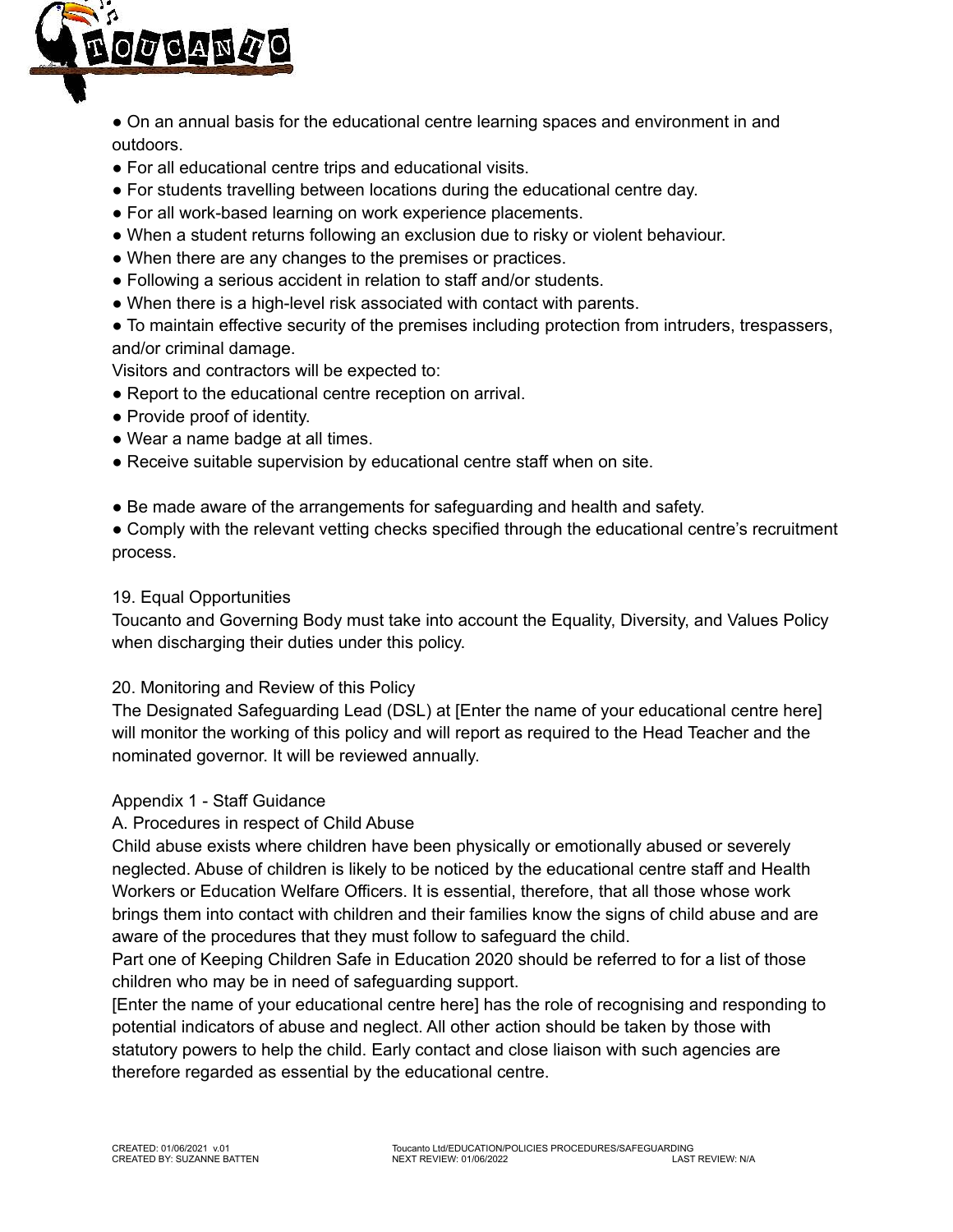

• On an annual basis for the educational centre learning spaces and environment in and outdoors.

- For all educational centre trips and educational visits.
- For students travelling between locations during the educational centre day.
- For all work-based learning on work experience placements.
- When a student returns following an exclusion due to risky or violent behaviour.
- When there are any changes to the premises or practices.
- Following a serious accident in relation to staff and/or students.
- When there is a high-level risk associated with contact with parents.
- To maintain effective security of the premises including protection from intruders, trespassers, and/or criminal damage.

Visitors and contractors will be expected to:

- Report to the educational centre reception on arrival.
- Provide proof of identity.
- Wear a name badge at all times.
- Receive suitable supervision by educational centre staff when on site.
- Be made aware of the arrangements for safeguarding and health and safety.
- Comply with the relevant vetting checks specified through the educational centre's recruitment process.

#### 19. Equal Opportunities

Toucanto and Governing Body must take into account the Equality, Diversity, and Values Policy when discharging their duties under this policy.

#### 20. Monitoring and Review of this Policy

The Designated Safeguarding Lead (DSL) at [Enter the name of your educational centre here] will monitor the working of this policy and will report as required to the Head Teacher and the nominated governor. It will be reviewed annually.

#### Appendix 1 - Staff Guidance

#### A. Procedures in respect of Child Abuse

Child abuse exists where children have been physically or emotionally abused or severely neglected. Abuse of children is likely to be noticed by the educational centre staff and Health Workers or Education Welfare Officers. It is essential, therefore, that all those whose work brings them into contact with children and their families know the signs of child abuse and are aware of the procedures that they must follow to safeguard the child.

Part one of Keeping Children Safe in Education 2020 should be referred to for a list of those children who may be in need of safeguarding support.

[Enter the name of your educational centre here] has the role of recognising and responding to potential indicators of abuse and neglect. All other action should be taken by those with statutory powers to help the child. Early contact and close liaison with such agencies are therefore regarded as essential by the educational centre.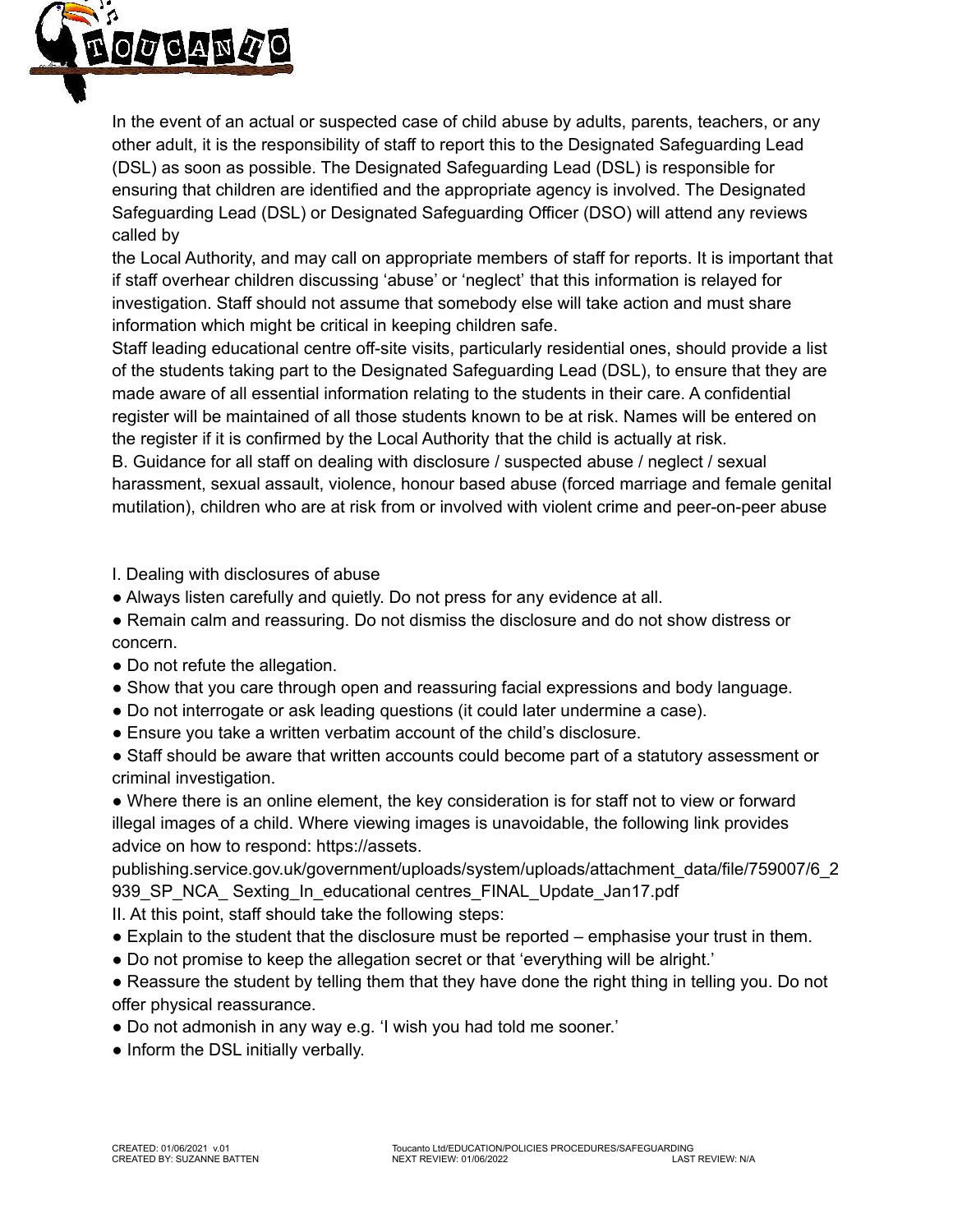

In the event of an actual or suspected case of child abuse by adults, parents, teachers, or any other adult, it is the responsibility of staff to report this to the Designated Safeguarding Lead (DSL) as soon as possible. The Designated Safeguarding Lead (DSL) is responsible for ensuring that children are identified and the appropriate agency is involved. The Designated Safeguarding Lead (DSL) or Designated Safeguarding Officer (DSO) will attend any reviews called by

the Local Authority, and may call on appropriate members of staff for reports. It is important that if staff overhear children discussing 'abuse' or 'neglect' that this information is relayed for investigation. Staff should not assume that somebody else will take action and must share information which might be critical in keeping children safe.

Staff leading educational centre off-site visits, particularly residential ones, should provide a list of the students taking part to the Designated Safeguarding Lead (DSL), to ensure that they are made aware of all essential information relating to the students in their care. A confidential register will be maintained of all those students known to be at risk. Names will be entered on the register if it is confirmed by the Local Authority that the child is actually at risk.

B. Guidance for all staff on dealing with disclosure / suspected abuse / neglect / sexual harassment, sexual assault, violence, honour based abuse (forced marriage and female genital mutilation), children who are at risk from or involved with violent crime and peer-on-peer abuse

I. Dealing with disclosures of abuse

- Always listen carefully and quietly. Do not press for any evidence at all.
- Remain calm and reassuring. Do not dismiss the disclosure and do not show distress or concern.
- Do not refute the allegation.
- Show that you care through open and reassuring facial expressions and body language.
- Do not interrogate or ask leading questions (it could later undermine a case).
- Ensure you take a written verbatim account of the child's disclosure.

● Staff should be aware that written accounts could become part of a statutory assessment or criminal investigation.

● Where there is an online element, the key consideration is for staff not to view or forward illegal images of a child. Where viewing images is unavoidable, the following link provides advice on how to respond: https://assets.

publishing.service.gov.uk/government/uploads/system/uploads/attachment\_data/file/759007/6\_2 939 SP\_NCA\_ Sexting\_In\_educational centres\_FINAL\_Update\_Jan17.pdf

II. At this point, staff should take the following steps:

- Explain to the student that the disclosure must be reported emphasise your trust in them.
- Do not promise to keep the allegation secret or that 'everything will be alright.'
- Reassure the student by telling them that they have done the right thing in telling you. Do not offer physical reassurance.
- Do not admonish in any way e.g. 'I wish you had told me sooner.'
- Inform the DSL initially verbally.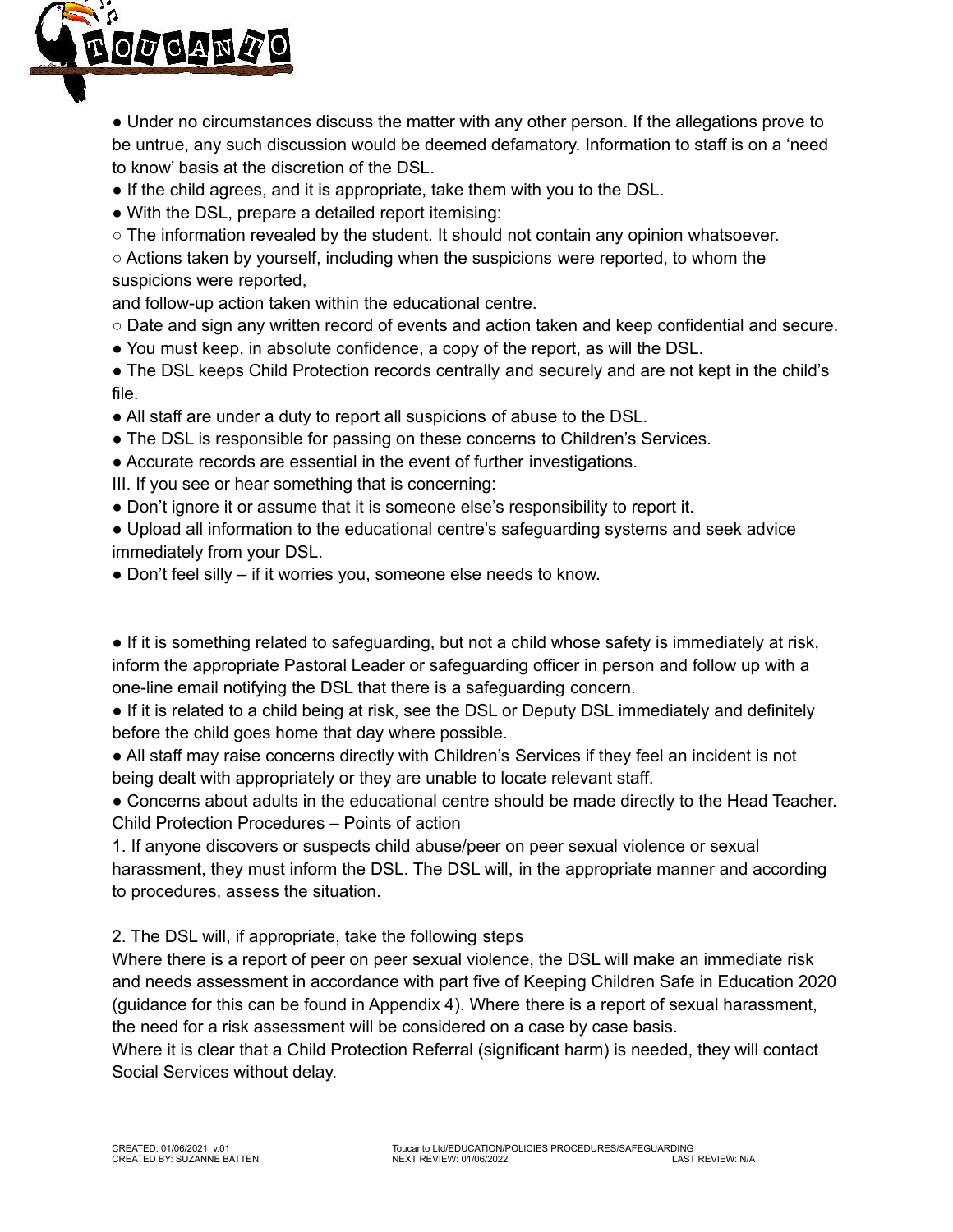

● Under no circumstances discuss the matter with any other person. If the allegations prove to be untrue, any such discussion would be deemed defamatory. Information to staff is on a 'need to know' basis at the discretion of the DSL.

• If the child agrees, and it is appropriate, take them with you to the DSL.

• With the DSL, prepare a detailed report itemising:

○ The information revealed by the student. It should not contain any opinion whatsoever.

○ Actions taken by yourself, including when the suspicions were reported, to whom the suspicions were reported,

and follow-up action taken within the educational centre.

○ Date and sign any written record of events and action taken and keep confidential and secure.

● You must keep, in absolute confidence, a copy of the report, as will the DSL.

• The DSL keeps Child Protection records centrally and securely and are not kept in the child's file.

• All staff are under a duty to report all suspicions of abuse to the DSL.

• The DSL is responsible for passing on these concerns to Children's Services.

● Accurate records are essential in the event of further investigations.

III. If you see or hear something that is concerning:

● Don't ignore it or assume that it is someone else's responsibility to report it.

● Upload all information to the educational centre's safeguarding systems and seek advice immediately from your DSL.

● Don't feel silly – if it worries you, someone else needs to know.

● If it is something related to safeguarding, but not a child whose safety is immediately at risk, inform the appropriate Pastoral Leader or safeguarding officer in person and follow up with a one-line email notifying the DSL that there is a safeguarding concern.

● If it is related to a child being at risk, see the DSL or Deputy DSL immediately and definitely before the child goes home that day where possible.

● All staff may raise concerns directly with Children's Services if they feel an incident is not being dealt with appropriately or they are unable to locate relevant staff.

● Concerns about adults in the educational centre should be made directly to the Head Teacher. Child Protection Procedures – Points of action

1. If anyone discovers or suspects child abuse/peer on peer sexual violence or sexual harassment, they must inform the DSL. The DSL will, in the appropriate manner and according to procedures, assess the situation.

2. The DSL will, if appropriate, take the following steps

Where there is a report of peer on peer sexual violence, the DSL will make an immediate risk and needs assessment in accordance with part five of Keeping Children Safe in Education 2020 (guidance for this can be found in Appendix 4). Where there is a report of sexual harassment, the need for a risk assessment will be considered on a case by case basis.

Where it is clear that a Child Protection Referral (significant harm) is needed, they will contact Social Services without delay.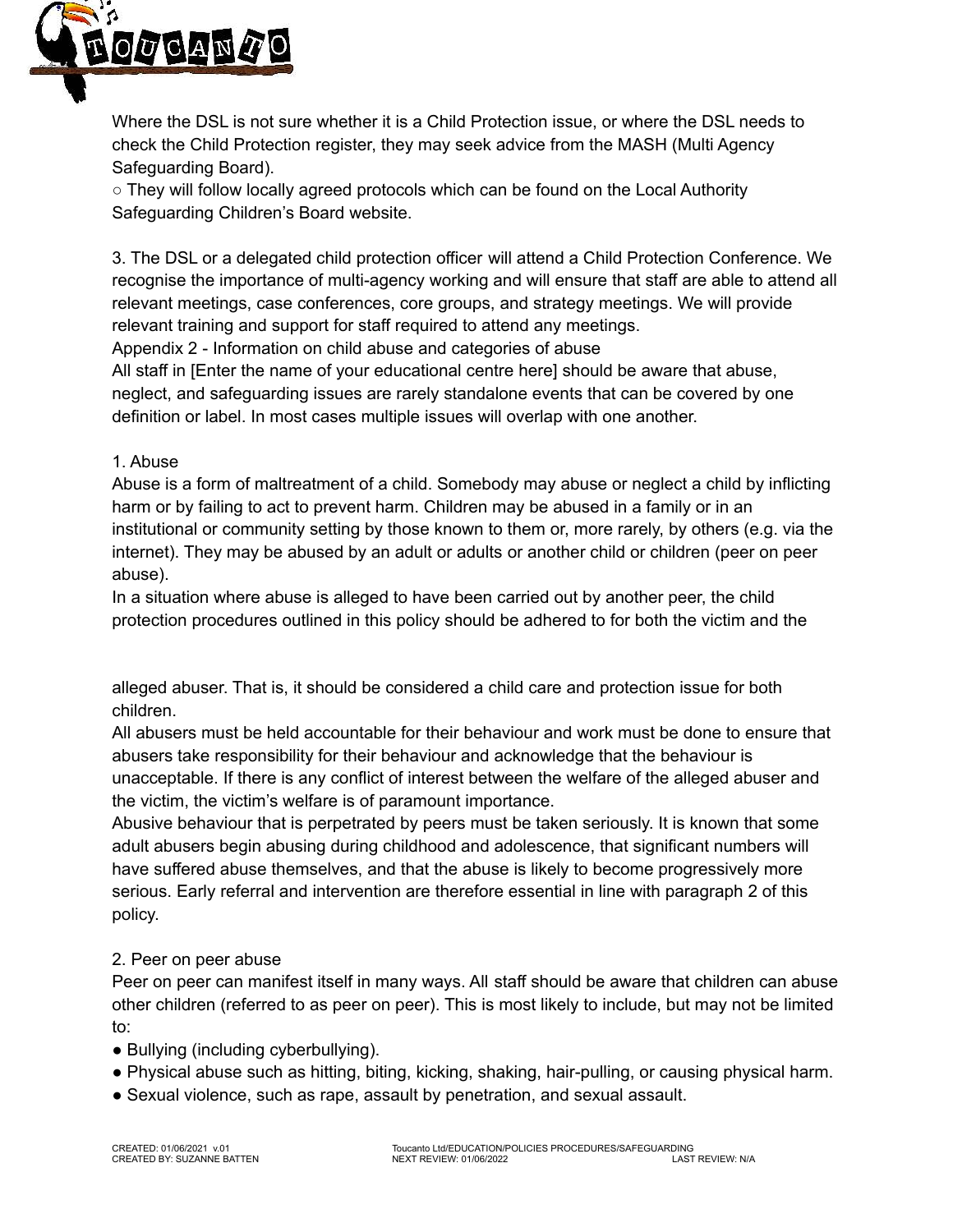

Where the DSL is not sure whether it is a Child Protection issue, or where the DSL needs to check the Child Protection register, they may seek advice from the MASH (Multi Agency Safeguarding Board).

○ They will follow locally agreed protocols which can be found on the Local Authority Safeguarding Children's Board website.

3. The DSL or a delegated child protection officer will attend a Child Protection Conference. We recognise the importance of multi-agency working and will ensure that staff are able to attend all relevant meetings, case conferences, core groups, and strategy meetings. We will provide relevant training and support for staff required to attend any meetings.

Appendix 2 - Information on child abuse and categories of abuse

All staff in [Enter the name of your educational centre here] should be aware that abuse, neglect, and safeguarding issues are rarely standalone events that can be covered by one definition or label. In most cases multiple issues will overlap with one another.

# 1. Abuse

Abuse is a form of maltreatment of a child. Somebody may abuse or neglect a child by inflicting harm or by failing to act to prevent harm. Children may be abused in a family or in an institutional or community setting by those known to them or, more rarely, by others (e.g. via the internet). They may be abused by an adult or adults or another child or children (peer on peer abuse).

In a situation where abuse is alleged to have been carried out by another peer, the child protection procedures outlined in this policy should be adhered to for both the victim and the

alleged abuser. That is, it should be considered a child care and protection issue for both children.

All abusers must be held accountable for their behaviour and work must be done to ensure that abusers take responsibility for their behaviour and acknowledge that the behaviour is unacceptable. If there is any conflict of interest between the welfare of the alleged abuser and the victim, the victim's welfare is of paramount importance.

Abusive behaviour that is perpetrated by peers must be taken seriously. It is known that some adult abusers begin abusing during childhood and adolescence, that significant numbers will have suffered abuse themselves, and that the abuse is likely to become progressively more serious. Early referral and intervention are therefore essential in line with paragraph 2 of this policy.

#### 2. Peer on peer abuse

Peer on peer can manifest itself in many ways. All staff should be aware that children can abuse other children (referred to as peer on peer). This is most likely to include, but may not be limited to:

- Bullying (including cyberbullying).
- Physical abuse such as hitting, biting, kicking, shaking, hair-pulling, or causing physical harm.
- Sexual violence, such as rape, assault by penetration, and sexual assault.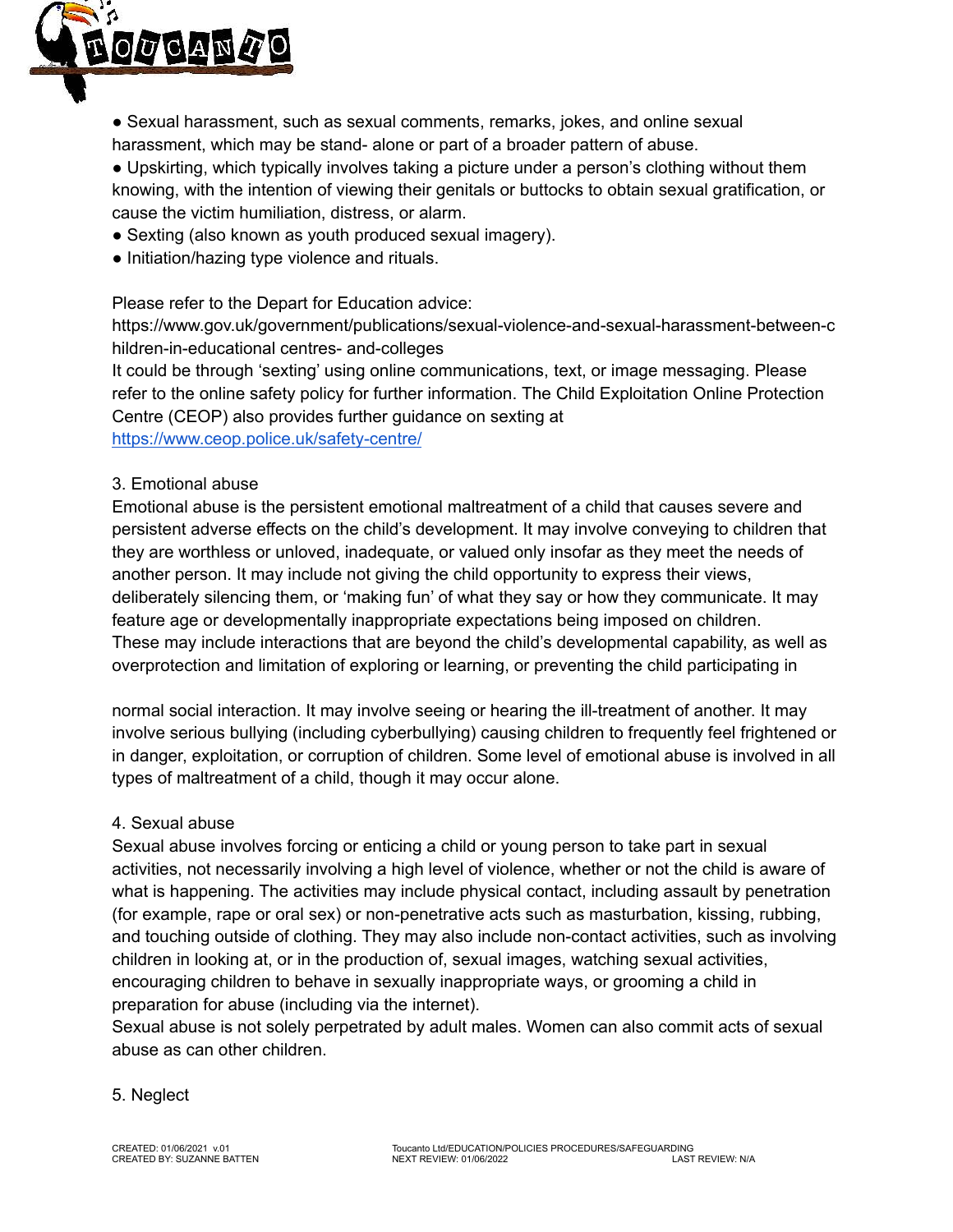

● Sexual harassment, such as sexual comments, remarks, jokes, and online sexual harassment, which may be stand- alone or part of a broader pattern of abuse.

• Upskirting, which typically involves taking a picture under a person's clothing without them knowing, with the intention of viewing their genitals or buttocks to obtain sexual gratification, or cause the victim humiliation, distress, or alarm.

- Sexting (also known as youth produced sexual imagery).
- Initiation/hazing type violence and rituals.

Please refer to the Depart for Education advice:

https://www.gov.uk/government/publications/sexual-violence-and-sexual-harassment-between-c hildren-in-educational centres- and-colleges

It could be through 'sexting' using online communications, text, or image messaging. Please refer to the online safety policy for further information. The Child Exploitation Online Protection Centre (CEOP) also provides further guidance on sexting at <https://www.ceop.police.uk/safety-centre/>

## 3. Emotional abuse

Emotional abuse is the persistent emotional maltreatment of a child that causes severe and persistent adverse effects on the child's development. It may involve conveying to children that they are worthless or unloved, inadequate, or valued only insofar as they meet the needs of another person. It may include not giving the child opportunity to express their views, deliberately silencing them, or 'making fun' of what they say or how they communicate. It may feature age or developmentally inappropriate expectations being imposed on children. These may include interactions that are beyond the child's developmental capability, as well as overprotection and limitation of exploring or learning, or preventing the child participating in

normal social interaction. It may involve seeing or hearing the ill-treatment of another. It may involve serious bullying (including cyberbullying) causing children to frequently feel frightened or in danger, exploitation, or corruption of children. Some level of emotional abuse is involved in all types of maltreatment of a child, though it may occur alone.

#### 4. Sexual abuse

Sexual abuse involves forcing or enticing a child or young person to take part in sexual activities, not necessarily involving a high level of violence, whether or not the child is aware of what is happening. The activities may include physical contact, including assault by penetration (for example, rape or oral sex) or non-penetrative acts such as masturbation, kissing, rubbing, and touching outside of clothing. They may also include non-contact activities, such as involving children in looking at, or in the production of, sexual images, watching sexual activities, encouraging children to behave in sexually inappropriate ways, or grooming a child in preparation for abuse (including via the internet).

Sexual abuse is not solely perpetrated by adult males. Women can also commit acts of sexual abuse as can other children.

#### 5. Neglect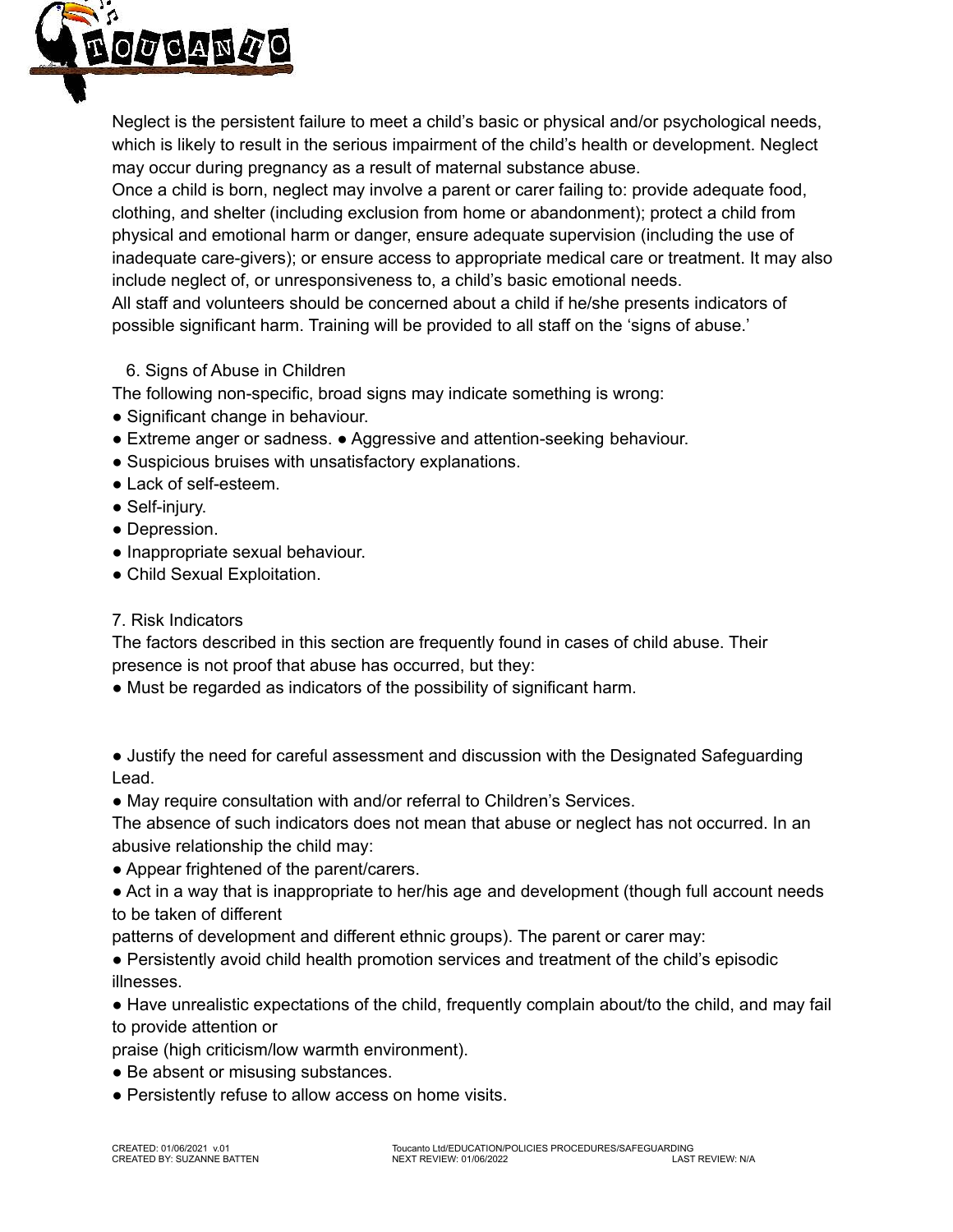

Neglect is the persistent failure to meet a child's basic or physical and/or psychological needs, which is likely to result in the serious impairment of the child's health or development. Neglect may occur during pregnancy as a result of maternal substance abuse.

Once a child is born, neglect may involve a parent or carer failing to: provide adequate food, clothing, and shelter (including exclusion from home or abandonment); protect a child from physical and emotional harm or danger, ensure adequate supervision (including the use of inadequate care-givers); or ensure access to appropriate medical care or treatment. It may also include neglect of, or unresponsiveness to, a child's basic emotional needs.

All staff and volunteers should be concerned about a child if he/she presents indicators of possible significant harm. Training will be provided to all staff on the 'signs of abuse.'

6. Signs of Abuse in Children

The following non-specific, broad signs may indicate something is wrong:

- Significant change in behaviour.
- Extreme anger or sadness. Aggressive and attention-seeking behaviour.
- Suspicious bruises with unsatisfactory explanations.
- Lack of self-esteem.
- Self-injury.
- Depression.
- Inappropriate sexual behaviour.
- Child Sexual Exploitation.

# 7. Risk Indicators

The factors described in this section are frequently found in cases of child abuse. Their presence is not proof that abuse has occurred, but they:

● Must be regarded as indicators of the possibility of significant harm.

● Justify the need for careful assessment and discussion with the Designated Safeguarding Lead.

● May require consultation with and/or referral to Children's Services.

The absence of such indicators does not mean that abuse or neglect has not occurred. In an abusive relationship the child may:

● Appear frightened of the parent/carers.

• Act in a way that is inappropriate to her/his age and development (though full account needs to be taken of different

patterns of development and different ethnic groups). The parent or carer may:

● Persistently avoid child health promotion services and treatment of the child's episodic illnesses.

• Have unrealistic expectations of the child, frequently complain about/to the child, and may fail to provide attention or

praise (high criticism/low warmth environment).

- Be absent or misusing substances.
- Persistently refuse to allow access on home visits.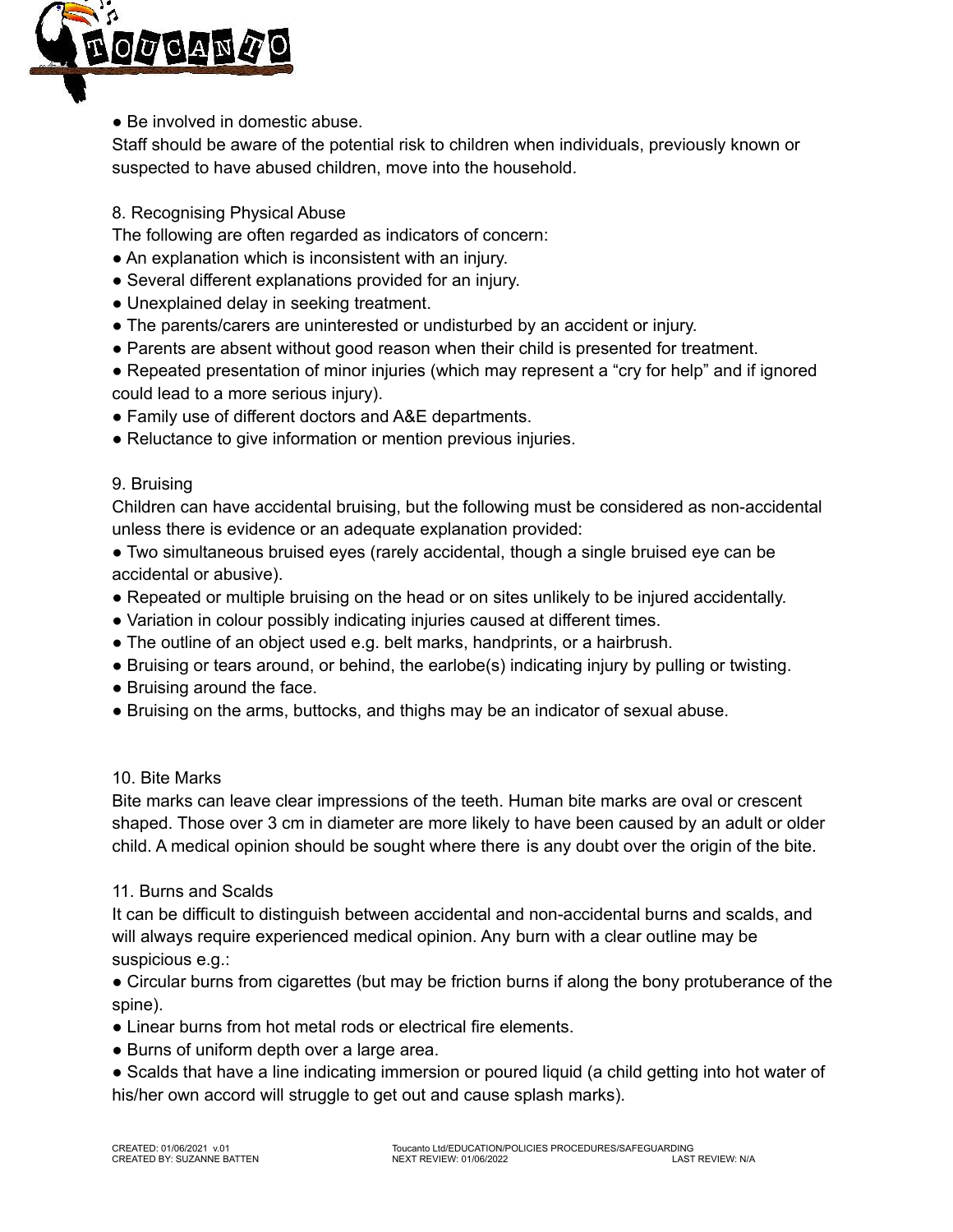

• Be involved in domestic abuse.

Staff should be aware of the potential risk to children when individuals, previously known or suspected to have abused children, move into the household.

## 8. Recognising Physical Abuse

The following are often regarded as indicators of concern:

- An explanation which is inconsistent with an injury.
- Several different explanations provided for an injury.
- Unexplained delay in seeking treatment.
- The parents/carers are uninterested or undisturbed by an accident or injury.
- Parents are absent without good reason when their child is presented for treatment.
- Repeated presentation of minor injuries (which may represent a "cry for help" and if ignored could lead to a more serious injury).
- Family use of different doctors and A&E departments.
- Reluctance to give information or mention previous injuries.

#### 9. Bruising

Children can have accidental bruising, but the following must be considered as non-accidental unless there is evidence or an adequate explanation provided:

- Two simultaneous bruised eyes (rarely accidental, though a single bruised eye can be accidental or abusive).
- Repeated or multiple bruising on the head or on sites unlikely to be injured accidentally.
- Variation in colour possibly indicating injuries caused at different times.
- The outline of an object used e.g. belt marks, handprints, or a hairbrush.
- Bruising or tears around, or behind, the earlobe(s) indicating injury by pulling or twisting.
- Bruising around the face.
- Bruising on the arms, buttocks, and thighs may be an indicator of sexual abuse.

#### 10. Bite Marks

Bite marks can leave clear impressions of the teeth. Human bite marks are oval or crescent shaped. Those over 3 cm in diameter are more likely to have been caused by an adult or older child. A medical opinion should be sought where there is any doubt over the origin of the bite.

#### 11. Burns and Scalds

It can be difficult to distinguish between accidental and non-accidental burns and scalds, and will always require experienced medical opinion. Any burn with a clear outline may be suspicious e.g.:

• Circular burns from cigarettes (but may be friction burns if along the bony protuberance of the spine).

- Linear burns from hot metal rods or electrical fire elements.
- Burns of uniform depth over a large area.
- Scalds that have a line indicating immersion or poured liquid (a child getting into hot water of his/her own accord will struggle to get out and cause splash marks).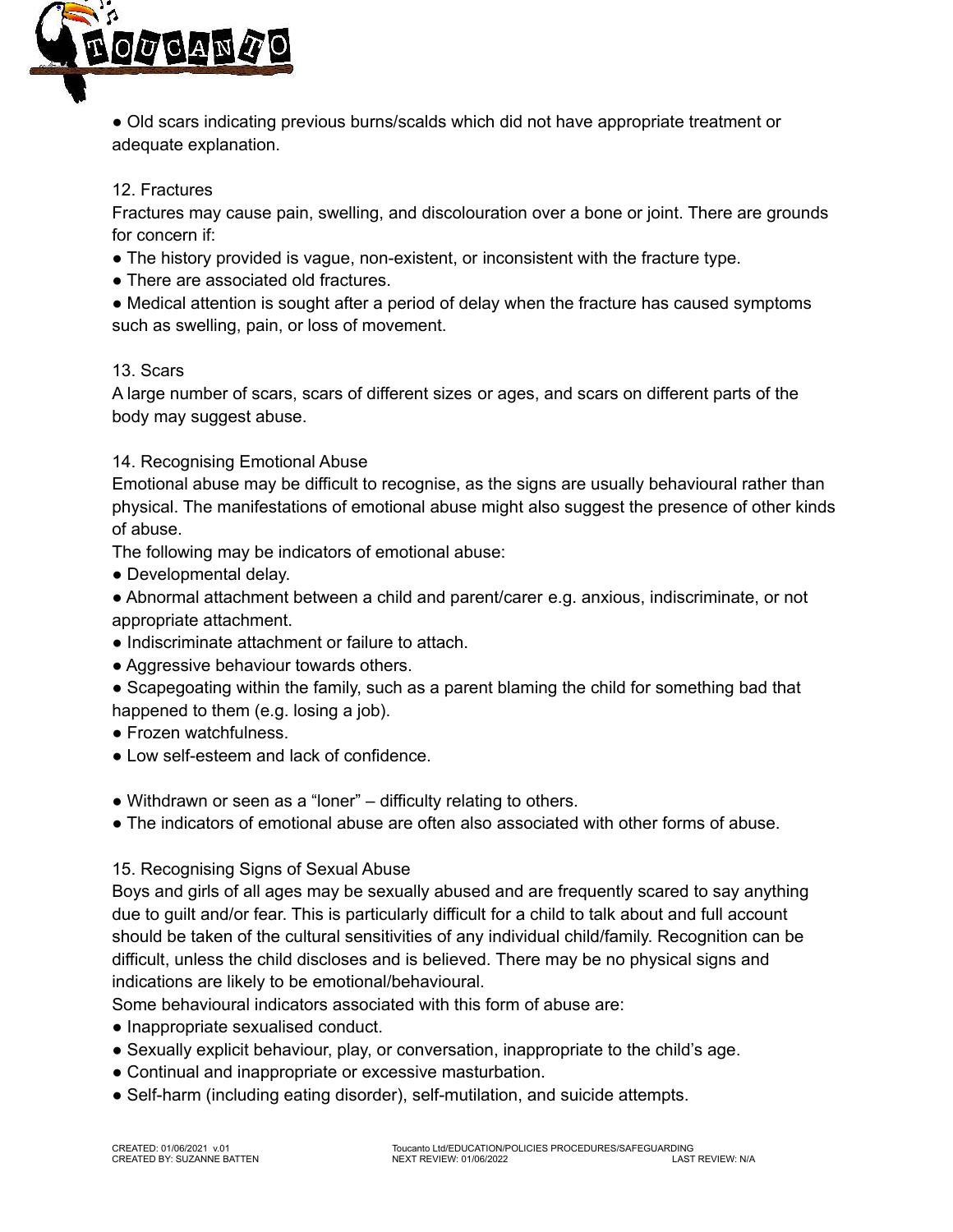

● Old scars indicating previous burns/scalds which did not have appropriate treatment or adequate explanation.

#### 12. Fractures

Fractures may cause pain, swelling, and discolouration over a bone or joint. There are grounds for concern if:

- The history provided is vague, non-existent, or inconsistent with the fracture type.
- There are associated old fractures.

• Medical attention is sought after a period of delay when the fracture has caused symptoms such as swelling, pain, or loss of movement.

## 13. Scars

A large number of scars, scars of different sizes or ages, and scars on different parts of the body may suggest abuse.

## 14. Recognising Emotional Abuse

Emotional abuse may be difficult to recognise, as the signs are usually behavioural rather than physical. The manifestations of emotional abuse might also suggest the presence of other kinds of abuse.

The following may be indicators of emotional abuse:

- Developmental delay.
- Abnormal attachment between a child and parent/carer e.g. anxious, indiscriminate, or not appropriate attachment.
- Indiscriminate attachment or failure to attach.
- Aggressive behaviour towards others.
- Scapegoating within the family, such as a parent blaming the child for something bad that happened to them (e.g. losing a job).
- Frozen watchfulness.
- Low self-esteem and lack of confidence.
- Withdrawn or seen as a "loner" difficulty relating to others.
- The indicators of emotional abuse are often also associated with other forms of abuse.

#### 15. Recognising Signs of Sexual Abuse

Boys and girls of all ages may be sexually abused and are frequently scared to say anything due to guilt and/or fear. This is particularly difficult for a child to talk about and full account should be taken of the cultural sensitivities of any individual child/family. Recognition can be difficult, unless the child discloses and is believed. There may be no physical signs and indications are likely to be emotional/behavioural.

Some behavioural indicators associated with this form of abuse are:

- Inappropriate sexualised conduct.
- Sexually explicit behaviour, play, or conversation, inappropriate to the child's age.
- Continual and inappropriate or excessive masturbation.
- Self-harm (including eating disorder), self-mutilation, and suicide attempts.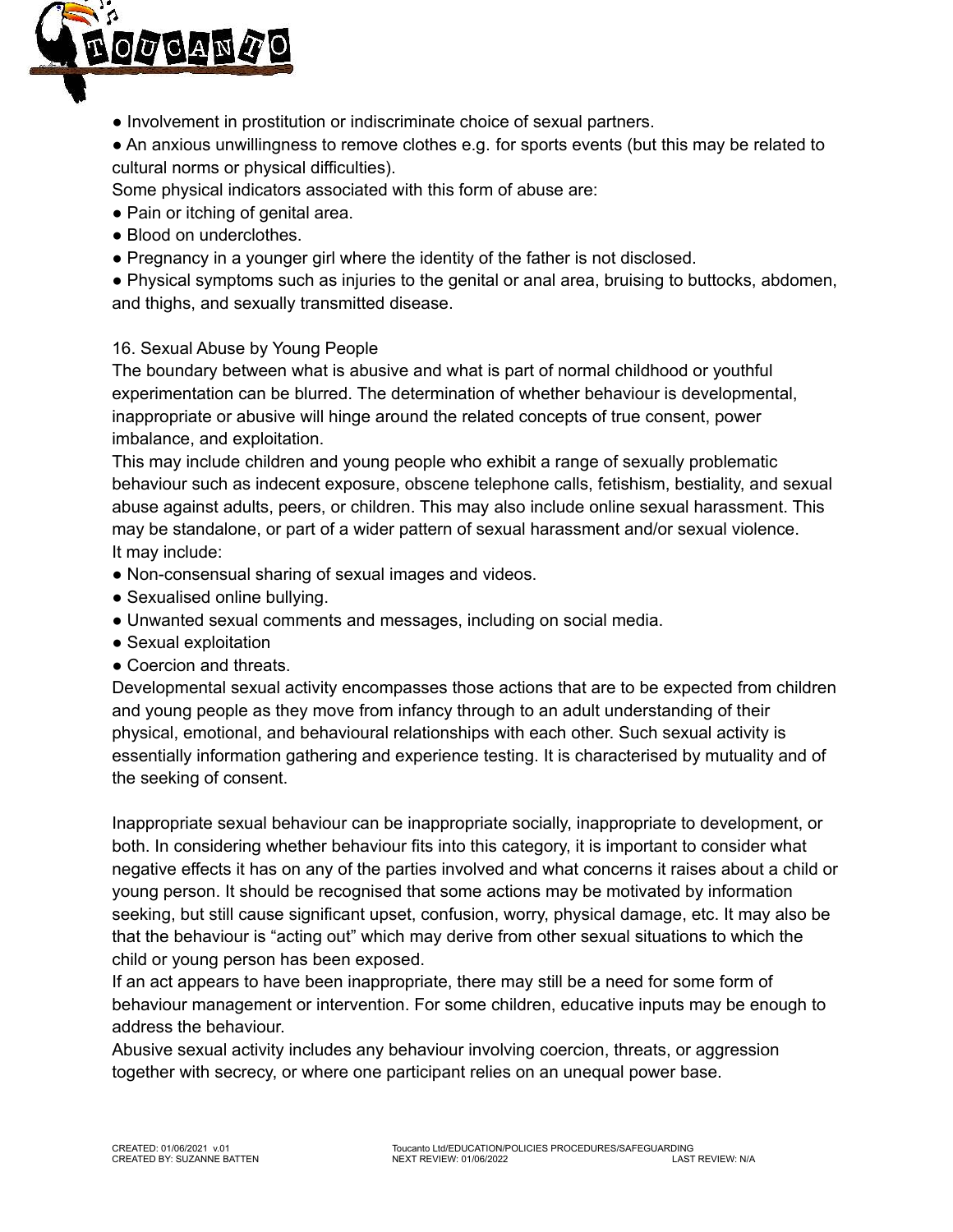

● Involvement in prostitution or indiscriminate choice of sexual partners.

● An anxious unwillingness to remove clothes e.g. for sports events (but this may be related to cultural norms or physical difficulties).

Some physical indicators associated with this form of abuse are:

- Pain or itching of genital area.
- Blood on underclothes.
- Pregnancy in a younger girl where the identity of the father is not disclosed.

● Physical symptoms such as injuries to the genital or anal area, bruising to buttocks, abdomen, and thighs, and sexually transmitted disease.

#### 16. Sexual Abuse by Young People

The boundary between what is abusive and what is part of normal childhood or youthful experimentation can be blurred. The determination of whether behaviour is developmental, inappropriate or abusive will hinge around the related concepts of true consent, power imbalance, and exploitation.

This may include children and young people who exhibit a range of sexually problematic behaviour such as indecent exposure, obscene telephone calls, fetishism, bestiality, and sexual abuse against adults, peers, or children. This may also include online sexual harassment. This may be standalone, or part of a wider pattern of sexual harassment and/or sexual violence. It may include:

- Non-consensual sharing of sexual images and videos.
- Sexualised online bullying.
- Unwanted sexual comments and messages, including on social media.
- Sexual exploitation
- Coercion and threats.

Developmental sexual activity encompasses those actions that are to be expected from children and young people as they move from infancy through to an adult understanding of their physical, emotional, and behavioural relationships with each other. Such sexual activity is essentially information gathering and experience testing. It is characterised by mutuality and of the seeking of consent.

Inappropriate sexual behaviour can be inappropriate socially, inappropriate to development, or both. In considering whether behaviour fits into this category, it is important to consider what negative effects it has on any of the parties involved and what concerns it raises about a child or young person. It should be recognised that some actions may be motivated by information seeking, but still cause significant upset, confusion, worry, physical damage, etc. It may also be that the behaviour is "acting out" which may derive from other sexual situations to which the child or young person has been exposed.

If an act appears to have been inappropriate, there may still be a need for some form of behaviour management or intervention. For some children, educative inputs may be enough to address the behaviour.

Abusive sexual activity includes any behaviour involving coercion, threats, or aggression together with secrecy, or where one participant relies on an unequal power base.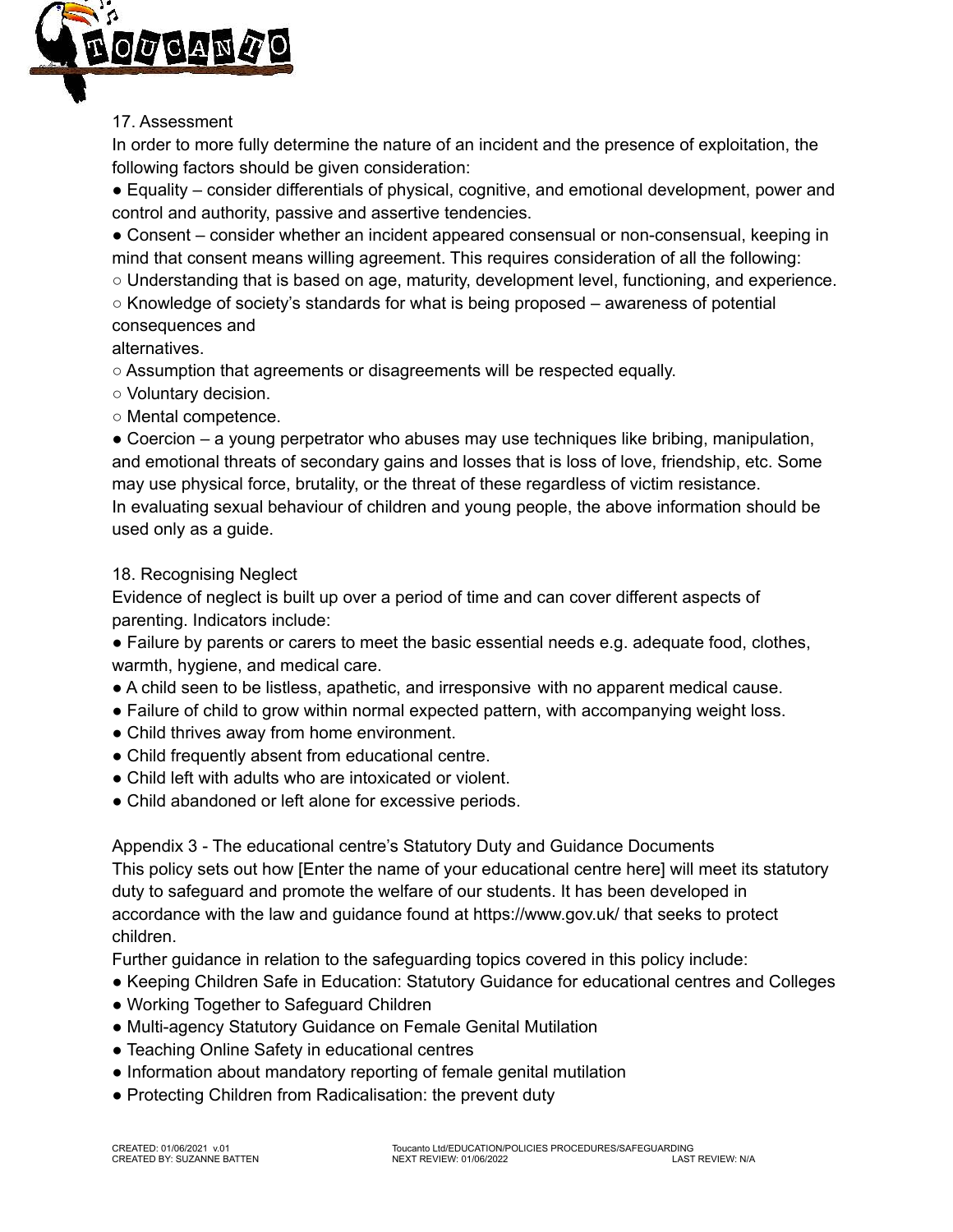

# 17. Assessment

In order to more fully determine the nature of an incident and the presence of exploitation, the following factors should be given consideration:

● Equality – consider differentials of physical, cognitive, and emotional development, power and control and authority, passive and assertive tendencies.

● Consent – consider whether an incident appeared consensual or non-consensual, keeping in mind that consent means willing agreement. This requires consideration of all the following:

○ Understanding that is based on age, maturity, development level, functioning, and experience.

 $\circ$  Knowledge of society's standards for what is being proposed – awareness of potential consequences and

alternatives.

○ Assumption that agreements or disagreements will be respected equally.

- Voluntary decision.
- Mental competence.

● Coercion – a young perpetrator who abuses may use techniques like bribing, manipulation, and emotional threats of secondary gains and losses that is loss of love, friendship, etc. Some may use physical force, brutality, or the threat of these regardless of victim resistance. In evaluating sexual behaviour of children and young people, the above information should be used only as a guide.

# 18. Recognising Neglect

Evidence of neglect is built up over a period of time and can cover different aspects of parenting. Indicators include:

● Failure by parents or carers to meet the basic essential needs e.g. adequate food, clothes, warmth, hygiene, and medical care.

- A child seen to be listless, apathetic, and irresponsive with no apparent medical cause.
- Failure of child to grow within normal expected pattern, with accompanying weight loss.
- Child thrives away from home environment.
- Child frequently absent from educational centre.
- Child left with adults who are intoxicated or violent.
- Child abandoned or left alone for excessive periods.

Appendix 3 - The educational centre's Statutory Duty and Guidance Documents

This policy sets out how [Enter the name of your educational centre here] will meet its statutory duty to safeguard and promote the welfare of our students. It has been developed in accordance with the law and guidance found at https://www.gov.uk/ that seeks to protect children.

Further guidance in relation to the safeguarding topics covered in this policy include:

- Keeping Children Safe in Education: Statutory Guidance for educational centres and Colleges
- Working Together to Safeguard Children
- Multi-agency Statutory Guidance on Female Genital Mutilation
- Teaching Online Safety in educational centres
- Information about mandatory reporting of female genital mutilation
- Protecting Children from Radicalisation: the prevent duty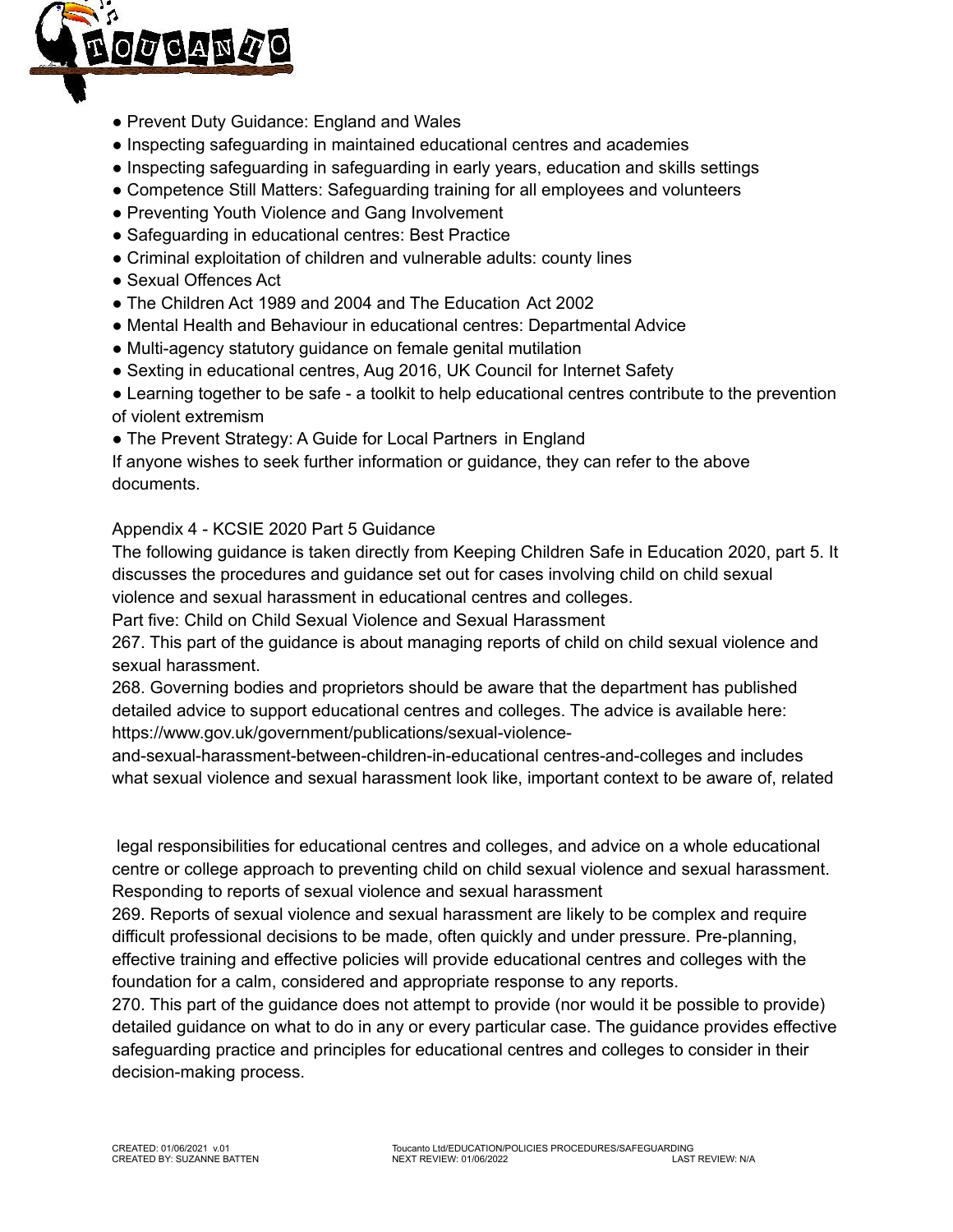

- Prevent Duty Guidance: England and Wales
- Inspecting safeguarding in maintained educational centres and academies
- Inspecting safeguarding in safeguarding in early years, education and skills settings
- Competence Still Matters: Safeguarding training for all employees and volunteers
- Preventing Youth Violence and Gang Involvement
- Safeguarding in educational centres: Best Practice
- Criminal exploitation of children and vulnerable adults: county lines
- Sexual Offences Act
- The Children Act 1989 and 2004 and The Education Act 2002
- Mental Health and Behaviour in educational centres: Departmental Advice
- Multi-agency statutory guidance on female genital mutilation
- Sexting in educational centres, Aug 2016, UK Council for Internet Safety
- Learning together to be safe a toolkit to help educational centres contribute to the prevention of violent extremism
- The Prevent Strategy: A Guide for Local Partners in England

If anyone wishes to seek further information or guidance, they can refer to the above documents.

# Appendix 4 - KCSIE 2020 Part 5 Guidance

The following guidance is taken directly from Keeping Children Safe in Education 2020, part 5. It discusses the procedures and guidance set out for cases involving child on child sexual violence and sexual harassment in educational centres and colleges.

Part five: Child on Child Sexual Violence and Sexual Harassment

267. This part of the guidance is about managing reports of child on child sexual violence and sexual harassment.

268. Governing bodies and proprietors should be aware that the department has published detailed advice to support educational centres and colleges. The advice is available here: https://www.gov.uk/government/publications/sexual-violence-

and-sexual-harassment-between-children-in-educational centres-and-colleges and includes what sexual violence and sexual harassment look like, important context to be aware of, related

legal responsibilities for educational centres and colleges, and advice on a whole educational centre or college approach to preventing child on child sexual violence and sexual harassment. Responding to reports of sexual violence and sexual harassment

269. Reports of sexual violence and sexual harassment are likely to be complex and require difficult professional decisions to be made, often quickly and under pressure. Pre-planning, effective training and effective policies will provide educational centres and colleges with the foundation for a calm, considered and appropriate response to any reports.

270. This part of the guidance does not attempt to provide (nor would it be possible to provide) detailed guidance on what to do in any or every particular case. The guidance provides effective safeguarding practice and principles for educational centres and colleges to consider in their decision-making process.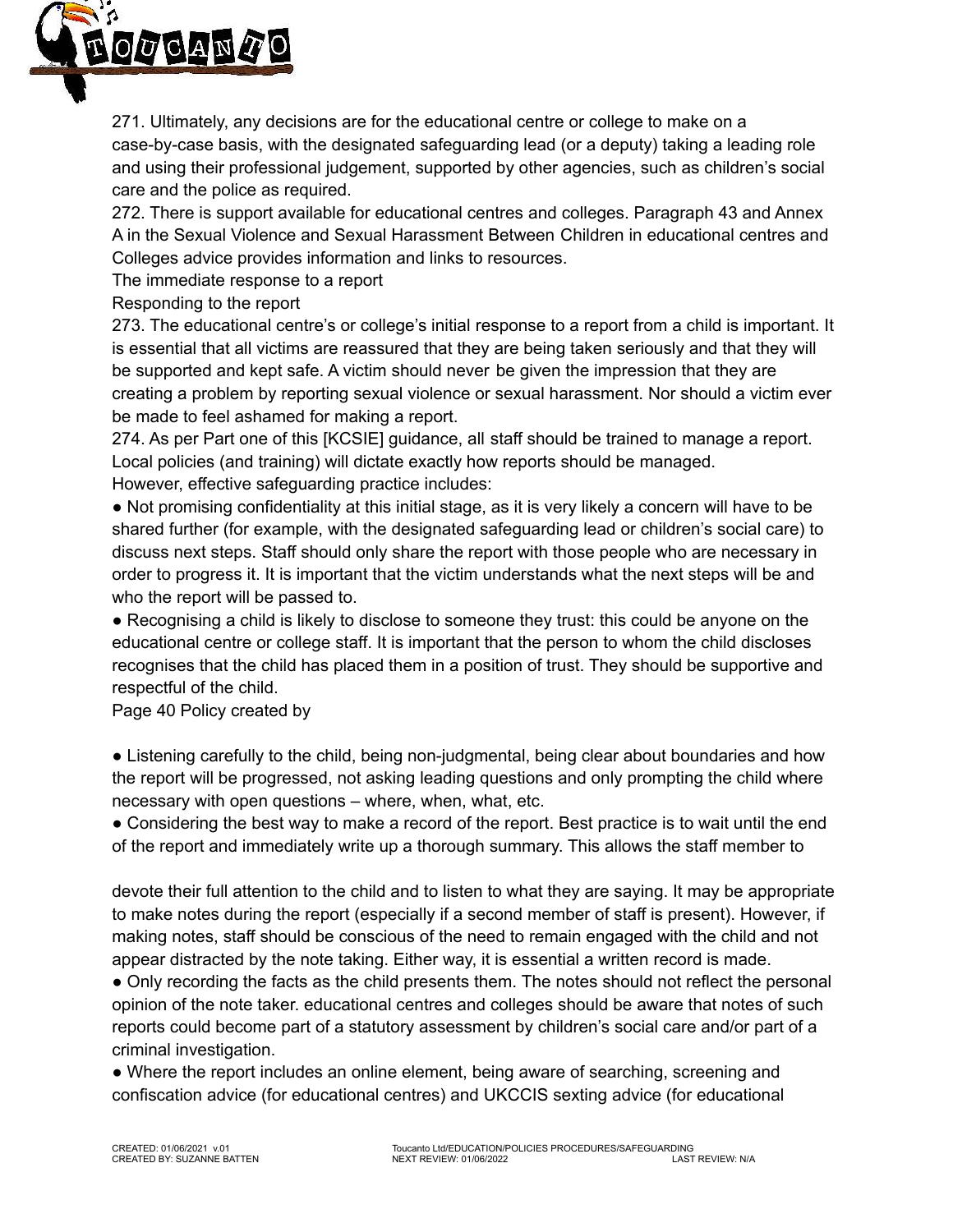

271. Ultimately, any decisions are for the educational centre or college to make on a case-by-case basis, with the designated safeguarding lead (or a deputy) taking a leading role and using their professional judgement, supported by other agencies, such as children's social care and the police as required.

272. There is support available for educational centres and colleges. Paragraph 43 and Annex A in the Sexual Violence and Sexual Harassment Between Children in educational centres and Colleges advice provides information and links to resources.

The immediate response to a report

Responding to the report

273. The educational centre's or college's initial response to a report from a child is important. It is essential that all victims are reassured that they are being taken seriously and that they will be supported and kept safe. A victim should never be given the impression that they are creating a problem by reporting sexual violence or sexual harassment. Nor should a victim ever be made to feel ashamed for making a report.

274. As per Part one of this [KCSIE] guidance, all staff should be trained to manage a report. Local policies (and training) will dictate exactly how reports should be managed. However, effective safeguarding practice includes:

● Not promising confidentiality at this initial stage, as it is very likely a concern will have to be shared further (for example, with the designated safeguarding lead or children's social care) to discuss next steps. Staff should only share the report with those people who are necessary in order to progress it. It is important that the victim understands what the next steps will be and who the report will be passed to.

● Recognising a child is likely to disclose to someone they trust: this could be anyone on the educational centre or college staff. It is important that the person to whom the child discloses recognises that the child has placed them in a position of trust. They should be supportive and respectful of the child.

Page 40 Policy created by

• Listening carefully to the child, being non-judgmental, being clear about boundaries and how the report will be progressed, not asking leading questions and only prompting the child where necessary with open questions – where, when, what, etc.

• Considering the best way to make a record of the report. Best practice is to wait until the end of the report and immediately write up a thorough summary. This allows the staff member to

devote their full attention to the child and to listen to what they are saying. It may be appropriate to make notes during the report (especially if a second member of staff is present). However, if making notes, staff should be conscious of the need to remain engaged with the child and not appear distracted by the note taking. Either way, it is essential a written record is made.

• Only recording the facts as the child presents them. The notes should not reflect the personal opinion of the note taker. educational centres and colleges should be aware that notes of such reports could become part of a statutory assessment by children's social care and/or part of a criminal investigation.

● Where the report includes an online element, being aware of searching, screening and confiscation advice (for educational centres) and UKCCIS sexting advice (for educational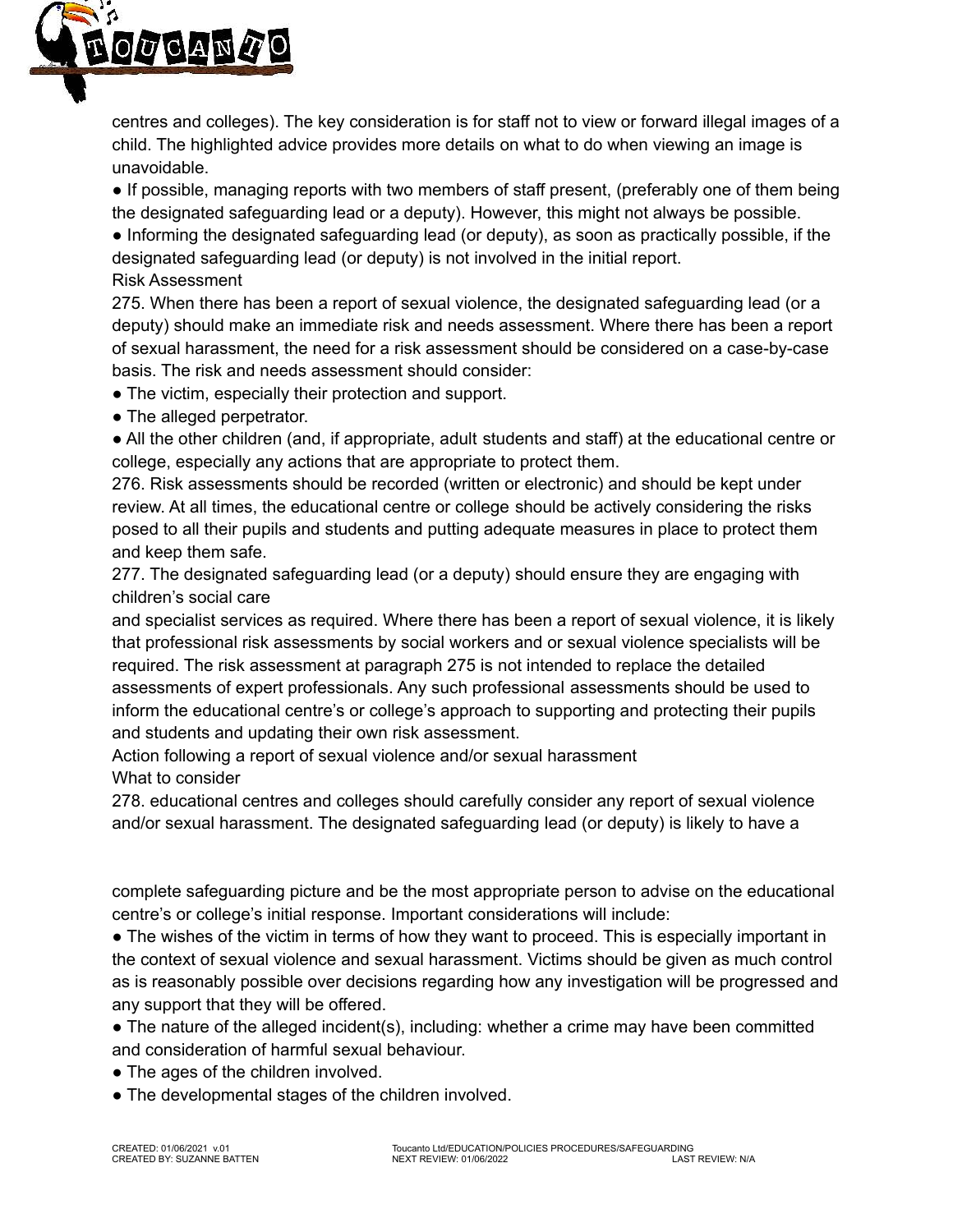

centres and colleges). The key consideration is for staff not to view or forward illegal images of a child. The highlighted advice provides more details on what to do when viewing an image is unavoidable.

• If possible, managing reports with two members of staff present, (preferably one of them being the designated safeguarding lead or a deputy). However, this might not always be possible.

● Informing the designated safeguarding lead (or deputy), as soon as practically possible, if the designated safeguarding lead (or deputy) is not involved in the initial report.

# Risk Assessment

275. When there has been a report of sexual violence, the designated safeguarding lead (or a deputy) should make an immediate risk and needs assessment. Where there has been a report of sexual harassment, the need for a risk assessment should be considered on a case-by-case basis. The risk and needs assessment should consider:

- The victim, especially their protection and support.
- The alleged perpetrator.

● All the other children (and, if appropriate, adult students and staff) at the educational centre or college, especially any actions that are appropriate to protect them.

276. Risk assessments should be recorded (written or electronic) and should be kept under review. At all times, the educational centre or college should be actively considering the risks posed to all their pupils and students and putting adequate measures in place to protect them and keep them safe.

277. The designated safeguarding lead (or a deputy) should ensure they are engaging with children's social care

and specialist services as required. Where there has been a report of sexual violence, it is likely that professional risk assessments by social workers and or sexual violence specialists will be required. The risk assessment at paragraph 275 is not intended to replace the detailed assessments of expert professionals. Any such professional assessments should be used to inform the educational centre's or college's approach to supporting and protecting their pupils and students and updating their own risk assessment.

Action following a report of sexual violence and/or sexual harassment What to consider

278. educational centres and colleges should carefully consider any report of sexual violence and/or sexual harassment. The designated safeguarding lead (or deputy) is likely to have a

complete safeguarding picture and be the most appropriate person to advise on the educational centre's or college's initial response. Important considerations will include:

• The wishes of the victim in terms of how they want to proceed. This is especially important in the context of sexual violence and sexual harassment. Victims should be given as much control as is reasonably possible over decisions regarding how any investigation will be progressed and any support that they will be offered.

• The nature of the alleged incident(s), including: whether a crime may have been committed and consideration of harmful sexual behaviour.

- The ages of the children involved.
- The developmental stages of the children involved.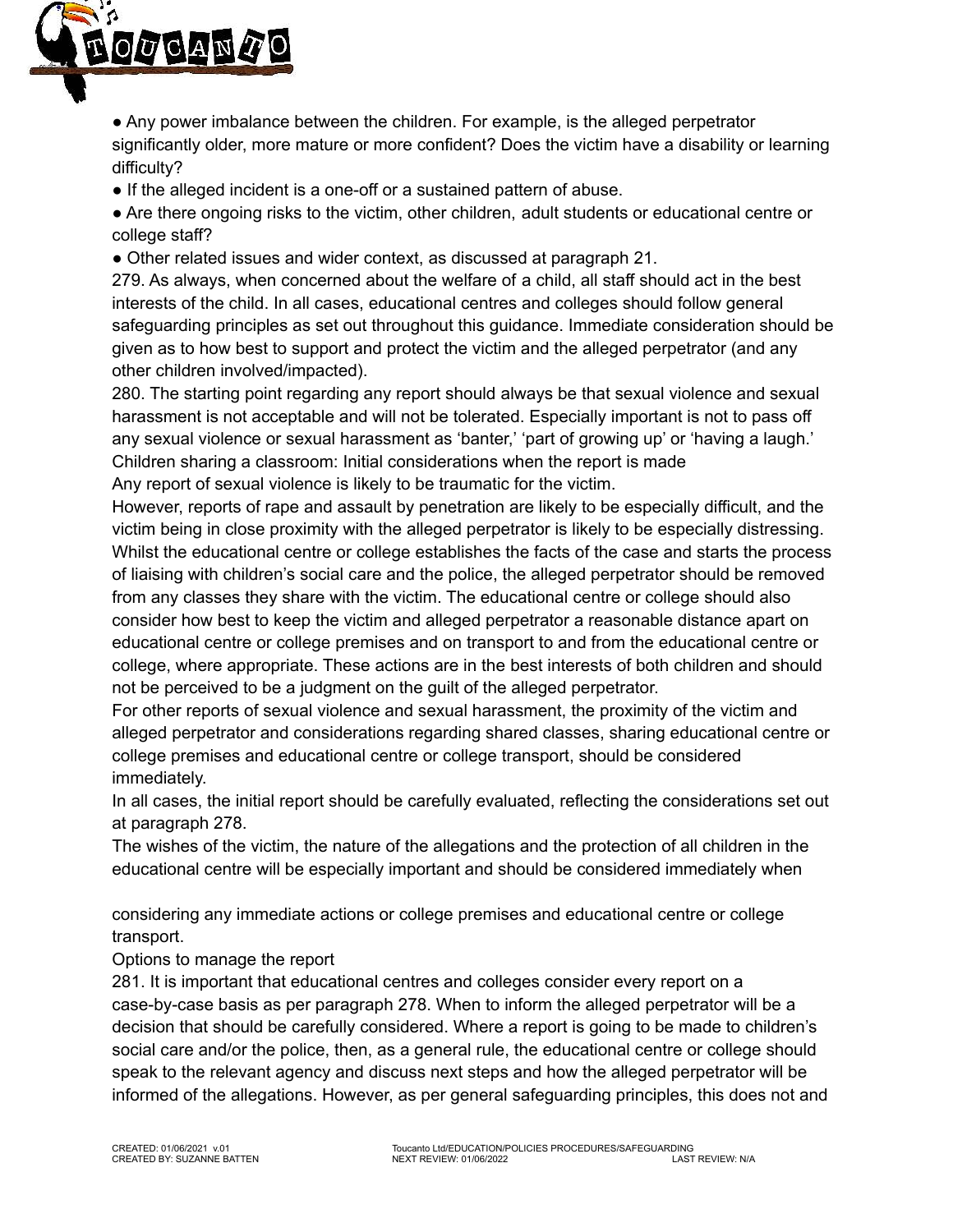

● Any power imbalance between the children. For example, is the alleged perpetrator significantly older, more mature or more confident? Does the victim have a disability or learning difficulty?

● If the alleged incident is a one-off or a sustained pattern of abuse.

● Are there ongoing risks to the victim, other children, adult students or educational centre or college staff?

● Other related issues and wider context, as discussed at paragraph 21.

279. As always, when concerned about the welfare of a child, all staff should act in the best interests of the child. In all cases, educational centres and colleges should follow general safeguarding principles as set out throughout this guidance. Immediate consideration should be given as to how best to support and protect the victim and the alleged perpetrator (and any other children involved/impacted).

280. The starting point regarding any report should always be that sexual violence and sexual harassment is not acceptable and will not be tolerated. Especially important is not to pass off any sexual violence or sexual harassment as 'banter,' 'part of growing up' or 'having a laugh.' Children sharing a classroom: Initial considerations when the report is made Any report of sexual violence is likely to be traumatic for the victim.

However, reports of rape and assault by penetration are likely to be especially difficult, and the victim being in close proximity with the alleged perpetrator is likely to be especially distressing. Whilst the educational centre or college establishes the facts of the case and starts the process of liaising with children's social care and the police, the alleged perpetrator should be removed from any classes they share with the victim. The educational centre or college should also consider how best to keep the victim and alleged perpetrator a reasonable distance apart on educational centre or college premises and on transport to and from the educational centre or college, where appropriate. These actions are in the best interests of both children and should not be perceived to be a judgment on the guilt of the alleged perpetrator.

For other reports of sexual violence and sexual harassment, the proximity of the victim and alleged perpetrator and considerations regarding shared classes, sharing educational centre or college premises and educational centre or college transport, should be considered immediately.

In all cases, the initial report should be carefully evaluated, reflecting the considerations set out at paragraph 278.

The wishes of the victim, the nature of the allegations and the protection of all children in the educational centre will be especially important and should be considered immediately when

considering any immediate actions or college premises and educational centre or college transport.

# Options to manage the report

281. It is important that educational centres and colleges consider every report on a case-by-case basis as per paragraph 278. When to inform the alleged perpetrator will be a decision that should be carefully considered. Where a report is going to be made to children's social care and/or the police, then, as a general rule, the educational centre or college should speak to the relevant agency and discuss next steps and how the alleged perpetrator will be informed of the allegations. However, as per general safeguarding principles, this does not and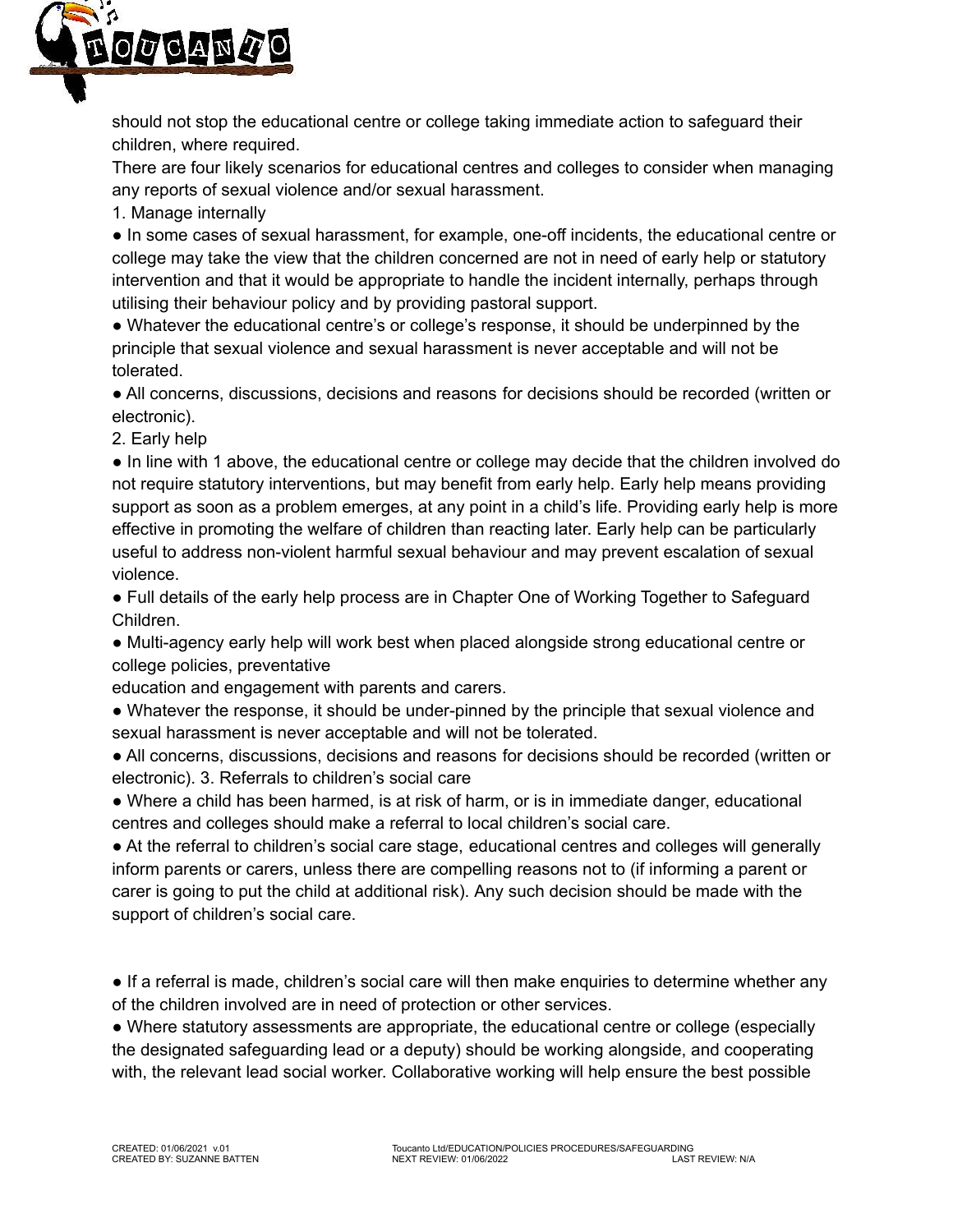

should not stop the educational centre or college taking immediate action to safeguard their children, where required.

There are four likely scenarios for educational centres and colleges to consider when managing any reports of sexual violence and/or sexual harassment.

1. Manage internally

● In some cases of sexual harassment, for example, one-off incidents, the educational centre or college may take the view that the children concerned are not in need of early help or statutory intervention and that it would be appropriate to handle the incident internally, perhaps through utilising their behaviour policy and by providing pastoral support.

● Whatever the educational centre's or college's response, it should be underpinned by the principle that sexual violence and sexual harassment is never acceptable and will not be tolerated.

● All concerns, discussions, decisions and reasons for decisions should be recorded (written or electronic).

2. Early help

● In line with 1 above, the educational centre or college may decide that the children involved do not require statutory interventions, but may benefit from early help. Early help means providing support as soon as a problem emerges, at any point in a child's life. Providing early help is more effective in promoting the welfare of children than reacting later. Early help can be particularly useful to address non-violent harmful sexual behaviour and may prevent escalation of sexual violence.

● Full details of the early help process are in Chapter One of Working Together to Safeguard Children.

● Multi-agency early help will work best when placed alongside strong educational centre or college policies, preventative

education and engagement with parents and carers.

● Whatever the response, it should be under-pinned by the principle that sexual violence and sexual harassment is never acceptable and will not be tolerated.

● All concerns, discussions, decisions and reasons for decisions should be recorded (written or electronic). 3. Referrals to children's social care

● Where a child has been harmed, is at risk of harm, or is in immediate danger, educational centres and colleges should make a referral to local children's social care.

● At the referral to children's social care stage, educational centres and colleges will generally inform parents or carers, unless there are compelling reasons not to (if informing a parent or carer is going to put the child at additional risk). Any such decision should be made with the support of children's social care.

• If a referral is made, children's social care will then make enquiries to determine whether any of the children involved are in need of protection or other services.

● Where statutory assessments are appropriate, the educational centre or college (especially the designated safeguarding lead or a deputy) should be working alongside, and cooperating with, the relevant lead social worker. Collaborative working will help ensure the best possible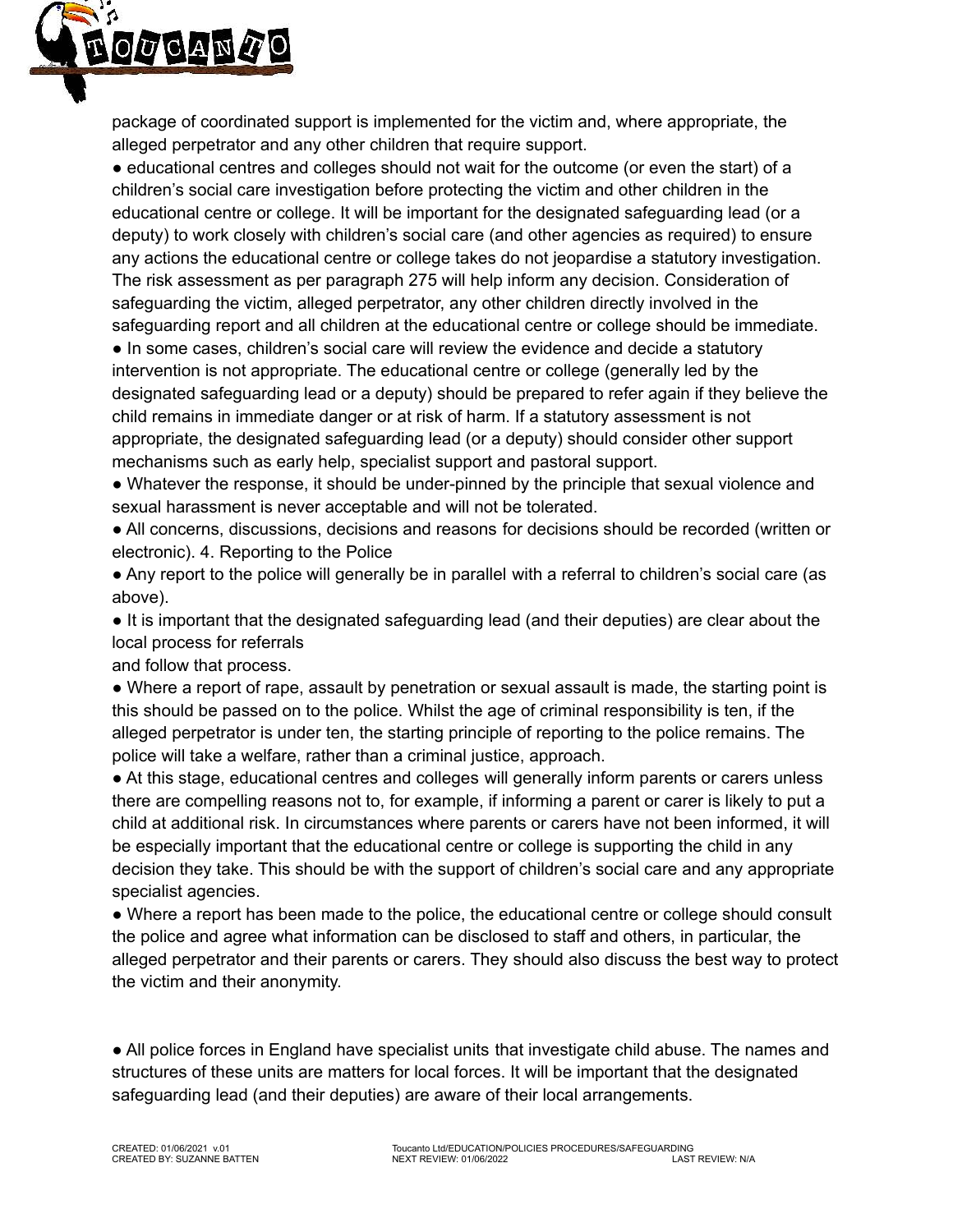

package of coordinated support is implemented for the victim and, where appropriate, the alleged perpetrator and any other children that require support.

● educational centres and colleges should not wait for the outcome (or even the start) of a children's social care investigation before protecting the victim and other children in the educational centre or college. It will be important for the designated safeguarding lead (or a deputy) to work closely with children's social care (and other agencies as required) to ensure any actions the educational centre or college takes do not jeopardise a statutory investigation. The risk assessment as per paragraph 275 will help inform any decision. Consideration of safeguarding the victim, alleged perpetrator, any other children directly involved in the safeguarding report and all children at the educational centre or college should be immediate. • In some cases, children's social care will review the evidence and decide a statutory intervention is not appropriate. The educational centre or college (generally led by the designated safeguarding lead or a deputy) should be prepared to refer again if they believe the child remains in immediate danger or at risk of harm. If a statutory assessment is not appropriate, the designated safeguarding lead (or a deputy) should consider other support mechanisms such as early help, specialist support and pastoral support.

• Whatever the response, it should be under-pinned by the principle that sexual violence and sexual harassment is never acceptable and will not be tolerated.

● All concerns, discussions, decisions and reasons for decisions should be recorded (written or electronic). 4. Reporting to the Police

● Any report to the police will generally be in parallel with a referral to children's social care (as above).

● It is important that the designated safeguarding lead (and their deputies) are clear about the local process for referrals

and follow that process.

• Where a report of rape, assault by penetration or sexual assault is made, the starting point is this should be passed on to the police. Whilst the age of criminal responsibility is ten, if the alleged perpetrator is under ten, the starting principle of reporting to the police remains. The police will take a welfare, rather than a criminal justice, approach.

● At this stage, educational centres and colleges will generally inform parents or carers unless there are compelling reasons not to, for example, if informing a parent or carer is likely to put a child at additional risk. In circumstances where parents or carers have not been informed, it will be especially important that the educational centre or college is supporting the child in any decision they take. This should be with the support of children's social care and any appropriate specialist agencies.

• Where a report has been made to the police, the educational centre or college should consult the police and agree what information can be disclosed to staff and others, in particular, the alleged perpetrator and their parents or carers. They should also discuss the best way to protect the victim and their anonymity.

● All police forces in England have specialist units that investigate child abuse. The names and structures of these units are matters for local forces. It will be important that the designated safeguarding lead (and their deputies) are aware of their local arrangements.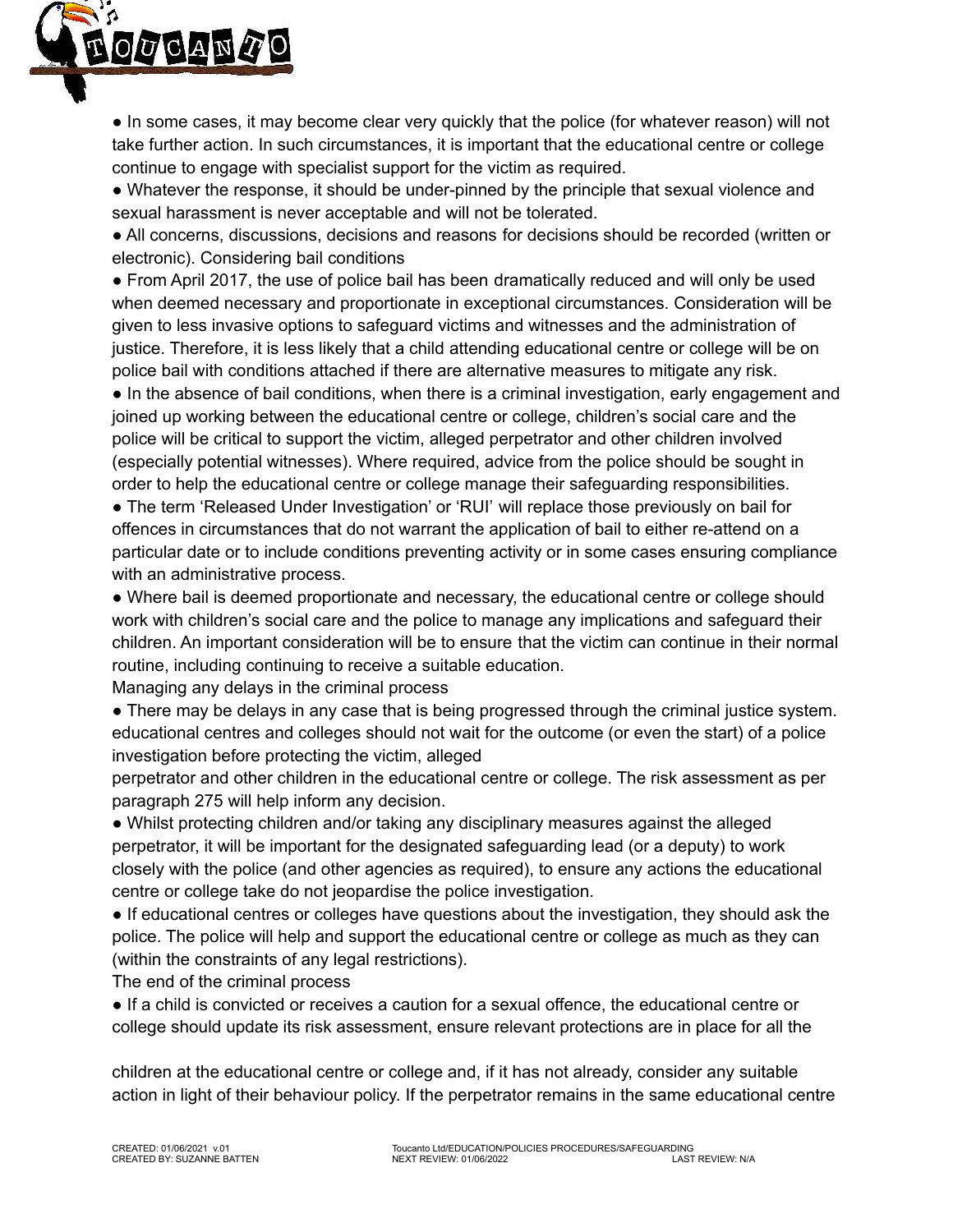

● In some cases, it may become clear very quickly that the police (for whatever reason) will not take further action. In such circumstances, it is important that the educational centre or college continue to engage with specialist support for the victim as required.

● Whatever the response, it should be under-pinned by the principle that sexual violence and sexual harassment is never acceptable and will not be tolerated.

● All concerns, discussions, decisions and reasons for decisions should be recorded (written or electronic). Considering bail conditions

● From April 2017, the use of police bail has been dramatically reduced and will only be used when deemed necessary and proportionate in exceptional circumstances. Consideration will be given to less invasive options to safeguard victims and witnesses and the administration of justice. Therefore, it is less likely that a child attending educational centre or college will be on police bail with conditions attached if there are alternative measures to mitigate any risk.

• In the absence of bail conditions, when there is a criminal investigation, early engagement and joined up working between the educational centre or college, children's social care and the police will be critical to support the victim, alleged perpetrator and other children involved (especially potential witnesses). Where required, advice from the police should be sought in order to help the educational centre or college manage their safeguarding responsibilities.

● The term 'Released Under Investigation' or 'RUI' will replace those previously on bail for offences in circumstances that do not warrant the application of bail to either re-attend on a particular date or to include conditions preventing activity or in some cases ensuring compliance with an administrative process.

● Where bail is deemed proportionate and necessary, the educational centre or college should work with children's social care and the police to manage any implications and safeguard their children. An important consideration will be to ensure that the victim can continue in their normal routine, including continuing to receive a suitable education.

Managing any delays in the criminal process

● There may be delays in any case that is being progressed through the criminal justice system. educational centres and colleges should not wait for the outcome (or even the start) of a police investigation before protecting the victim, alleged

perpetrator and other children in the educational centre or college. The risk assessment as per paragraph 275 will help inform any decision.

● Whilst protecting children and/or taking any disciplinary measures against the alleged perpetrator, it will be important for the designated safeguarding lead (or a deputy) to work closely with the police (and other agencies as required), to ensure any actions the educational centre or college take do not jeopardise the police investigation.

● If educational centres or colleges have questions about the investigation, they should ask the police. The police will help and support the educational centre or college as much as they can (within the constraints of any legal restrictions).

The end of the criminal process

● If a child is convicted or receives a caution for a sexual offence, the educational centre or college should update its risk assessment, ensure relevant protections are in place for all the

children at the educational centre or college and, if it has not already, consider any suitable action in light of their behaviour policy. If the perpetrator remains in the same educational centre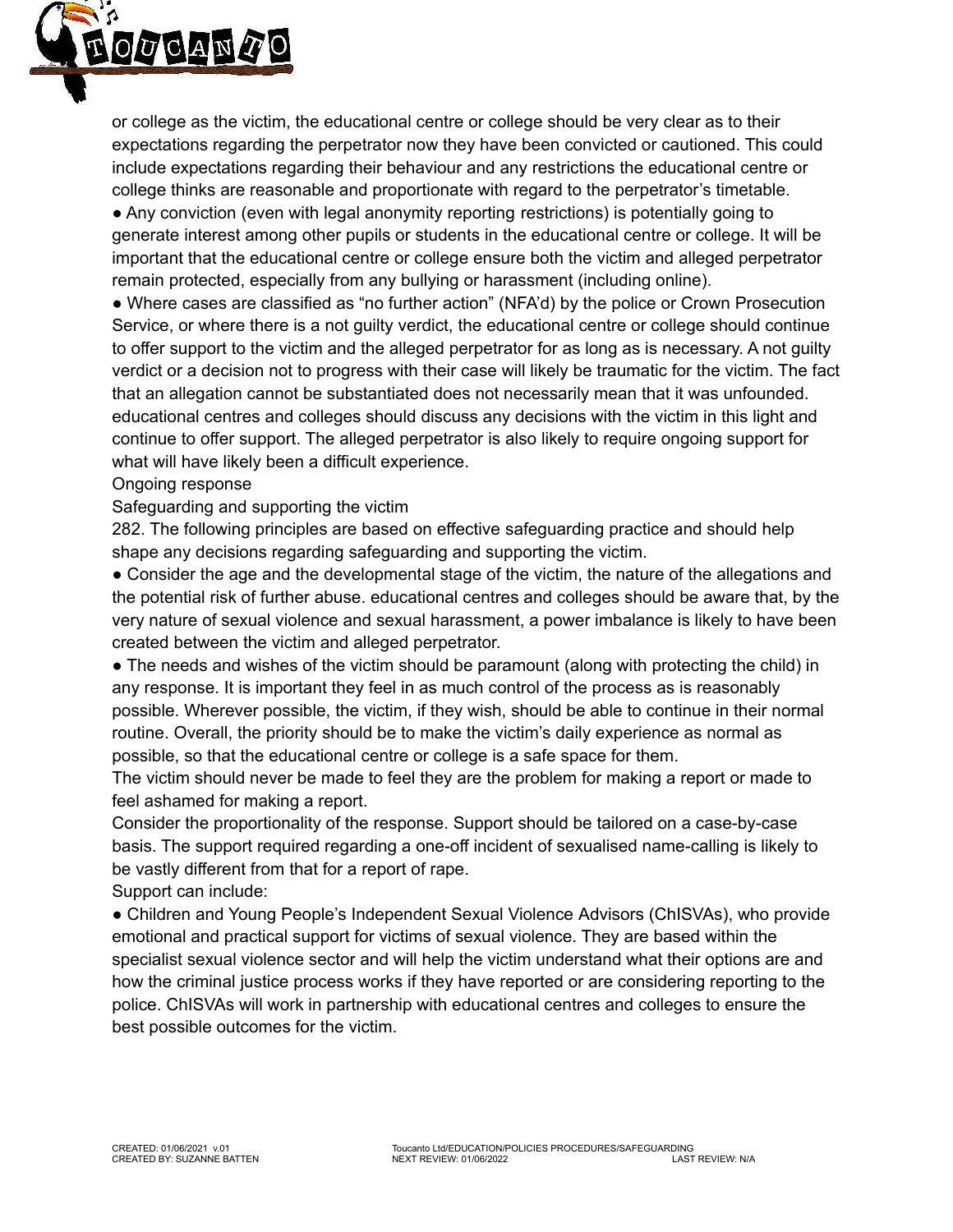

or college as the victim, the educational centre or college should be very clear as to their expectations regarding the perpetrator now they have been convicted or cautioned. This could include expectations regarding their behaviour and any restrictions the educational centre or college thinks are reasonable and proportionate with regard to the perpetrator's timetable.

● Any conviction (even with legal anonymity reporting restrictions) is potentially going to generate interest among other pupils or students in the educational centre or college. It will be important that the educational centre or college ensure both the victim and alleged perpetrator remain protected, especially from any bullying or harassment (including online).

● Where cases are classified as "no further action" (NFA'd) by the police or Crown Prosecution Service, or where there is a not guilty verdict, the educational centre or college should continue to offer support to the victim and the alleged perpetrator for as long as is necessary. A not guilty verdict or a decision not to progress with their case will likely be traumatic for the victim. The fact that an allegation cannot be substantiated does not necessarily mean that it was unfounded. educational centres and colleges should discuss any decisions with the victim in this light and continue to offer support. The alleged perpetrator is also likely to require ongoing support for what will have likely been a difficult experience.

#### Ongoing response

Safeguarding and supporting the victim

282. The following principles are based on effective safeguarding practice and should help shape any decisions regarding safeguarding and supporting the victim.

● Consider the age and the developmental stage of the victim, the nature of the allegations and the potential risk of further abuse. educational centres and colleges should be aware that, by the very nature of sexual violence and sexual harassment, a power imbalance is likely to have been created between the victim and alleged perpetrator.

• The needs and wishes of the victim should be paramount (along with protecting the child) in any response. It is important they feel in as much control of the process as is reasonably possible. Wherever possible, the victim, if they wish, should be able to continue in their normal routine. Overall, the priority should be to make the victim's daily experience as normal as possible, so that the educational centre or college is a safe space for them.

The victim should never be made to feel they are the problem for making a report or made to feel ashamed for making a report.

Consider the proportionality of the response. Support should be tailored on a case-by-case basis. The support required regarding a one-off incident of sexualised name-calling is likely to be vastly different from that for a report of rape.

Support can include:

● Children and Young People's Independent Sexual Violence Advisors (ChISVAs), who provide emotional and practical support for victims of sexual violence. They are based within the specialist sexual violence sector and will help the victim understand what their options are and how the criminal justice process works if they have reported or are considering reporting to the police. ChISVAs will work in partnership with educational centres and colleges to ensure the best possible outcomes for the victim.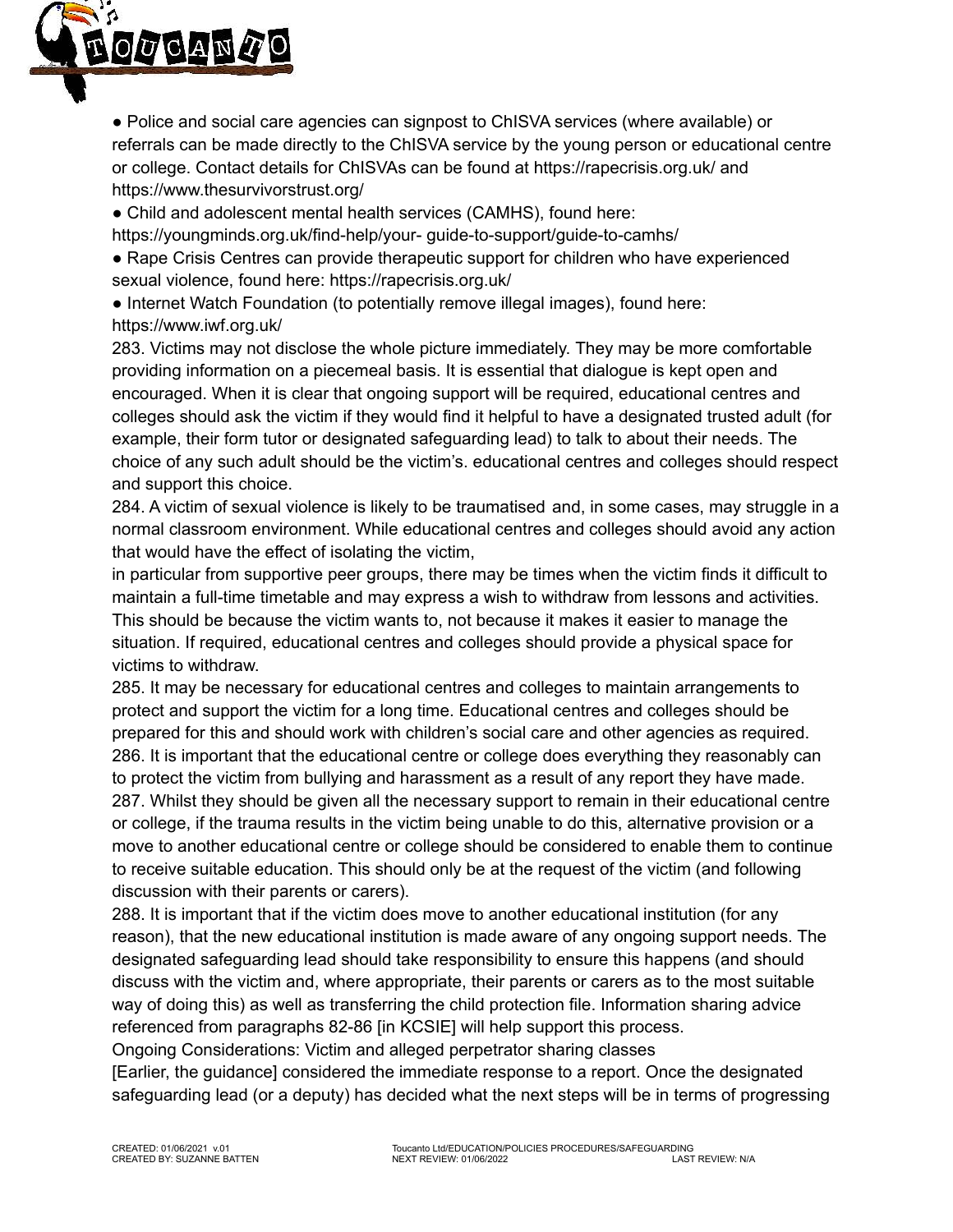

● Police and social care agencies can signpost to ChISVA services (where available) or referrals can be made directly to the ChISVA service by the young person or educational centre or college. Contact details for ChISVAs can be found at https://rapecrisis.org.uk/ and https://www.thesurvivorstrust.org/

• Child and adolescent mental health services (CAMHS), found here:

https://youngminds.org.uk/find-help/your- guide-to-support/guide-to-camhs/

● Rape Crisis Centres can provide therapeutic support for children who have experienced sexual violence, found here: https://rapecrisis.org.uk/

• Internet Watch Foundation (to potentially remove illegal images), found here: https://www.iwf.org.uk/

283. Victims may not disclose the whole picture immediately. They may be more comfortable providing information on a piecemeal basis. It is essential that dialogue is kept open and encouraged. When it is clear that ongoing support will be required, educational centres and colleges should ask the victim if they would find it helpful to have a designated trusted adult (for example, their form tutor or designated safeguarding lead) to talk to about their needs. The choice of any such adult should be the victim's. educational centres and colleges should respect and support this choice.

284. A victim of sexual violence is likely to be traumatised and, in some cases, may struggle in a normal classroom environment. While educational centres and colleges should avoid any action that would have the effect of isolating the victim,

in particular from supportive peer groups, there may be times when the victim finds it difficult to maintain a full-time timetable and may express a wish to withdraw from lessons and activities. This should be because the victim wants to, not because it makes it easier to manage the situation. If required, educational centres and colleges should provide a physical space for victims to withdraw.

285. It may be necessary for educational centres and colleges to maintain arrangements to protect and support the victim for a long time. Educational centres and colleges should be prepared for this and should work with children's social care and other agencies as required. 286. It is important that the educational centre or college does everything they reasonably can to protect the victim from bullying and harassment as a result of any report they have made. 287. Whilst they should be given all the necessary support to remain in their educational centre or college, if the trauma results in the victim being unable to do this, alternative provision or a move to another educational centre or college should be considered to enable them to continue to receive suitable education. This should only be at the request of the victim (and following discussion with their parents or carers).

288. It is important that if the victim does move to another educational institution (for any reason), that the new educational institution is made aware of any ongoing support needs. The designated safeguarding lead should take responsibility to ensure this happens (and should discuss with the victim and, where appropriate, their parents or carers as to the most suitable way of doing this) as well as transferring the child protection file. Information sharing advice referenced from paragraphs 82-86 [in KCSIE] will help support this process. Ongoing Considerations: Victim and alleged perpetrator sharing classes

[Earlier, the guidance] considered the immediate response to a report. Once the designated safeguarding lead (or a deputy) has decided what the next steps will be in terms of progressing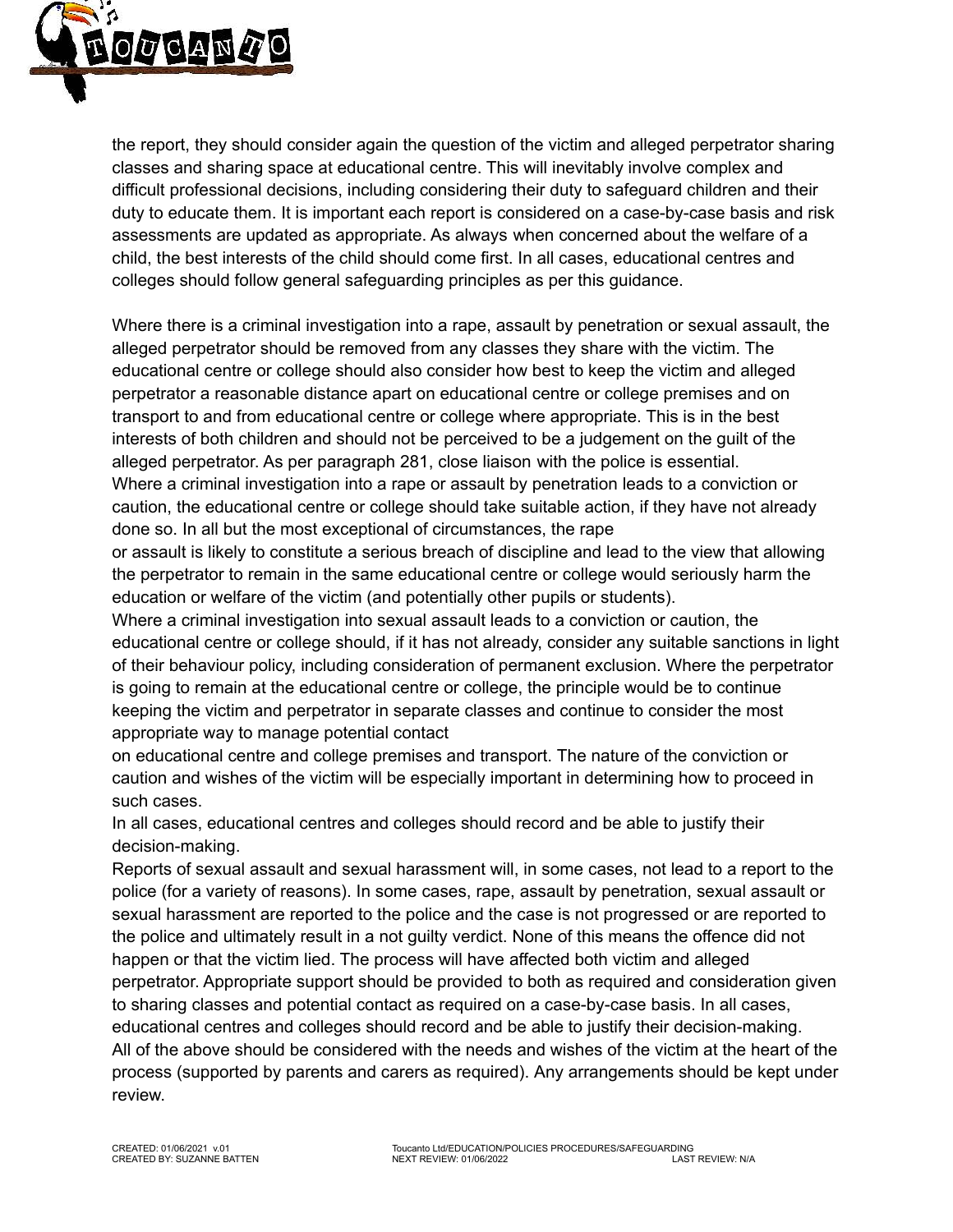

the report, they should consider again the question of the victim and alleged perpetrator sharing classes and sharing space at educational centre. This will inevitably involve complex and difficult professional decisions, including considering their duty to safeguard children and their duty to educate them. It is important each report is considered on a case-by-case basis and risk assessments are updated as appropriate. As always when concerned about the welfare of a child, the best interests of the child should come first. In all cases, educational centres and colleges should follow general safeguarding principles as per this guidance.

Where there is a criminal investigation into a rape, assault by penetration or sexual assault, the alleged perpetrator should be removed from any classes they share with the victim. The educational centre or college should also consider how best to keep the victim and alleged perpetrator a reasonable distance apart on educational centre or college premises and on transport to and from educational centre or college where appropriate. This is in the best interests of both children and should not be perceived to be a judgement on the guilt of the alleged perpetrator. As per paragraph 281, close liaison with the police is essential. Where a criminal investigation into a rape or assault by penetration leads to a conviction or caution, the educational centre or college should take suitable action, if they have not already done so. In all but the most exceptional of circumstances, the rape

or assault is likely to constitute a serious breach of discipline and lead to the view that allowing the perpetrator to remain in the same educational centre or college would seriously harm the education or welfare of the victim (and potentially other pupils or students).

Where a criminal investigation into sexual assault leads to a conviction or caution, the educational centre or college should, if it has not already, consider any suitable sanctions in light of their behaviour policy, including consideration of permanent exclusion. Where the perpetrator is going to remain at the educational centre or college, the principle would be to continue keeping the victim and perpetrator in separate classes and continue to consider the most appropriate way to manage potential contact

on educational centre and college premises and transport. The nature of the conviction or caution and wishes of the victim will be especially important in determining how to proceed in such cases.

In all cases, educational centres and colleges should record and be able to justify their decision-making.

Reports of sexual assault and sexual harassment will, in some cases, not lead to a report to the police (for a variety of reasons). In some cases, rape, assault by penetration, sexual assault or sexual harassment are reported to the police and the case is not progressed or are reported to the police and ultimately result in a not guilty verdict. None of this means the offence did not happen or that the victim lied. The process will have affected both victim and alleged perpetrator. Appropriate support should be provided to both as required and consideration given to sharing classes and potential contact as required on a case-by-case basis. In all cases, educational centres and colleges should record and be able to justify their decision-making. All of the above should be considered with the needs and wishes of the victim at the heart of the process (supported by parents and carers as required). Any arrangements should be kept under review.